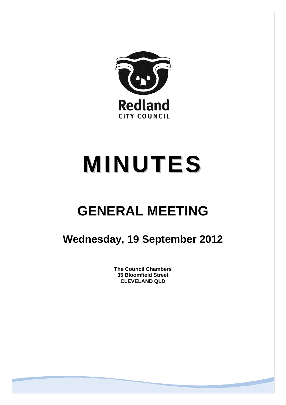

# **MINUTES**

## **GENERAL MEETING**

### **Wednesday, 19 September 2012**

**The Council Chambers 35 Bloomfield Street CLEVELAND QLD**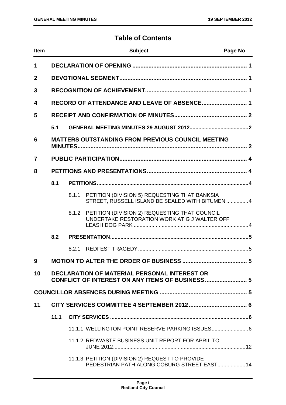#### **Table of Contents**

| <b>Item</b> |      |       | <b>Subject</b>                                                                                   | Page No |
|-------------|------|-------|--------------------------------------------------------------------------------------------------|---------|
| 1           |      |       |                                                                                                  |         |
| $\mathbf 2$ |      |       |                                                                                                  |         |
| 3           |      |       |                                                                                                  |         |
| 4           |      |       | RECORD OF ATTENDANCE AND LEAVE OF ABSENCE 1                                                      |         |
| 5           |      |       |                                                                                                  |         |
|             | 5.1  |       |                                                                                                  |         |
| 6           |      |       | <b>MATTERS OUTSTANDING FROM PREVIOUS COUNCIL MEETING</b>                                         |         |
| 7           |      |       |                                                                                                  |         |
| 8           |      |       |                                                                                                  |         |
|             | 8.1  |       |                                                                                                  |         |
|             |      | 8.1.1 | PETITION (DIVISION 5) REQUESTING THAT BANKSIA<br>STREET, RUSSELL ISLAND BE SEALED WITH BITUMEN 4 |         |
|             |      | 8.1.2 | PETITION (DIVISION 2) REQUESTING THAT COUNCIL<br>UNDERTAKE RESTORATION WORK AT G J WALTER OFF    |         |
|             | 8.2  |       |                                                                                                  |         |
|             |      | 8.2.1 |                                                                                                  |         |
| 9           |      |       |                                                                                                  |         |
| 10          |      |       | DECLARATION OF MATERIAL PERSONAL INTEREST OR<br>CONFLICT OF INTEREST ON ANY ITEMS OF BUSINESS 5  |         |
|             |      |       |                                                                                                  |         |
| 11          |      |       |                                                                                                  |         |
|             | 11.1 |       |                                                                                                  |         |
|             |      |       | 11.1.1 WELLINGTON POINT RESERVE PARKING ISSUES 6                                                 |         |
|             |      |       | 11.1.2 REDWASTE BUSINESS UNIT REPORT FOR APRIL TO                                                |         |
|             |      |       | 11.1.3 PETITION (DIVISION 2) REQUEST TO PROVIDE<br>PEDESTRIAN PATH ALONG COBURG STREET EAST 14   |         |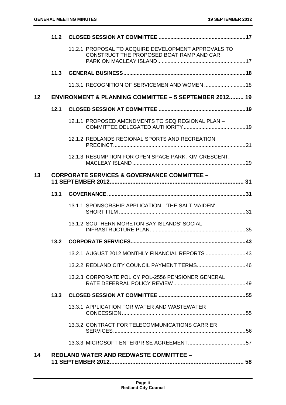|                 |      | 11.2.1 PROPOSAL TO ACQUIRE DEVELOPMENT APPROVALS TO<br>CONSTRUCT THE PROPOSED BOAT RAMP AND CAR |  |
|-----------------|------|-------------------------------------------------------------------------------------------------|--|
|                 |      |                                                                                                 |  |
|                 |      | 11.3.1 RECOGNITION OF SERVICEMEN AND WOMEN  18                                                  |  |
| 12 <sup>2</sup> |      | <b>ENVIRONMENT &amp; PLANNING COMMITTEE - 5 SEPTEMBER 2012 19</b>                               |  |
|                 | 12.1 |                                                                                                 |  |
|                 |      | 12.1.1 PROPOSED AMENDMENTS TO SEQ REGIONAL PLAN -                                               |  |
|                 |      | 12.1.2 REDLANDS REGIONAL SPORTS AND RECREATION                                                  |  |
|                 |      | 12.1.3 RESUMPTION FOR OPEN SPACE PARK, KIM CRESCENT,                                            |  |
| 13              |      | <b>CORPORATE SERVICES &amp; GOVERNANCE COMMITTEE -</b>                                          |  |
|                 |      |                                                                                                 |  |
|                 |      | 13.1.1 SPONSORSHIP APPLICATION - 'THE SALT MAIDEN'                                              |  |
|                 |      | 13.1.2 SOUTHERN MORETON BAY ISLANDS' SOCIAL                                                     |  |
|                 |      |                                                                                                 |  |
|                 |      | 13.2.1 AUGUST 2012 MONTHLY FINANCIAL REPORTS  43                                                |  |
|                 |      |                                                                                                 |  |
|                 |      | 13.2.3 CORPORATE POLICY POL-2556 PENSIONER GENERAL                                              |  |
|                 | 13.3 |                                                                                                 |  |
|                 |      | 13.3.1 APPLICATION FOR WATER AND WASTEWATER                                                     |  |
|                 |      | 13.3.2 CONTRACT FOR TELECOMMUNICATIONS CARRIER                                                  |  |
|                 |      |                                                                                                 |  |
| 14              |      | <b>REDLAND WATER AND REDWASTE COMMITTEE -</b>                                                   |  |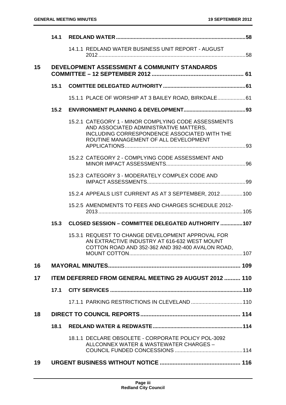|    |      | 14.1.1 REDLAND WATER BUSINESS UNIT REPORT - AUGUST                                                                                                                                      |  |
|----|------|-----------------------------------------------------------------------------------------------------------------------------------------------------------------------------------------|--|
| 15 |      | <b>DEVELOPMENT ASSESSMENT &amp; COMMUNITY STANDARDS</b>                                                                                                                                 |  |
|    | 15.1 |                                                                                                                                                                                         |  |
|    |      | 15.1.1 PLACE OF WORSHIP AT 3 BAILEY ROAD, BIRKDALE 61                                                                                                                                   |  |
|    | 15.2 |                                                                                                                                                                                         |  |
|    |      | 15.2.1 CATEGORY 1 - MINOR COMPLYING CODE ASSESSMENTS<br>AND ASSOCIATED ADMINISTRATIVE MATTERS,<br>INCLUDING CORRESPONDENCE ASSOCIATED WITH THE<br>ROUTINE MANAGEMENT OF ALL DEVELOPMENT |  |
|    |      | 15.2.2 CATEGORY 2 - COMPLYING CODE ASSESSMENT AND                                                                                                                                       |  |
|    |      | 15.2.3 CATEGORY 3 - MODERATELY COMPLEX CODE AND                                                                                                                                         |  |
|    |      | 15.2.4 APPEALS LIST CURRENT AS AT 3 SEPTEMBER, 2012 100                                                                                                                                 |  |
|    |      | 15.2.5 AMENDMENTS TO FEES AND CHARGES SCHEDULE 2012-                                                                                                                                    |  |
|    |      | 15.3 CLOSED SESSION - COMMITTEE DELEGATED AUTHORITY  107                                                                                                                                |  |
|    |      | 15.3.1 REQUEST TO CHANGE DEVELOPMENT APPROVAL FOR<br>AN EXTRACTIVE INDUSTRY AT 616-632 WEST MOUNT<br>COTTON ROAD AND 352-362 AND 392-400 AVALON ROAD,                                   |  |
| 16 |      |                                                                                                                                                                                         |  |
| 17 |      | <b>ITEM DEFERRED FROM GENERAL MEETING 29 AUGUST 2012  110</b>                                                                                                                           |  |
|    | 17.1 |                                                                                                                                                                                         |  |
|    |      |                                                                                                                                                                                         |  |
| 18 |      |                                                                                                                                                                                         |  |
|    | 18.1 |                                                                                                                                                                                         |  |
|    |      | 18.1.1 DECLARE OBSOLETE - CORPORATE POLICY POL-3092<br>ALLCONNEX WATER & WASTEWATER CHARGES -                                                                                           |  |
| 19 |      |                                                                                                                                                                                         |  |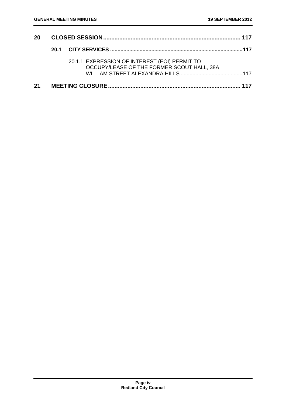| <b>20</b> |  |                                                                                             |     |
|-----------|--|---------------------------------------------------------------------------------------------|-----|
|           |  |                                                                                             |     |
|           |  | 20.1.1 EXPRESSION OF INTEREST (EOI) PERMIT TO<br>OCCUPY/LEASE OF THE FORMER SCOUT HALL, 38A |     |
| 21        |  |                                                                                             | 117 |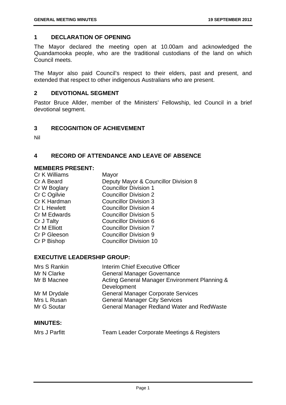#### **1 DECLARATION OF OPENING**

The Mayor declared the meeting open at 10.00am and acknowledged the Quandamooka people, who are the traditional custodians of the land on which Council meets.

The Mayor also paid Council's respect to their elders, past and present, and extended that respect to other indigenous Australians who are present.

#### **2 DEVOTIONAL SEGMENT**

Pastor Bruce Allder, member of the Ministers' Fellowship, led Council in a brief devotional segment.

#### **3 RECOGNITION OF ACHIEVEMENT**

Nil

#### **4 RECORD OF ATTENDANCE AND LEAVE OF ABSENCE**

#### **MEMBERS PRESENT:**

| Cr K Williams       | Mayor                                |
|---------------------|--------------------------------------|
| Cr A Beard          | Deputy Mayor & Councillor Division 8 |
| Cr W Boglary        | <b>Councillor Division 1</b>         |
| Cr C Ogilvie        | <b>Councillor Division 2</b>         |
| Cr K Hardman        | <b>Councillor Division 3</b>         |
| <b>Cr L Hewlett</b> | <b>Councillor Division 4</b>         |
| Cr M Edwards        | <b>Councillor Division 5</b>         |
| Cr J Talty          | <b>Councillor Division 6</b>         |
| Cr M Elliott        | <b>Councillor Division 7</b>         |
| Cr P Gleeson        | <b>Councillor Division 9</b>         |
| Cr P Bishop         | <b>Councillor Division 10</b>        |
|                     |                                      |

#### **EXECUTIVE LEADERSHIP GROUP:**

| Mrs S Rankin | Interim Chief Executive Officer                   |
|--------------|---------------------------------------------------|
| Mr N Clarke  | <b>General Manager Governance</b>                 |
| Mr B Macnee  | Acting General Manager Environment Planning &     |
|              | Development                                       |
| Mr M Drydale | <b>General Manager Corporate Services</b>         |
| Mrs L Rusan  | <b>General Manager City Services</b>              |
| Mr G Soutar  | <b>General Manager Redland Water and RedWaste</b> |
|              |                                                   |

#### **MINUTES:**

| Mrs J Parfitt | <b>Team Leader Corporate Meetings &amp; Registers</b> |
|---------------|-------------------------------------------------------|
|---------------|-------------------------------------------------------|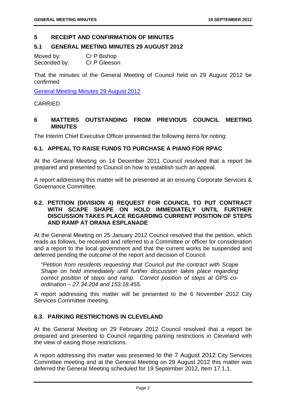#### **5 RECEIPT AND CONFIRMATION OF MINUTES**

#### **5.1 GENERAL MEETING MINUTES 29 AUGUST 2012**

| Moved by:    | Cr P Bishop  |
|--------------|--------------|
| Seconded by: | Cr P Gleeson |

That the minutes of the General Meeting of Council held on 29 August 2012 be confirmed

General Meeting Minutes 29 August 2012

#### CARRIED

#### **6 MATTERS OUTSTANDING FROM PREVIOUS COUNCIL MEETING MINUTES**

The Interim Chief Executive Officer presented the following items for noting:

#### **6.1. APPEAL TO RAISE FUNDS TO PURCHASE A PIANO FOR RPAC**

At the General Meeting on 14 December 2011 Council resolved that a report be prepared and presented to Council on how to establish such an appeal.

A report addressing this matter will be presented at an ensuing Corporate Services & Governance Committee.

#### **6.2. PETITION (DIVISION 4) REQUEST FOR COUNCIL TO PUT CONTRACT WITH SCAPE SHAPE ON HOLD IMMEDIATELY UNTIL FURTHER DISCUSSION TAKES PLACE REGARDING CURRENT POSITION OF STEPS AND RAMP AT ORANA ESPLANADE**

At the General Meeting on 25 January 2012 Council resolved that the petition, which reads as follows, be received and referred to a Committee or officer for consideration and a report to the local government and that the current works be suspended and deferred pending the outcome of the report and decision of Council:

*"Petition from residents requesting that Council put the contract with Scape Shape on hold immediately until further discussion takes place regarding correct position of steps and ramp. Correct position of steps at GPS coordination – 27.34.204 and 153.18.455.* 

A report addressing this matter will be presented to the 6 November 2012 City Services Committee meeting.

#### **6.3. PARKING RESTRICTIONS IN CLEVELAND**

At the General Meeting on 29 February 2012 Council resolved that a report be prepared and presented to Council regarding parking restrictions in Cleveland with the view of easing those restrictions.

A report addressing this matter was presented to the 7 August 2012 City Services Committee meeting and at the General Meeting on 29 August 2012 this matter was deferred the General Meeting scheduled for 19 September 2012, Item 17.1.1.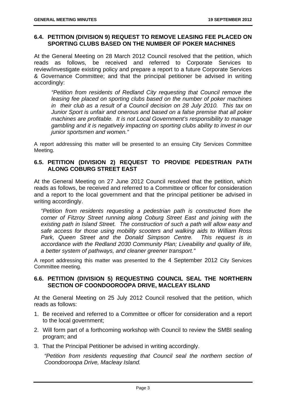#### **6.4. PETITION (DIVISION 9) REQUEST TO REMOVE LEASING FEE PLACED ON SPORTING CLUBS BASED ON THE NUMBER OF POKER MACHINES**

At the General Meeting on 28 March 2012 Council resolved that the petition, which reads as follows, be received and referred to Corporate Services to review/investigate existing policy and prepare a report to a future Corporate Services & Governance Committee; and that the principal petitioner be advised in writing accordingly:

*"Petition from residents of Redland City requesting that Council remove the leasing fee placed on sporting clubs based on the number of poker machines in their club as a result of a Council decision on 28 July 2010. This tax on Junior Sport is unfair and onerous and based on a false premise that all poker machines are profitable. It is not Local Government's responsibility to manage gambling and it is negatively impacting on sporting clubs ability to invest in our junior sportsmen and women."* 

A report addressing this matter will be presented to an ensuing City Services Committee Meeting.

#### **6.5. PETITION (DIVISION 2) REQUEST TO PROVIDE PEDESTRIAN PATH ALONG COBURG STREET EAST**

At the General Meeting on 27 June 2012 Council resolved that the petition, which reads as follows, be received and referred to a Committee or officer for consideration and a report to the local government and that the principal petitioner be advised in writing accordingly.

*"Petition from residents requesting a pedestrian path is constructed from the corner of Fitzroy Street running along Coburg Street East and joining with the existing path in Island Street. The construction of such a path will allow easy and safe access for those using mobility scooters and walking aids to William Ross Park, Queen Street and the Donald Simpson Centre. This request is in accordance with the Redland 2030 Community Plan; Liveability and quality of life, a better system of pathways, and cleaner greener transport."* 

A report addressing this matter was presented to the 4 September 2012 City Services Committee meeting.

#### **6.6. PETITION (DIVISION 5) REQUESTING COUNCIL SEAL THE NORTHERN SECTION OF COONDOOROOPA DRIVE, MACLEAY ISLAND**

At the General Meeting on 25 July 2012 Council resolved that the petition, which reads as follows:

- 1. Be received and referred to a Committee or officer for consideration and a report to the local government;
- 2. Will form part of a forthcoming workshop with Council to review the SMBI sealing program; and
- 3. That the Principal Petitioner be advised in writing accordingly.

*"Petition from residents requesting that Council seal the northern section of Coondooroopa Drive, Macleay Island.*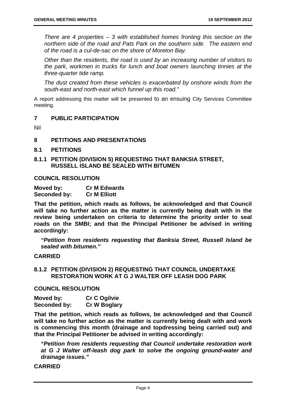*There are 4 properties – 3 with established homes fronting this section on the northern side of the road and Pats Park on the southern side. The eastern end of the road is a cul-de-sac on the shore of Moreton Bay.* 

*Other than the residents, the road is used by an increasing number of visitors to the park, workmen in trucks for lunch and boat owners launching tinnies at the three-quarter tide ramp.* 

*The dust created from these vehicles is exacerbated by onshore winds from the south-east and north-east which funnel up this road."* 

A report addressing this matter will be presented to an ensuing City Services Committee meeting.

#### **7 PUBLIC PARTICIPATION**

Nil

#### **8 PETITIONS AND PRESENTATIONS**

- **8.1 PETITIONS**
- **8.1.1 PETITION (DIVISION 5) REQUESTING THAT BANKSIA STREET, RUSSELL ISLAND BE SEALED WITH BITUMEN**

#### **COUNCIL RESOLUTION**

| Moved by:    | <b>Cr M Edwards</b> |
|--------------|---------------------|
| Seconded by: | <b>Cr M Elliott</b> |

**That the petition, which reads as follows, be acknowledged and that Council will take no further action as the matter is currently being dealt with in the review being undertaken on criteria to determine the priority order to seal roads on the SMBI; and that the Principal Petitioner be advised in writing accordingly:** 

*"Petition from residents requesting that Banksia Street, Russell Island be sealed with bitumen."* 

#### **CARRIED**

#### **8.1.2 PETITION (DIVISION 2) REQUESTING THAT COUNCIL UNDERTAKE RESTORATION WORK AT G J WALTER OFF LEASH DOG PARK**

#### **COUNCIL RESOLUTION**

| Moved by:    | <b>Cr C Ogilvie</b> |
|--------------|---------------------|
| Seconded by: | <b>Cr W Boglary</b> |

**That the petition, which reads as follows, be acknowledged and that Council will take no further action as the matter is currently being dealt with and work is commencing this month (drainage and topdressing being carried out) and that the Principal Petitioner be advised in writing accordingly:** 

*"Petition from residents requesting that Council undertake restoration work at G J Walter off-leash dog park to solve the ongoing ground-water and drainage issues."* 

**CARRIED**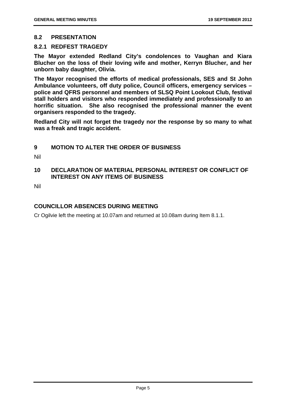#### **8.2 PRESENTATION**

#### **8.2.1 REDFEST TRAGEDY**

**The Mayor extended Redland City's condolences to Vaughan and Kiara Blucher on the loss of their loving wife and mother, Kerryn Blucher, and her unborn baby daughter, Olivia.** 

**The Mayor recognised the efforts of medical professionals, SES and St John Ambulance volunteers, off duty police, Council officers, emergency services – police and QFRS personnel and members of SLSQ Point Lookout Club, festival stall holders and visitors who responded immediately and professionally to an horrific situation. She also recognised the professional manner the event organisers responded to the tragedy.** 

**Redland City will not forget the tragedy nor the response by so many to what was a freak and tragic accident.** 

#### **9 MOTION TO ALTER THE ORDER OF BUSINESS**

Nil

#### **10 DECLARATION OF MATERIAL PERSONAL INTEREST OR CONFLICT OF INTEREST ON ANY ITEMS OF BUSINESS**

Nil

#### **COUNCILLOR ABSENCES DURING MEETING**

Cr Ogilvie left the meeting at 10.07am and returned at 10.08am during Item 8.1.1.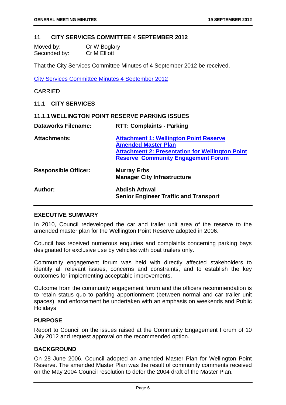#### **11 CITY SERVICES COMMITTEE 4 SEPTEMBER 2012**

| Moved by:    | Cr W Boglary |
|--------------|--------------|
| Seconded by: | Cr M Elliott |

That the City Services Committee Minutes of 4 September 2012 be received.

City Services Committee Minutes 4 September 2012

#### CARRIED

#### **11.1 CITY SERVICES**

| <b>11.1.1 WELLINGTON POINT RESERVE PARKING ISSUES</b> |                                                                                                                                                                                    |  |
|-------------------------------------------------------|------------------------------------------------------------------------------------------------------------------------------------------------------------------------------------|--|
| <b>Dataworks Filename:</b>                            | <b>RTT: Complaints - Parking</b>                                                                                                                                                   |  |
| <b>Attachments:</b>                                   | <b>Attachment 1: Wellington Point Reserve</b><br><b>Amended Master Plan</b><br><b>Attachment 2: Presentation for Wellington Point</b><br><b>Reserve Community Engagement Forum</b> |  |
| <b>Responsible Officer:</b>                           | <b>Murray Erbs</b><br><b>Manager City Infrastructure</b>                                                                                                                           |  |
| Author:                                               | <b>Abdish Athwal</b><br><b>Senior Engineer Traffic and Transport</b>                                                                                                               |  |

#### **EXECUTIVE SUMMARY**

In 2010, Council redeveloped the car and trailer unit area of the reserve to the amended master plan for the Wellington Point Reserve adopted in 2006.

Council has received numerous enquiries and complaints concerning parking bays designated for exclusive use by vehicles with boat trailers only.

Community engagement forum was held with directly affected stakeholders to identify all relevant issues, concerns and constraints, and to establish the key outcomes for implementing acceptable improvements.

Outcome from the community engagement forum and the officers recommendation is to retain status quo to parking apportionment (between normal and car trailer unit spaces), and enforcement be undertaken with an emphasis on weekends and Public **Holidays** 

#### **PURPOSE**

Report to Council on the issues raised at the Community Engagement Forum of 10 July 2012 and request approval on the recommended option.

#### **BACKGROUND**

On 28 June 2006, Council adopted an amended Master Plan for Wellington Point Reserve. The amended Master Plan was the result of community comments received on the May 2004 Council resolution to defer the 2004 draft of the Master Plan.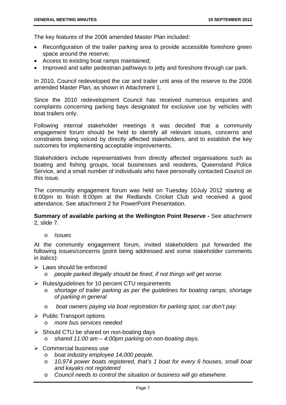The key features of the 2006 amended Master Plan included:

- Reconfiguration of the trailer parking area to provide accessible foreshore green space around the reserve;
- Access to existing boat ramps maintained;
- Improved and safer pedestrian pathways to jetty and foreshore through car park.

In 2010, Council redeveloped the car and trailer unit area of the reserve to the 2006 amended Master Plan, as shown in Attachment 1.

Since the 2010 redevelopment Council has received numerous enquiries and complaints concerning parking bays designated for exclusive use by vehicles with boat trailers only.

Following internal stakeholder meetings it was decided that a community engagement forum should be held to identify all relevant issues, concerns and constraints being voiced by directly affected stakeholders, and to establish the key outcomes for implementing acceptable improvements.

Stakeholders include representatives from directly affected organisations such as boating and fishing groups, local businesses and residents, Queensland Police Service, and a small number of individuals who have personally contacted Council on this issue.

The community engagement forum was held on Tuesday 10July 2012 starting at 6:00pm to finish 8:00pm at the Redlands Cricket Club and received a good attendance. See attachment 2 for PowerPoint Presentation.

**Summary of available parking at the Wellington Point Reserve -** See attachment 2, slide 7.

o *Issues* 

At the community engagement forum, invited stakeholders put forwarded the following issues/concerns (point being addressed and some stakeholder comments in italics):

- $\triangleright$  Laws should be enforced
	- o *people parked illegally should be fined*, *if not things will get worse.*
- $\triangleright$  Rules/guidelines for 10 percent CTU requirements
	- o *shortage of trailer parking as per the guidelines for boating ramps, shortage of parking in general*
	- o *boat owners paying via boat registration for parking spot, car don't pay.*
- $\triangleright$  Public Transport options
	- o *more bus services needed*
- $\triangleright$  Should CTU be shared on non-boating days
	- shared 11:00 am 4:00pm parking on non-boating days.
- $\triangleright$  Commercial business use
	- o *boat industry employee 14,000 people.*
	- o *10,974 power boats registered, that's 1 boat for every 6 houses, small boat and kayaks not registered*
	- o *Council needs to control the situation or business will go elsewhere.*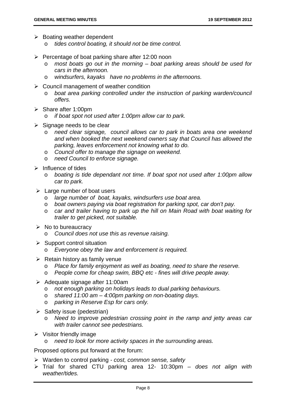- $\triangleright$  Boating weather dependent
	- o *tides control boating, it should not be time control.*
- $\triangleright$  Percentage of boat parking share after 12:00 noon
	- o *most boats go out in the morning boat parking areas should be used for cars in the afternoon.*
	- o *windsurfers, kayaks have no problems in the afternoons.*
- $\triangleright$  Council management of weather condition
	- o *boat area parking controlled under the instruction of parking warden/council offers.*
- $\triangleright$  Share after 1:00pm
	- o *if boat spot not used after 1:00pm allow car to park.*
- $\triangleright$  Signage needs to be clear
	- o *need clear signage, council allows car to park in boats area one weekend and when booked the next weekend owners say that Council has allowed the parking, leaves enforcement not knowing what to do.*
	- o *Council offer to manage the signage on weekend.*
	- o *need Council to enforce signage.*
- $\triangleright$  Influence of tides
	- o *boating is tide dependant not time. If boat spot not used after 1:00pm allow car to park.*
- $\triangleright$  Large number of boat users
	- o *large number of boat, kayaks, windsurfers use boat area.*
	- o *boat owners paying via boat registration for parking spot, car don't pay.*
	- o *car and trailer having to park up the hill on Main Road with boat waiting for trailer to get picked, not suitable.*
- $\triangleright$  No to bureaucracy
	- o *Council does not use this as revenue raising.*
- $\triangleright$  Support control situation
	- o *Everyone obey the law and enforcement is required.*
- $\triangleright$  Retain history as family venue
	- o *Place for family enjoyment as well as boating, need to share the reserve.*
	- o *People come for cheap swim, BBQ etc fines will drive people away.*
- $\triangleright$  Adequate signage after 11:00am
	- o *not enough parking on holidays leads to dual parking behaviours.*
	- o *shared 11:00 am 4:00pm parking on non-boating days.*
	- parking in Reserve Esp for cars only.
- $\triangleright$  Safety issue (pedestrian)
	- o *Need to improve pedestrian crossing point in the ramp and jetty areas car with trailer cannot see pedestrians.*
- $\triangleright$  Visitor friendly image
	- need to look for more activity spaces in the surrounding areas.

Proposed options put forward at the forum:

- Warden to control parking  *cost, common sense, safety*
- Trial for shared CTU parking area 12- 10:30pm  *does not align with weather/tides.*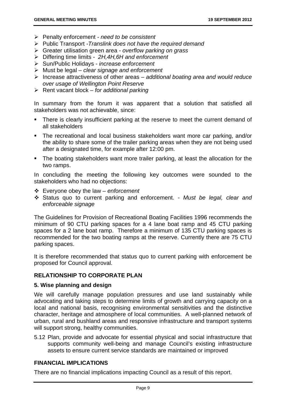- Penalty enforcement  *need to be consistent*
- Public Transport *-Translink does not have the required demand*
- Greater utilisation green area  *overflow parking on grass*
- Differing time limits  *2H,4H,6H and enforcement*
- Sun/Public Holidays *increase enforcement*
- Must be legal  *clear signage and enforcement*
- Increase attractiveness of other areas  *additional boating area and would reduce over usage of Wellington Point Reserve*
- Rent vacant block  *for additional parking*

In summary from the forum it was apparent that a solution that satisfied all stakeholders was not achievable, since:

- There is clearly insufficient parking at the reserve to meet the current demand of all stakeholders
- The recreational and local business stakeholders want more car parking, and/or the ability to share some of the trailer parking areas when they are not being used after a designated time, for example after 12:00 pm.
- The boating stakeholders want more trailer parking, at least the allocation for the two ramps.

In concluding the meeting the following key outcomes were sounded to the stakeholders who had no objections:

- Everyone obey the law  *enforcement*
- Status quo to current parking and enforcement. *Must be legal, clear and enforceable signage*

The Guidelines for Provision of Recreational Boating Facilities 1996 recommends the minimum of 90 CTU parking spaces for a 4 lane boat ramp and 45 CTU parking spaces for a 2 lane boat ramp. Therefore a minimum of 135 CTU parking spaces is recommended for the two boating ramps at the reserve. Currently there are 75 CTU parking spaces.

It is therefore recommended that status quo to current parking with enforcement be proposed for Council approval.

#### **RELATIONSHIP TO CORPORATE PLAN**

#### **5. Wise planning and design**

We will carefully manage population pressures and use land sustainably while advocating and taking steps to determine limits of growth and carrying capacity on a local and national basis, recognising environmental sensitivities and the distinctive character, heritage and atmosphere of local communities. A well-planned network of urban, rural and bushland areas and responsive infrastructure and transport systems will support strong, healthy communities.

5.12 Plan, provide and advocate for essential physical and social infrastructure that supports community well-being and manage Council's existing infrastructure assets to ensure current service standards are maintained or improved

#### **FINANCIAL IMPLICATIONS**

There are no financial implications impacting Council as a result of this report.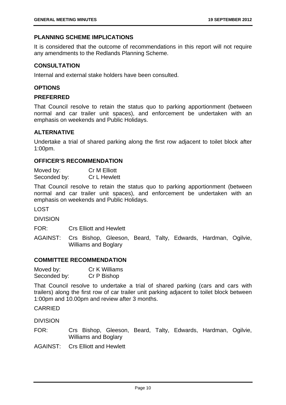#### **PLANNING SCHEME IMPLICATIONS**

It is considered that the outcome of recommendations in this report will not require any amendments to the Redlands Planning Scheme.

#### **CONSULTATION**

Internal and external stake holders have been consulted.

#### **OPTIONS**

#### **PREFERRED**

That Council resolve to retain the status quo to parking apportionment (between normal and car trailer unit spaces), and enforcement be undertaken with an emphasis on weekends and Public Holidays.

#### **ALTERNATIVE**

Undertake a trial of shared parking along the first row adjacent to toilet block after 1:00pm.

#### **OFFICER'S RECOMMENDATION**

Moved by: Cr M Elliott Seconded by: Cr L Hewlett

That Council resolve to retain the status quo to parking apportionment (between normal and car trailer unit spaces), and enforcement be undertaken with an emphasis on weekends and Public Holidays.

LOST

DIVISION

FOR: Crs Elliott and Hewlett

AGAINST: Crs Bishop, Gleeson, Beard, Talty, Edwards, Hardman, Ogilvie, Williams and Boglary

#### **COMMITTEE RECOMMENDATION**

| Moved by:    | Cr K Williams |
|--------------|---------------|
| Seconded by: | Cr P Bishop   |

That Council resolve to undertake a trial of shared parking (cars and cars with trailers) along the first row of car trailer unit parking adjacent to toilet block between 1:00pm and 10.00pm and review after 3 months.

#### CARRIED

DIVISION

FOR: Crs Bishop, Gleeson, Beard, Talty, Edwards, Hardman, Ogilvie, Williams and Boglary

AGAINST: Crs Elliott and Hewlett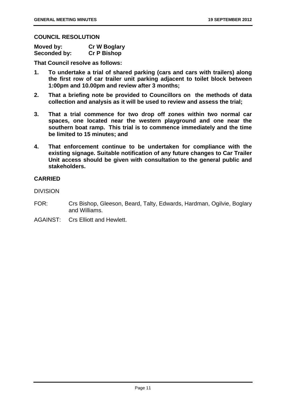#### **COUNCIL RESOLUTION**

| Moved by:    | <b>Cr W Boglary</b> |
|--------------|---------------------|
| Seconded by: | <b>Cr P Bishop</b>  |

**That Council resolve as follows:** 

- **1. To undertake a trial of shared parking (cars and cars with trailers) along the first row of car trailer unit parking adjacent to toilet block between 1:00pm and 10.00pm and review after 3 months;**
- **2. That a briefing note be provided to Councillors on the methods of data collection and analysis as it will be used to review and assess the trial;**
- **3. That a trial commence for two drop off zones within two normal car spaces, one located near the western playground and one near the southern boat ramp. This trial is to commence immediately and the time be limited to 15 minutes; and**
- **4. That enforcement continue to be undertaken for compliance with the existing signage. Suitable notification of any future changes to Car Trailer Unit access should be given with consultation to the general public and stakeholders.**

#### **CARRIED**

DIVISION

- FOR: Crs Bishop, Gleeson, Beard, Talty, Edwards, Hardman, Ogilvie, Boglary and Williams.
- AGAINST: Crs Elliott and Hewlett.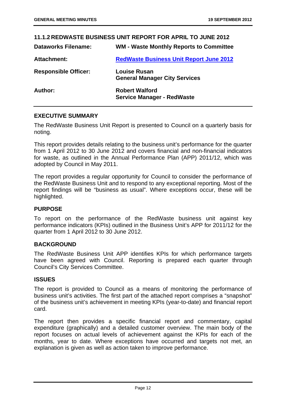|                             | 11.1.2 REDWASTE BUSINESS UNIT REPORT FOR APRIL TO JUNE 2012 |
|-----------------------------|-------------------------------------------------------------|
| <b>Dataworks Filename:</b>  | <b>WM - Waste Monthly Reports to Committee</b>              |
| Attachment:                 | <b>RedWaste Business Unit Report June 2012</b>              |
| <b>Responsible Officer:</b> | <b>Louise Rusan</b><br><b>General Manager City Services</b> |
| Author:                     | <b>Robert Walford</b><br><b>Service Manager - RedWaste</b>  |

#### **EXECUTIVE SUMMARY**

The RedWaste Business Unit Report is presented to Council on a quarterly basis for noting.

This report provides details relating to the business unit's performance for the quarter from 1 April 2012 to 30 June 2012 and covers financial and non-financial indicators for waste, as outlined in the Annual Performance Plan (APP) 2011/12, which was adopted by Council in May 2011.

The report provides a regular opportunity for Council to consider the performance of the RedWaste Business Unit and to respond to any exceptional reporting. Most of the report findings will be "business as usual". Where exceptions occur, these will be highlighted.

#### **PURPOSE**

To report on the performance of the RedWaste business unit against key performance indicators (KPIs) outlined in the Business Unit's APP for 2011/12 for the quarter from 1 April 2012 to 30 June 2012.

#### **BACKGROUND**

The RedWaste Business Unit APP identifies KPIs for which performance targets have been agreed with Council. Reporting is prepared each quarter through Council's City Services Committee.

#### **ISSUES**

The report is provided to Council as a means of monitoring the performance of business unit's activities. The first part of the attached report comprises a "snapshot" of the business unit's achievement in meeting KPIs (year-to-date) and financial report card.

The report then provides a specific financial report and commentary, capital expenditure (graphically) and a detailed customer overview. The main body of the report focuses on actual levels of achievement against the KPIs for each of the months, year to date. Where exceptions have occurred and targets not met, an explanation is given as well as action taken to improve performance.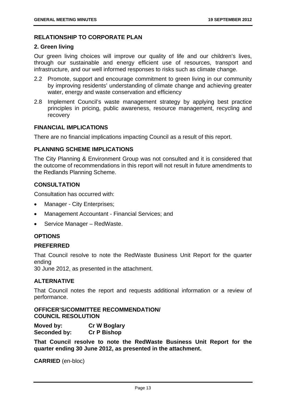#### **RELATIONSHIP TO CORPORATE PLAN**

#### **2. Green living**

Our green living choices will improve our quality of life and our children's lives, through our sustainable and energy efficient use of resources, transport and infrastructure, and our well informed responses to risks such as climate change.

- 2.2 Promote, support and encourage commitment to green living in our community by improving residents' understanding of climate change and achieving greater water, energy and waste conservation and efficiency
- 2.8 Implement Council's waste management strategy by applying best practice principles in pricing, public awareness, resource management, recycling and recovery

#### **FINANCIAL IMPLICATIONS**

There are no financial implications impacting Council as a result of this report.

#### **PLANNING SCHEME IMPLICATIONS**

The City Planning & Environment Group was not consulted and it is considered that the outcome of recommendations in this report will not result in future amendments to the Redlands Planning Scheme.

#### **CONSULTATION**

Consultation has occurred with:

- Manager City Enterprises;
- Management Accountant Financial Services; and
- Service Manager RedWaste.

#### **OPTIONS**

#### **PREFERRED**

That Council resolve to note the RedWaste Business Unit Report for the quarter ending

30 June 2012, as presented in the attachment.

#### **ALTERNATIVE**

That Council notes the report and requests additional information or a review of performance.

**OFFICER'S/COMMITTEE RECOMMENDATION/ COUNCIL RESOLUTION** 

**Moved by: Cr W Boglary Seconded by: Cr P Bishop** 

**That Council resolve to note the RedWaste Business Unit Report for the quarter ending 30 June 2012, as presented in the attachment.**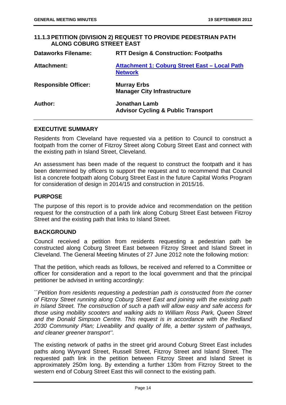#### **11.1.3 PETITION (DIVISION 2) REQUEST TO PROVIDE PEDESTRIAN PATH ALONG COBURG STREET EAST**

| <b>Dataworks Filename:</b>  | <b>RTT Design &amp; Construction: Footpaths</b>                 |
|-----------------------------|-----------------------------------------------------------------|
| <b>Attachment:</b>          | Attachment 1: Coburg Street East - Local Path<br><b>Network</b> |
| <b>Responsible Officer:</b> | <b>Murray Erbs</b><br><b>Manager City Infrastructure</b>        |
| Author:                     | Jonathan Lamb<br><b>Advisor Cycling &amp; Public Transport</b>  |

#### **EXECUTIVE SUMMARY**

Residents from Cleveland have requested via a petition to Council to construct a footpath from the corner of Fitzroy Street along Coburg Street East and connect with the existing path in Island Street, Cleveland.

An assessment has been made of the request to construct the footpath and it has been determined by officers to support the request and to recommend that Council list a concrete footpath along Coburg Street East in the future Capital Works Program for consideration of design in 2014/15 and construction in 2015/16.

#### **PURPOSE**

The purpose of this report is to provide advice and recommendation on the petition request for the construction of a path link along Coburg Street East between Fitzroy Street and the existing path that links to Island Street.

#### **BACKGROUND**

Council received a petition from residents requesting a pedestrian path be constructed along Coburg Street East between Fitzroy Street and Island Street in Cleveland. The General Meeting Minutes of 27 June 2012 note the following motion:

That the petition, which reads as follows, be received and referred to a Committee or officer for consideration and a report to the local government and that the principal petitioner be advised in writing accordingly:

*``Petition from residents requesting a pedestrian path is constructed from the corner of Fitzroy Street running along Coburg Street East and joining with the existing path in Island Street. The construction of such a path will allow easy and safe access for those using mobility scooters and walking aids to William Ross Park, Queen Street and the Donald Simpson Centre. This request is in accordance with the Redland 2030 Community Plan; Liveability and quality of life, a better system of pathways, and cleaner greener transport''.* 

The existing network of paths in the street grid around Coburg Street East includes paths along Wynyard Street, Russell Street, Fitzroy Street and Island Street. The requested path link in the petition between Fitzroy Street and Island Street is approximately 250m long. By extending a further 130m from Fitzroy Street to the western end of Coburg Street East this will connect to the existing path.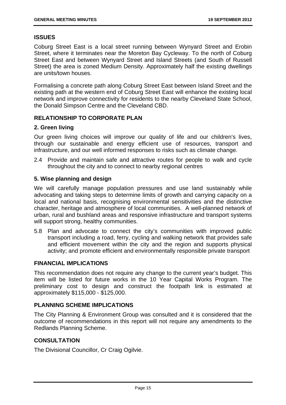#### **ISSUES**

Coburg Street East is a local street running between Wynyard Street and Erobin Street, where it terminates near the Moreton Bay Cycleway. To the north of Coburg Street East and between Wynyard Street and Island Streets (and South of Russell Street) the area is zoned Medium Density. Approximately half the existing dwellings are units/town houses.

Formalising a concrete path along Coburg Street East between Island Street and the existing path at the western end of Coburg Street East will enhance the existing local network and improve connectivity for residents to the nearby Cleveland State School, the Donald Simpson Centre and the Cleveland CBD.

#### **RELATIONSHIP TO CORPORATE PLAN**

#### **2. Green living**

Our green living choices will improve our quality of life and our children's lives, through our sustainable and energy efficient use of resources, transport and infrastructure, and our well informed responses to risks such as climate change.

2.4 Provide and maintain safe and attractive routes for people to walk and cycle throughout the city and to connect to nearby regional centres

#### **5. Wise planning and design**

We will carefully manage population pressures and use land sustainably while advocating and taking steps to determine limits of growth and carrying capacity on a local and national basis, recognising environmental sensitivities and the distinctive character, heritage and atmosphere of local communities. A well-planned network of urban, rural and bushland areas and responsive infrastructure and transport systems will support strong, healthy communities.

5.8 Plan and advocate to connect the city's communities with improved public transport including a road, ferry, cycling and walking network that provides safe and efficient movement within the city and the region and supports physical activity; and promote efficient and environmentally responsible private transport

#### **FINANCIAL IMPLICATIONS**

This recommendation does not require any change to the current year's budget. This item will be listed for future works in the 10 Year Capital Works Program. The preliminary cost to design and construct the footpath link is estimated at approximately \$115,000 - \$125,000.

#### **PLANNING SCHEME IMPLICATIONS**

The City Planning & Environment Group was consulted and it is considered that the outcome of recommendations in this report will not require any amendments to the Redlands Planning Scheme.

#### **CONSULTATION**

The Divisional Councillor, Cr Craig Ogilvie.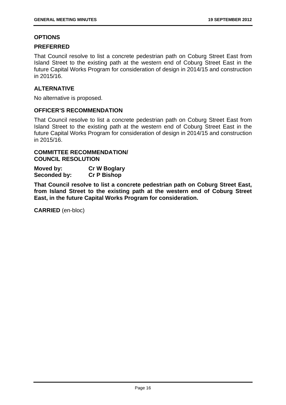#### **OPTIONS**

#### **PREFERRED**

That Council resolve to list a concrete pedestrian path on Coburg Street East from Island Street to the existing path at the western end of Coburg Street East in the future Capital Works Program for consideration of design in 2014/15 and construction in 2015/16.

#### **ALTERNATIVE**

No alternative is proposed.

#### **OFFICER'S RECOMMENDATION**

That Council resolve to list a concrete pedestrian path on Coburg Street East from Island Street to the existing path at the western end of Coburg Street East in the future Capital Works Program for consideration of design in 2014/15 and construction in 2015/16.

#### **COMMITTEE RECOMMENDATION/ COUNCIL RESOLUTION**

| Moved by:    | <b>Cr W Boglary</b> |
|--------------|---------------------|
| Seconded by: | <b>Cr P Bishop</b>  |

**That Council resolve to list a concrete pedestrian path on Coburg Street East, from Island Street to the existing path at the western end of Coburg Street East, in the future Capital Works Program for consideration.**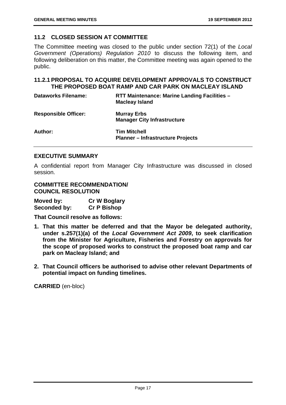#### **11.2 CLOSED SESSION AT COMMITTEE**

The Committee meeting was closed to the public under section 72(1) of the *Local Government (Operations) Regulation 2010* to discuss the following item, and following deliberation on this matter, the Committee meeting was again opened to the public.

#### **11.2.1 PROPOSAL TO ACQUIRE DEVELOPMENT APPROVALS TO CONSTRUCT THE PROPOSED BOAT RAMP AND CAR PARK ON MACLEAY ISLAND**

| <b>Dataworks Filename:</b>  | RTT Maintenance: Marine Landing Facilities -<br><b>Macleay Island</b> |
|-----------------------------|-----------------------------------------------------------------------|
| <b>Responsible Officer:</b> | <b>Murray Erbs</b><br><b>Manager City Infrastructure</b>              |
| Author:                     | <b>Tim Mitchell</b><br><b>Planner - Infrastructure Projects</b>       |

#### **EXECUTIVE SUMMARY**

A confidential report from Manager City Infrastructure was discussed in closed session.

#### **COMMITTEE RECOMMENDATION/ COUNCIL RESOLUTION**

| Moved by:    | <b>Cr W Boglary</b> |
|--------------|---------------------|
| Seconded by: | <b>Cr P Bishop</b>  |

**That Council resolve as follows:** 

- **1. That this matter be deferred and that the Mayor be delegated authority, under s.257(1)(a) of the** *Local Government Act 2009***, to seek clarification from the Minister for Agriculture, Fisheries and Forestry on approvals for the scope of proposed works to construct the proposed boat ramp and car park on Macleay Island; and**
- **2. That Council officers be authorised to advise other relevant Departments of potential impact on funding timelines.**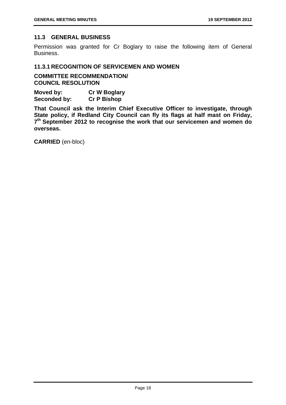#### **11.3 GENERAL BUSINESS**

Permission was granted for Cr Boglary to raise the following item of General Business.

#### **11.3.1 RECOGNITION OF SERVICEMEN AND WOMEN**

**COMMITTEE RECOMMENDATION/ COUNCIL RESOLUTION** 

**Moved by: Cr W Boglary Seconded by: Cr P Bishop** 

**That Council ask the Interim Chief Executive Officer to investigate, through State policy, if Redland City Council can fly its flags at half mast on Friday, 7th September 2012 to recognise the work that our servicemen and women do overseas.**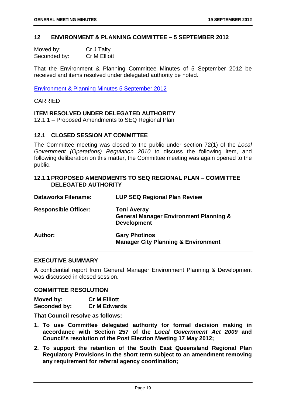#### **12 ENVIRONMENT & PLANNING COMMITTEE – 5 SEPTEMBER 2012**

| Moved by:    | Cr J Talty   |
|--------------|--------------|
| Seconded by: | Cr M Elliott |

That the Environment & Planning Committee Minutes of 5 September 2012 be received and items resolved under delegated authority be noted.

Environment & Planning Minutes 5 September 2012

#### CARRIED

#### **ITEM RESOLVED UNDER DELEGATED AUTHORITY**

12.1.1 – Proposed Amendments to SEQ Regional Plan

#### **12.1 CLOSED SESSION AT COMMITTEE**

The Committee meeting was closed to the public under section 72(1) of the *Local Government (Operations) Regulation 2010* to discuss the following item, and following deliberation on this matter, the Committee meeting was again opened to the public.

#### **12.1.1 PROPOSED AMENDMENTS TO SEQ REGIONAL PLAN – COMMITTEE DELEGATED AUTHORITY**

| <b>Dataworks Filename:</b>  | <b>LUP SEQ Regional Plan Review</b>                                                           |
|-----------------------------|-----------------------------------------------------------------------------------------------|
| <b>Responsible Officer:</b> | <b>Toni Averay</b><br><b>General Manager Environment Planning &amp;</b><br><b>Development</b> |
| Author:                     | <b>Gary Photinos</b><br><b>Manager City Planning &amp; Environment</b>                        |

#### **EXECUTIVE SUMMARY**

A confidential report from General Manager Environment Planning & Development was discussed in closed session.

#### **COMMITTEE RESOLUTION**

**Moved by: Cr M Elliott Seconded by: Cr M Edwards** 

**That Council resolve as follows:** 

- **1. To use Committee delegated authority for formal decision making in accordance with Section 257 of the** *Local Government Act 2009* **and Council's resolution of the Post Election Meeting 17 May 2012;**
- **2. To support the retention of the South East Queensland Regional Plan Regulatory Provisions in the short term subject to an amendment removing any requirement for referral agency coordination;**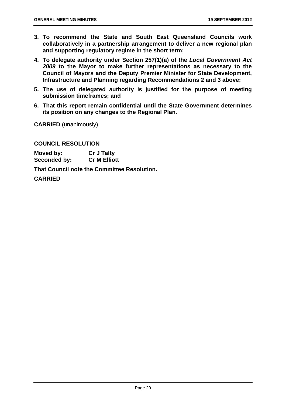- **3. To recommend the State and South East Queensland Councils work collaboratively in a partnership arrangement to deliver a new regional plan and supporting regulatory regime in the short term;**
- **4. To delegate authority under Section 257(1)(a) of the** *Local Government Act 2009* **to the Mayor to make further representations as necessary to the Council of Mayors and the Deputy Premier Minister for State Development, Infrastructure and Planning regarding Recommendations 2 and 3 above;**
- **5. The use of delegated authority is justified for the purpose of meeting submission timeframes; and**
- **6. That this report remain confidential until the State Government determines its position on any changes to the Regional Plan.**

**CARRIED** (unanimously)

**COUNCIL RESOLUTION**

**Moved by: Cr J Talty Seconded by: Cr M Elliott** 

**That Council note the Committee Resolution.** 

**CARRIED**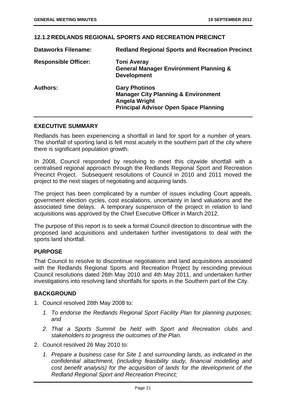|                             | <u>IZ.I.Z REDLANDS REGIUNAL SPURTS AND REUREATIUN PREUINUT</u>                                                                                 |
|-----------------------------|------------------------------------------------------------------------------------------------------------------------------------------------|
| <b>Dataworks Filename:</b>  | <b>Redland Regional Sports and Recreation Precinct</b>                                                                                         |
| <b>Responsible Officer:</b> | <b>Toni Averay</b><br><b>General Manager Environment Planning &amp;</b><br><b>Development</b>                                                  |
| <b>Authors:</b>             | <b>Gary Photinos</b><br><b>Manager City Planning &amp; Environment</b><br><b>Angela Wright</b><br><b>Principal Advisor Open Space Planning</b> |

#### **12.1.2 REDLANDS REGIONAL SPORTS AND RECREATION PRECINCT**

#### **EXECUTIVE SUMMARY**

Redlands has been experiencing a shortfall in land for sport for a number of years. The shortfall of sporting land is felt most acutely in the southern part of the city where there is significant population growth.

In 2008, Council responded by resolving to meet this citywide shortfall with a centralised regional approach through the Redlands Regional Sport and Recreation Precinct Project. Subsequent resolutions of Council in 2010 and 2011 moved the project to the next stages of negotiating and acquiring lands.

The project has been complicated by a number of issues including Court appeals, government election cycles, cost escalations, uncertainty in land valuations and the associated time delays. A temporary suspension of the project in relation to land acquisitions was approved by the Chief Executive Officer in March 2012.

The purpose of this report is to seek a formal Council direction to discontinue with the proposed land acquisitions and undertaken further investigations to deal with the sports land shortfall.

#### **PURPOSE**

That Council to resolve to discontinue negotiations and land acquisitions associated with the Redlands Regional Sports and Recreation Project by rescinding previous Council resolutions dated 26th May 2010 and 4th May 2011, and undertaken further investigations into resolving land shortfalls for sports in the Southern part of the City.

#### **BACKGROUND**

- 1. Council resolved 28th May 2008 to:
	- *1. To endorse the Redlands Regional Sport Facility Plan for planning purposes; and*
	- *2. That a Sports Summit be held with Sport and Recreation clubs and stakeholders to progress the outcomes of the Plan.*
- 2. Council resolved 26 May 2010 to:
	- *1. Prepare a business case for Site 1 and surrounding lands, as indicated in the confidential attachment, (including feasibility study, financial modelling and cost benefit analysis) for the acquisition of lands for the development of the Redland Regional Sport and Recreation Precinct;*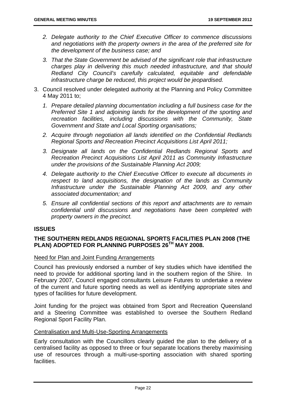- *2. Delegate authority to the Chief Executive Officer to commence discussions and negotiations with the property owners in the area of the preferred site for the development of the business case; and*
- *3. That the State Government be advised of the significant role that infrastructure charges play in delivering this much needed infrastructure, and that should Redland City Council's carefully calculated, equitable and defendable infrastructure charge be reduced, this project would be jeopardised.*
- 3. Council resolved under delegated authority at the Planning and Policy Committee 4 May 2011 to;
	- *1. Prepare detailed planning documentation including a full business case for the Preferred Site 1 and adjoining lands for the development of the sporting and recreation facilities, including discussions with the Community, State Government and State and Local Sporting organisations;*
	- *2. Acquire through negotiation all lands identified on the Confidential Redlands Regional Sports and Recreation Precinct Acquisitions List April 2011;*
	- *3. Designate all lands on the Confidential Redlands Regional Sports and Recreation Precinct Acquisitions List April 2011 as Community Infrastructure under the provisions of the Sustainable Planning Act 2009;*
	- *4. Delegate authority to the Chief Executive Officer to execute all documents in respect to land acquisitions, the designation of the lands as Community Infrastructure under the Sustainable Planning Act 2009, and any other associated documentation; and*
	- *5. Ensure all confidential sections of this report and attachments are to remain confidential until discussions and negotiations have been completed with property owners in the precinct.*

#### **ISSUES**

#### **THE SOUTHERN REDLANDS REGIONAL SPORTS FACILITIES PLAN 2008 (THE PLAN) ADOPTED FOR PLANNING PURPOSES 26TH MAY 2008.**

#### Need for Plan and Joint Funding Arrangements

Council has previously endorsed a number of key studies which have identified the need to provide for additional sporting land in the southern region of the Shire. In February 2007, Council engaged consultants Leisure Futures to undertake a review of the current and future sporting needs as well as identifying appropriate sites and types of facilities for future development.

Joint funding for the project was obtained from Sport and Recreation Queensland and a Steering Committee was established to oversee the Southern Redland Regional Sport Facility Plan.

#### Centralisation and Multi-Use-Sporting Arrangements

Early consultation with the Councillors clearly guided the plan to the delivery of a centralised facility as opposed to three or four separate locations thereby maximising use of resources through a multi-use-sporting association with shared sporting facilities.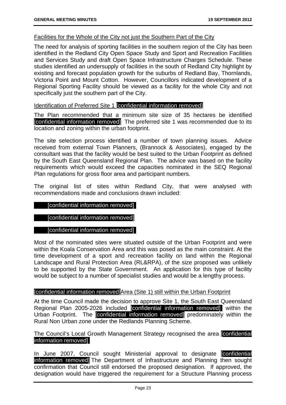#### Facilities for the Whole of the City not just the Southern Part of the City

The need for analysis of sporting facilities in the southern region of the City has been identified in the Redland City Open Space Study and Sport and Recreation Facilities and Services Study and draft Open Space Infrastructure Charges Schedule. These studies identified an undersupply of facilities in the south of Redland City highlight by existing and forecast population growth for the suburbs of Redland Bay, Thornlands, Victoria Point and Mount Cotton. However, Councillors indicated development of a Regional Sporting Facility should be viewed as a facility for the whole City and not specifically just the southern part of the City.

#### Identification of Preferred Site 1 [confidential information removed]

The Plan recommended that a minimum site size of 35 hectares be identified [confidential information removed] The preferred site 1 was recommended due to its location and zoning within the urban footprint.

The site selection process identified a number of town planning issues. Advice received from external Town Planners, (Brannock & Associates), engaged by the consultant was that the facility would be best suited to the Urban Footprint as defined by the South East Queensland Regional Plan. The advice was based on the facility requirements which would exceed the capacities nominated in the SEQ Regional Plan regulations for gross floor area and participant numbers.

The original list of sites within Redland City, that were analysed with recommendations made and conclusions drawn included:

#### [confidential information removed]

#### [confidential information removed]

#### [confidential information removed]

Most of the nominated sites were situated outside of the Urban Footprint and were within the Koala Conservation Area and this was posed as the main constraint. At the time development of a sport and recreation facility on land within the Regional Landscape and Rural Protection Area (RL&RPA), of the size proposed was unlikely to be supported by the State Government. An application for this type of facility would be subject to a number of specialist studies and would be a lengthy process.

#### [confidential information removed]Area (Site 1) still within the Urban Footprint

At the time Council made the decision to approve Site 1, the South East Queensland Regional Plan 2005-2026 included [confidential information removed]) within the Urban Footprint. The *confidential information removed*] predominately within the Rural Non Urban zone under the Redlands Planning Scheme.

The Council's Local Growth Management Strategy recognised the area [confidential information removed].

In June 2007, Council sought Ministerial approval to designate confidential information removed] The Department of Infrastructure and Planning then sought confirmation that Council still endorsed the proposed designation. If approved, the designation would have triggered the requirement for a Structure Planning process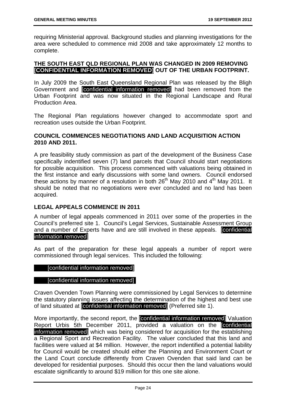requiring Ministerial approval. Background studies and planning investigations for the area were scheduled to commence mid 2008 and take approximately 12 months to complete.

#### **THE SOUTH EAST QLD REGIONAL PLAN WAS CHANGED IN 2009 REMOVING [CONFIDENTIAL INFORMATION REMOVED] OUT OF THE URBAN FOOTPRINT.**

In July 2009 the South East Queensland Regional Plan was released by the Bligh Government and [confidential information removed] had been removed from the Urban Footprint and was now situated in the Regional Landscape and Rural Production Area.

The Regional Plan regulations however changed to accommodate sport and recreation uses outside the Urban Footprint.

#### **COUNCIL COMMENCES NEGOTIATIONS AND LAND ACQUISITION ACTION 2010 AND 2011.**

A pre feasibility study commission as part of the development of the Business Case specifically indentified seven (7) land parcels that Council should start negotiations for possible acquisition. This process commenced with valuations being obtained in the first instance and early discussions with some land owners. Council endorsed these actions by manner of a resolution in both  $26<sup>th</sup>$  May 2010 and  $4<sup>th</sup>$  May 2011. It should be noted that no negotiations were ever concluded and no land has been acquired.

#### **LEGAL APPEALS COMMENCE IN 2011**

A number of legal appeals commenced in 2011 over some of the properties in the Council's preferred site 1. Council's Legal Services, Sustainable Assessment Group and a number of Experts have and are still involved in these appeals. [confidential information removed]

As part of the preparation for these legal appeals a number of report were commissioned through legal services. This included the following:

#### [confidential information removed]

#### [confidential information removed].

Craven Ovenden Town Planning were commissioned by Legal Services to determine the statutory planning issues affecting the determination of the highest and best use of land situated at [confidential information removed] (Preferred site 1).

More importantly, the second report, the [confidential information removed] Valuation Report Urbis 5th December 2011, provided a valuation on the [confidential information removed] which was being considered for acquisition for the establishing a Regional Sport and Recreation Facility. The valuer concluded that this land and facilities were valued at \$4 million. However, the report indentified a potential liability for Council would be created should either the Planning and Environment Court or the Land Court conclude differently from Craven Ovenden that said land can be developed for residential purposes. Should this occur then the land valuations would escalate significantly to around \$19 million for this one site alone.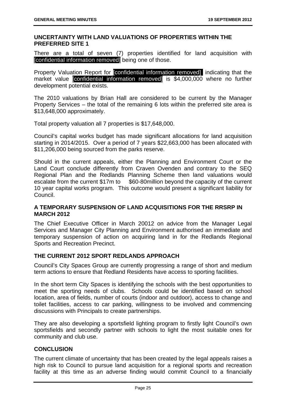#### **UNCERTAINTY WITH LAND VALUATIONS OF PROPERTIES WITHIN THE PREFERRED SITE 1**

There are a total of seven (7) properties identified for land acquisition with [confidential information removed] being one of those.

Property Valuation Report for **Confidential information removed** indicating that the market value [confidential information removed] is \$4,000,000 where no further development potential exists.

The 2010 valuations by Brian Hall are considered to be current by the Manager Property Services – the total of the remaining 6 lots within the preferred site area is \$13,648,000 approximately.

Total property valuation all 7 properties is \$17,648,000.

Council's capital works budget has made significant allocations for land acquisition starting in 2014/2015. Over a period of 7 years \$22,663,000 has been allocated with \$11,206,000 being sourced from the parks reserve.

Should in the current appeals, either the Planning and Environment Court or the Land Court conclude differently from Craven Ovenden and contrary to the SEQ Regional Plan and the Redlands Planning Scheme then land valuations would escalate from the current \$17m to \$60-80million beyond the capacity of the current 10 year capital works program. This outcome would present a significant liability for Council.

#### **A TEMPORARY SUSPENSION OF LAND ACQUISITIONS FOR THE RRSRP IN MARCH 2012**

The Chief Executive Officer in March 20012 on advice from the Manager Legal Services and Manager City Planning and Environment authorised an immediate and temporary suspension of action on acquiring land in for the Redlands Regional Sports and Recreation Precinct.

#### **THE CURRENT 2012 SPORT REDLANDS APPROACH**

Council's City Spaces Group are currently progressing a range of short and medium term actions to ensure that Redland Residents have access to sporting facilities.

In the short term City Spaces is identifying the schools with the best opportunities to meet the sporting needs of clubs. Schools could be identified based on school location, area of fields, number of courts (indoor and outdoor), access to change and toilet facilities, access to car parking, willingness to be involved and commencing discussions with Principals to create partnerships.

They are also developing a sportsfield lighting program to firstly light Council's own sportsfields and secondly partner with schools to light the most suitable ones for community and club use.

#### **CONCLUSION**

The current climate of uncertainty that has been created by the legal appeals raises a high risk to Council to pursue land acquisition for a regional sports and recreation facility at this time as an adverse finding would commit Council to a financially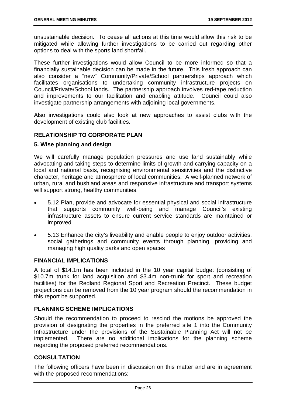unsustainable decision. To cease all actions at this time would allow this risk to be mitigated while allowing further investigations to be carried out regarding other options to deal with the sports land shortfall.

These further investigations would allow Council to be more informed so that a financially sustainable decision can be made in the future. This fresh approach can also consider a "new" Community/Private/School partnerships approach which facilitates organisations to undertaking community infrastructure projects on Council/Private/School lands. The partnership approach involves red-tape reduction and improvements to our facilitation and enabling attitude. Council could also investigate partnership arrangements with adjoining local governments.

Also investigations could also look at new approaches to assist clubs with the development of existing club facilities.

#### **RELATIONSHIP TO CORPORATE PLAN**

#### **5. Wise planning and design**

We will carefully manage population pressures and use land sustainably while advocating and taking steps to determine limits of growth and carrying capacity on a local and national basis, recognising environmental sensitivities and the distinctive character, heritage and atmosphere of local communities. A well-planned network of urban, rural and bushland areas and responsive infrastructure and transport systems will support strong, healthy communities.

- 5.12 Plan, provide and advocate for essential physical and social infrastructure that supports community well-being and manage Council's existing infrastructure assets to ensure current service standards are maintained or improved
- 5.13 Enhance the city's liveability and enable people to enjoy outdoor activities, social gatherings and community events through planning, providing and managing high quality parks and open spaces

#### **FINANCIAL IMPLICATIONS**

A total of \$14.1m has been included in the 10 year capital budget (consisting of \$10.7m trunk for land acquisition and \$3.4m non-trunk for sport and recreation facilities) for the Redland Regional Sport and Recreation Precinct. These budget projections can be removed from the 10 year program should the recommendation in this report be supported.

#### **PLANNING SCHEME IMPLICATIONS**

Should the recommendation to proceed to rescind the motions be approved the provision of designating the properties in the preferred site 1 into the Community Infrastructure under the provisions of the Sustainable Planning Act will not be implemented. There are no additional implications for the planning scheme regarding the proposed preferred recommendations.

#### **CONSULTATION**

The following officers have been in discussion on this matter and are in agreement with the proposed recommendations: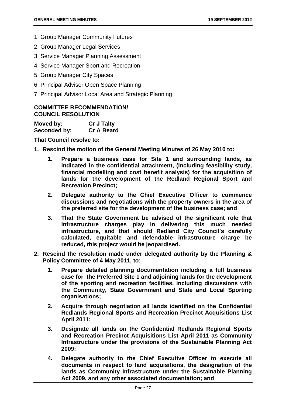- 1. Group Manager Community Futures
- 2. Group Manager Legal Services
- 3. Service Manager Planning Assessment
- 4. Service Manager Sport and Recreation
- 5. Group Manager City Spaces
- 6. Principal Advisor Open Space Planning
- 7. Principal Advisor Local Area and Strategic Planning

#### **COMMITTEE RECOMMENDATION/ COUNCIL RESOLUTION**

| Moved by:    | <b>Cr J Talty</b> |
|--------------|-------------------|
| Seconded by: | <b>Cr A Beard</b> |

**That Council resolve to:** 

- **1. Rescind the motion of the General Meeting Minutes of 26 May 2010 to:** 
	- **1. Prepare a business case for Site 1 and surrounding lands, as indicated in the confidential attachment, (including feasibility study, financial modelling and cost benefit analysis) for the acquisition of lands for the development of the Redland Regional Sport and Recreation Precinct;**
	- **2. Delegate authority to the Chief Executive Officer to commence discussions and negotiations with the property owners in the area of the preferred site for the development of the business case; and**
	- **3. That the State Government be advised of the significant role that infrastructure charges play in delivering this much needed infrastructure, and that should Redland City Council's carefully calculated, equitable and defendable infrastructure charge be reduced, this project would be jeopardised.**
- **2. Rescind the resolution made under delegated authority by the Planning & Policy Committee of 4 May 2011, to:** 
	- **1. Prepare detailed planning documentation including a full business case for the Preferred Site 1 and adjoining lands for the development of the sporting and recreation facilities, including discussions with the Community, State Government and State and Local Sporting organisations;**
	- **2. Acquire through negotiation all lands identified on the Confidential Redlands Regional Sports and Recreation Precinct Acquisitions List April 2011;**
	- **3. Designate all lands on the Confidential Redlands Regional Sports and Recreation Precinct Acquisitions List April 2011 as Community Infrastructure under the provisions of the Sustainable Planning Act 2009;**
	- **4. Delegate authority to the Chief Executive Officer to execute all documents in respect to land acquisitions, the designation of the lands as Community Infrastructure under the Sustainable Planning Act 2009, and any other associated documentation; and**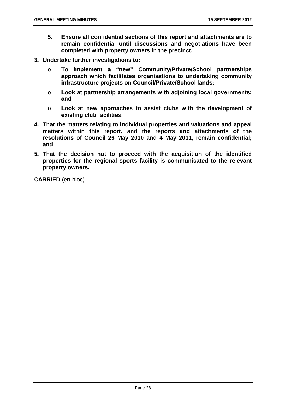- **5. Ensure all confidential sections of this report and attachments are to remain confidential until discussions and negotiations have been completed with property owners in the precinct.**
- **3. Undertake further investigations to:** 
	- o **To implement a "new" Community/Private/School partnerships approach which facilitates organisations to undertaking community infrastructure projects on Council/Private/School lands;**
	- o **Look at partnership arrangements with adjoining local governments; and**
	- o **Look at new approaches to assist clubs with the development of existing club facilities.**
- **4. That the matters relating to individual properties and valuations and appeal matters within this report, and the reports and attachments of the resolutions of Council 26 May 2010 and 4 May 2011, remain confidential; and**
- **5. That the decision not to proceed with the acquisition of the identified properties for the regional sports facility is communicated to the relevant property owners.**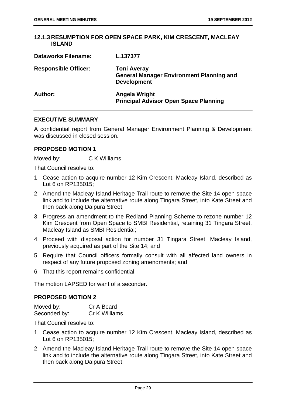#### **12.1.3 RESUMPTION FOR OPEN SPACE PARK, KIM CRESCENT, MACLEAY ISLAND**

| <b>Dataworks Filename:</b>  | L.137377                                                                                    |
|-----------------------------|---------------------------------------------------------------------------------------------|
| <b>Responsible Officer:</b> | <b>Toni Averay</b><br><b>General Manager Environment Planning and</b><br><b>Development</b> |
| Author:                     | <b>Angela Wright</b><br><b>Principal Advisor Open Space Planning</b>                        |

#### **EXECUTIVE SUMMARY**

A confidential report from General Manager Environment Planning & Development was discussed in closed session.

#### **PROPOSED MOTION 1**

Moved by: C K Williams

That Council resolve to:

- 1. Cease action to acquire number 12 Kim Crescent, Macleay Island, described as Lot 6 on RP135015;
- 2. Amend the Macleay Island Heritage Trail route to remove the Site 14 open space link and to include the alternative route along Tingara Street, into Kate Street and then back along Dalpura Street;
- 3. Progress an amendment to the Redland Planning Scheme to rezone number 12 Kim Crescent from Open Space to SMBI Residential, retaining 31 Tingara Street, Macleay Island as SMBI Residential;
- 4. Proceed with disposal action for number 31 Tingara Street, Macleay Island, previously acquired as part of the Site 14; and
- 5. Require that Council officers formally consult with all affected land owners in respect of any future proposed zoning amendments; and
- 6. That this report remains confidential.

The motion LAPSED for want of a seconder.

#### **PROPOSED MOTION 2**

| Moved by:    | Cr A Beard    |
|--------------|---------------|
| Seconded by: | Cr K Williams |

That Council resolve to:

- 1. Cease action to acquire number 12 Kim Crescent, Macleay Island, described as Lot 6 on RP135015;
- 2. Amend the Macleay Island Heritage Trail route to remove the Site 14 open space link and to include the alternative route along Tingara Street, into Kate Street and then back along Dalpura Street;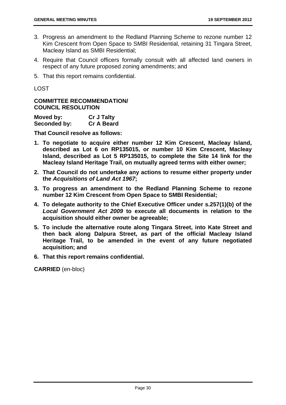- 3. Progress an amendment to the Redland Planning Scheme to rezone number 12 Kim Crescent from Open Space to SMBI Residential, retaining 31 Tingara Street, Macleay Island as SMBI Residential;
- 4. Require that Council officers formally consult with all affected land owners in respect of any future proposed zoning amendments; and
- 5. That this report remains confidential.

LOST

#### **COMMITTEE RECOMMENDATION/ COUNCIL RESOLUTION**

| Moved by:    | <b>Cr J Talty</b> |
|--------------|-------------------|
| Seconded by: | <b>Cr A Beard</b> |

**That Council resolve as follows:** 

- **1. To negotiate to acquire either number 12 Kim Crescent, Macleay Island, described as Lot 6 on RP135015, or number 10 Kim Crescent, Macleay Island, described as Lot 5 RP135015, to complete the Site 14 link for the Macleay Island Heritage Trail, on mutually agreed terms with either owner;**
- **2. That Council do not undertake any actions to resume either property under the** *Acquisitions of Land Act 1967***;**
- **3. To progress an amendment to the Redland Planning Scheme to rezone number 12 Kim Crescent from Open Space to SMBI Residential;**
- **4. To delegate authority to the Chief Executive Officer under s.257(1)(b) of the**  *Local Government Act 2009* **to execute all documents in relation to the acquisition should either owner be agreeable;**
- **5. To include the alternative route along Tingara Street, into Kate Street and then back along Dalpura Street, as part of the official Macleay Island Heritage Trail, to be amended in the event of any future negotiated acquisition; and**
- **6. That this report remains confidential.**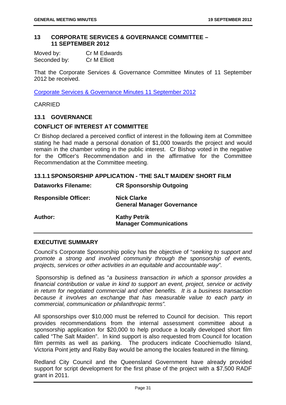#### **13 CORPORATE SERVICES & GOVERNANCE COMMITTEE – 11 SEPTEMBER 2012**

| Moved by:    | Cr M Edwards        |
|--------------|---------------------|
| Seconded by: | <b>Cr M Elliott</b> |

That the Corporate Services & Governance Committee Minutes of 11 September 2012 be received.

Corporate Services & Governance Minutes 11 September 2012

CARRIED

#### **13.1 GOVERNANCE**

#### **CONFLICT OF INTEREST AT COMMITTEE**

Cr Bishop declared a perceived conflict of interest in the following item at Committee stating he had made a personal donation of \$1,000 towards the project and would remain in the chamber voting in the public interest. Cr Bishop voted in the negative for the Officer's Recommendation and in the affirmative for the Committee Recommendation at the Committee meeting.

#### **13.1.1 SPONSORSHIP APPLICATION - 'THE SALT MAIDEN' SHORT FILM**

| <b>Dataworks Filename:</b>  | <b>CR Sponsorship Outgoing</b>                          |
|-----------------------------|---------------------------------------------------------|
| <b>Responsible Officer:</b> | <b>Nick Clarke</b><br><b>General Manager Governance</b> |
| Author:                     | <b>Kathy Petrik</b><br><b>Manager Communications</b>    |

#### **EXECUTIVE SUMMARY**

Council's Corporate Sponsorship policy has the objective of "*seeking to support and promote a strong and involved community through the sponsorship of events, projects, services or other activities in an equitable and accountable way".* 

 Sponsorship is defined as "*a business transaction in which a sponsor provides a financial contribution or value in kind to support an event, project, service or activity in return for negotiated commercial and other benefits. It is a business transaction because it involves an exchange that has measurable value to each party in commercial, communication or philanthropic terms".* 

All sponsorships over \$10,000 must be referred to Council for decision. This report provides recommendations from the internal assessment committee about a sponsorship application for \$20,000 to help produce a locally developed short film called "The Salt Maiden". In kind support is also requested from Council for location film permits as well as parking. The producers indicate Coochiemudlo Island, Victoria Point jetty and Raby Bay would be among the locales featured in the filming.

Redland City Council and the Queensland Government have already provided support for script development for the first phase of the project with a \$7,500 RADF grant in 2011.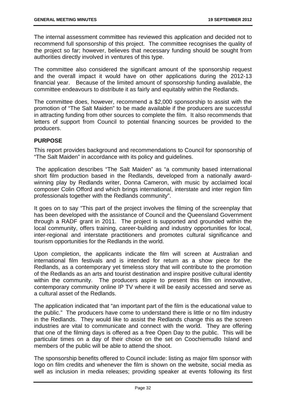The internal assessment committee has reviewed this application and decided not to recommend full sponsorship of this project. The committee recognises the quality of the project so far; however, believes that necessary funding should be sought from authorities directly involved in ventures of this type.

The committee also considered the significant amount of the sponsorship request and the overall impact it would have on other applications during the 2012-13 financial year. Because of the limited amount of sponsorship funding available, the committee endeavours to distribute it as fairly and equitably within the Redlands.

The committee does, however, recommend a \$2,000 sponsorship to assist with the promotion of "The Salt Maiden" to be made available if the producers are successful in attracting funding from other sources to complete the film. It also recommends that letters of support from Council to potential financing sources be provided to the producers.

# **PURPOSE**

This report provides background and recommendations to Council for sponsorship of "The Salt Maiden" in accordance with its policy and guidelines.

The application describes "The Salt Maiden" as "a community based international short film production based in the Redlands, developed from a nationally awardwinning play by Redlands writer, Donna Cameron, with music by acclaimed local composer Colin Offord and which brings international, interstate and inter region film professionals together with the Redlands community".

It goes on to say "This part of the project involves the filming of the screenplay that has been developed with the assistance of Council and the Queensland Government through a RADF grant in 2011. The project is supported and grounded within the local community, offers training, career-building and industry opportunities for local, inter-regional and interstate practitioners and promotes cultural significance and tourism opportunities for the Redlands in the world.

Upon completion, the applicants indicate the film will screen at Australian and international film festivals and is intended for return as a show piece for the Redlands, as a contemporary yet timeless story that will contribute to the promotion of the Redlands as an arts and tourist destination and inspire positive cultural identity within the community. The producers aspire to present this film on innovative, contemporary community online IP TV where it will be easily accessed and serve as a cultural asset of the Redlands.

The application indicated that "an important part of the film is the educational value to the public." The producers have come to understand there is little or no film industry in the Redlands. They would like to assist the Redlands change this as the screen industries are vital to communicate and connect with the world. They are offering that one of the filming days is offered as a free Open Day to the public. This will be particular times on a day of their choice on the set on Coochiemudlo Island and members of the public will be able to attend the shoot.

The sponsorship benefits offered to Council include: listing as major film sponsor with logo on film credits and whenever the film is shown on the website, social media as well as inclusion in media releases; providing speaker at events following its first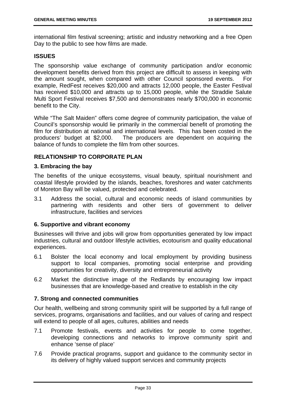international film festival screening; artistic and industry networking and a free Open Day to the public to see how films are made.

## **ISSUES**

The sponsorship value exchange of community participation and/or economic development benefits derived from this project are difficult to assess in keeping with the amount sought, when compared with other Council sponsored events. For example, RedFest receives \$20,000 and attracts 12,000 people, the Easter Festival has received \$10,000 and attracts up to 15,000 people, while the Straddie Salute Multi Sport Festival receives \$7,500 and demonstrates nearly \$700,000 in economic benefit to the City.

While "The Salt Maiden" offers come degree of community participation, the value of Council's sponsorship would lie primarily in the commercial benefit of promoting the film for distribution at national and international levels. This has been costed in the producers' budget at \$2,000. The producers are dependent on acquiring the balance of funds to complete the film from other sources.

# **RELATIONSHIP TO CORPORATE PLAN**

#### **3. Embracing the bay**

The benefits of the unique ecosystems, visual beauty, spiritual nourishment and coastal lifestyle provided by the islands, beaches, foreshores and water catchments of Moreton Bay will be valued, protected and celebrated.

3.1 Address the social, cultural and economic needs of island communities by partnering with residents and other tiers of government to deliver infrastructure, facilities and services

#### **6. Supportive and vibrant economy**

Businesses will thrive and jobs will grow from opportunities generated by low impact industries, cultural and outdoor lifestyle activities, ecotourism and quality educational experiences.

- 6.1 Bolster the local economy and local employment by providing business support to local companies, promoting social enterprise and providing opportunities for creativity, diversity and entrepreneurial activity
- 6.2 Market the distinctive image of the Redlands by encouraging low impact businesses that are knowledge-based and creative to establish in the city

# **7. Strong and connected communities**

Our health, wellbeing and strong community spirit will be supported by a full range of services, programs, organisations and facilities, and our values of caring and respect will extend to people of all ages, cultures, abilities and needs

- 7.1 Promote festivals, events and activities for people to come together, developing connections and networks to improve community spirit and enhance 'sense of place'
- 7.6 Provide practical programs, support and guidance to the community sector in its delivery of highly valued support services and community projects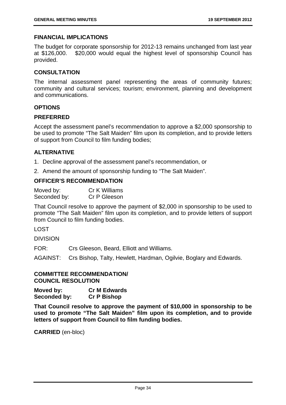#### **FINANCIAL IMPLICATIONS**

The budget for corporate sponsorship for 2012-13 remains unchanged from last year at \$126,000. \$20,000 would equal the highest level of sponsorship Council has provided.

#### **CONSULTATION**

The internal assessment panel representing the areas of community futures; community and cultural services; tourism; environment, planning and development and communications.

## **OPTIONS**

#### **PREFERRED**

Accept the assessment panel's recommendation to approve a \$2,000 sponsorship to be used to promote "The Salt Maiden" film upon its completion, and to provide letters of support from Council to film funding bodies;

## **ALTERNATIVE**

- 1. Decline approval of the assessment panel's recommendation, or
- 2. Amend the amount of sponsorship funding to "The Salt Maiden".

## **OFFICER'S RECOMMENDATION**

| Moved by:    | Cr K Williams |
|--------------|---------------|
| Seconded by: | Cr P Gleeson  |

That Council resolve to approve the payment of \$2,000 in sponsorship to be used to promote "The Salt Maiden" film upon its completion, and to provide letters of support from Council to film funding bodies.

LOST

DIVISION

FOR: Crs Gleeson, Beard, Elliott and Williams.

AGAINST: Crs Bishop, Talty, Hewlett, Hardman, Ogilvie, Boglary and Edwards.

#### **COMMITTEE RECOMMENDATION/ COUNCIL RESOLUTION**

**Moved by: Cr M Edwards Seconded by: Cr P Bishop** 

**That Council resolve to approve the payment of \$10,000 in sponsorship to be used to promote "The Salt Maiden" film upon its completion, and to provide letters of support from Council to film funding bodies.**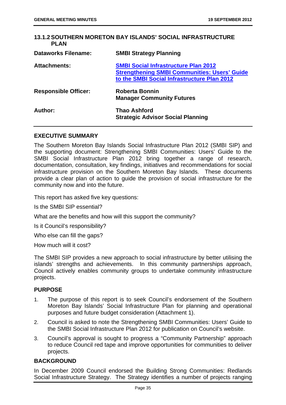## **13.1.2 SOUTHERN MORETON BAY ISLANDS' SOCIAL INFRASTRUCTURE PLAN**

| <b>Dataworks Filename:</b>  | <b>SMBI Strategy Planning</b>                                                                                                                     |
|-----------------------------|---------------------------------------------------------------------------------------------------------------------------------------------------|
| <b>Attachments:</b>         | <b>SMBI Social Infrastructure Plan 2012</b><br><b>Strengthening SMBI Communities: Users' Guide</b><br>to the SMBI Social Infrastructure Plan 2012 |
| <b>Responsible Officer:</b> | <b>Roberta Bonnin</b><br><b>Manager Community Futures</b>                                                                                         |
| Author:                     | <b>Thao Ashford</b><br><b>Strategic Advisor Social Planning</b>                                                                                   |

# **EXECUTIVE SUMMARY**

The Southern Moreton Bay Islands Social Infrastructure Plan 2012 (SMBI SIP) and the supporting document: Strengthening SMBI Communities: Users' Guide to the SMBI Social Infrastructure Plan 2012 bring together a range of research, documentation, consultation, key findings, initiatives and recommendations for social infrastructure provision on the Southern Moreton Bay Islands. These documents provide a clear plan of action to guide the provision of social infrastructure for the community now and into the future.

This report has asked five key questions:

Is the SMBI SIP essential?

What are the benefits and how will this support the community?

Is it Council's responsibility?

Who else can fill the gaps?

How much will it cost?

The SMBI SIP provides a new approach to social infrastructure by better utilising the islands' strengths and achievements. In this community partnerships approach, Council actively enables community groups to undertake community infrastructure projects.

# **PURPOSE**

- 1. The purpose of this report is to seek Council's endorsement of the Southern Moreton Bay Islands' Social Infrastructure Plan for planning and operational purposes and future budget consideration (Attachment 1).
- 2. Council is asked to note the Strengthening SMBI Communities: Users' Guide to the SMBI Social Infrastructure Plan 2012 for publication on Council's website.
- 3. Council's approval is sought to progress a "Community Partnership" approach to reduce Council red tape and improve opportunities for communities to deliver projects.

#### **BACKGROUND**

In December 2009 Council endorsed the Building Strong Communities: Redlands Social Infrastructure Strategy. The Strategy identifies a number of projects ranging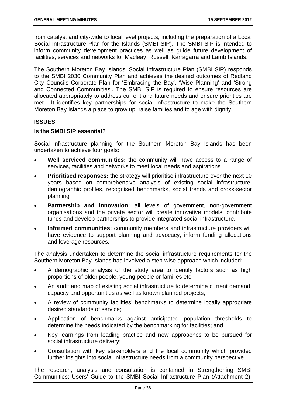from catalyst and city-wide to local level projects, including the preparation of a Local Social Infrastructure Plan for the Islands (SMBI SIP). The SMBI SIP is intended to inform community development practices as well as guide future development of facilities, services and networks for Macleay, Russell, Karragarra and Lamb Islands.

The Southern Moreton Bay Islands' Social Infrastructure Plan (SMBI SIP) responds to the SMBI 2030 Community Plan and achieves the desired outcomes of Redland City Councils Corporate Plan for 'Embracing the Bay', 'Wise Planning' and 'Strong and Connected Communities'. The SMBI SIP is required to ensure resources are allocated appropriately to address current and future needs and ensure priorities are met. It identifies key partnerships for social infrastructure to make the Southern Moreton Bay Islands a place to grow up, raise families and to age with dignity.

# **ISSUES**

## **Is the SMBI SIP essential?**

Social infrastructure planning for the Southern Moreton Bay Islands has been undertaken to achieve four goals:

- **Well serviced communities:** the community will have access to a range of services, facilities and networks to meet local needs and aspirations
- **Prioritised responses:** the strategy will prioritise infrastructure over the next 10 years based on comprehensive analysis of existing social infrastructure, demographic profiles, recognised benchmarks, social trends and cross‐sector planning
- **Partnership and innovation:** all levels of government, non-government organisations and the private sector will create innovative models, contribute funds and develop partnerships to provide integrated social infrastructure.
- **Informed communities:** community members and infrastructure providers will have evidence to support planning and advocacy, inform funding allocations and leverage resources.

The analysis undertaken to determine the social infrastructure requirements for the Southern Moreton Bay Islands has involved a step-wise approach which included:

- A demographic analysis of the study area to identify factors such as high proportions of older people, young people or families etc;
- An audit and map of existing social infrastructure to determine current demand, capacity and opportunities as well as known planned projects;
- A review of community facilities' benchmarks to determine locally appropriate desired standards of service;
- Application of benchmarks against anticipated population thresholds to determine the needs indicated by the benchmarking for facilities; and
- Key learnings from leading practice and new approaches to be pursued for social infrastructure delivery;
- Consultation with key stakeholders and the local community which provided further insights into social infrastructure needs from a community perspective.

The research, analysis and consultation is contained in Strengthening SMBI Communities: Users' Guide to the SMBI Social Infrastructure Plan (Attachment 2).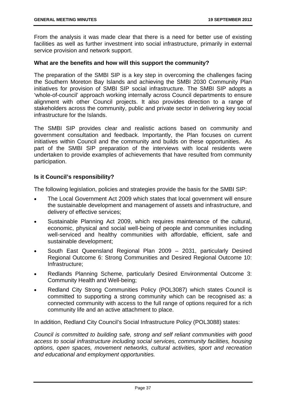From the analysis it was made clear that there is a need for better use of existing facilities as well as further investment into social infrastructure, primarily in external service provision and network support.

#### **What are the benefits and how will this support the community?**

The preparation of the SMBI SIP is a key step in overcoming the challenges facing the Southern Moreton Bay Islands and achieving the SMBI 2030 Community Plan initiatives for provision of SMBI SIP social infrastructure. The SMBI SIP adopts a 'whole-of-council' approach working internally across Council departments to ensure alignment with other Council projects. It also provides direction to a range of stakeholders across the community, public and private sector in delivering key social infrastructure for the Islands.

The SMBI SIP provides clear and realistic actions based on community and government consultation and feedback. Importantly, the Plan focuses on current initiatives within Council and the community and builds on these opportunities. As part of the SMBI SIP preparation of the interviews with local residents were undertaken to provide examples of achievements that have resulted from community participation.

## **Is it Council's responsibility?**

The following legislation, policies and strategies provide the basis for the SMBI SIP:

- The Local Government Act 2009 which states that local government will ensure the sustainable development and management of assets and infrastructure, and delivery of effective services;
- Sustainable Planning Act 2009, which requires maintenance of the cultural, economic, physical and social well-being of people and communities including well-serviced and healthy communities with affordable, efficient, safe and sustainable development;
- South East Queensland Regional Plan 2009 2031, particularly Desired Regional Outcome 6: Strong Communities and Desired Regional Outcome 10: Infrastructure;
- Redlands Planning Scheme, particularly Desired Environmental Outcome 3: Community Health and Well-being;
- Redland City Strong Communities Policy (POL3087) which states Council is committed to supporting a strong community which can be recognised as: a connected community with access to the full range of options required for a rich community life and an active attachment to place.

In addition, Redland City Council's Social Infrastructure Policy (POL3088) states:

*Council is committed to building safe, strong and self reliant communities with good access to social infrastructure including social services, community facilities, housing options, open spaces, movement networks, cultural activities, sport and recreation and educational and employment opportunities.*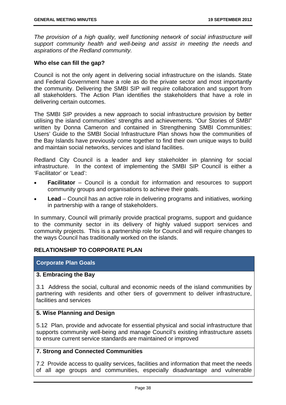*The provision of a high quality, well functioning network of social infrastructure will support community health and well-being and assist in meeting the needs and aspirations of the Redland community.* 

#### **Who else can fill the gap?**

Council is not the only agent in delivering social infrastructure on the islands. State and Federal Government have a role as do the private sector and most importantly the community. Delivering the SMBI SIP will require collaboration and support from all stakeholders. The Action Plan identifies the stakeholders that have a role in delivering certain outcomes.

The SMBI SIP provides a new approach to social infrastructure provision by better utilising the island communities' strengths and achievements. "Our Stories of SMBI" written by Donna Cameron and contained in Strengthening SMBI Communities: Users' Guide to the SMBI Social Infrastructure Plan shows how the communities of the Bay Islands have previously come together to find their own unique ways to build and maintain social networks, services and island facilities.

Redland City Council is a leader and key stakeholder in planning for social infrastructure. In the context of implementing the SMBI SIP Council is either a 'Facilitator' or 'Lead':

- **Facilitator** Council is a conduit for information and resources to support community groups and organisations to achieve their goals.
- **Lead**  Council has an active role in delivering programs and initiatives, working in partnership with a range of stakeholders.

In summary, Council will primarily provide practical programs, support and guidance to the community sector in its delivery of highly valued support services and community projects. This is a partnership role for Council and will require changes to the ways Council has traditionally worked on the islands.

#### **RELATIONSHIP TO CORPORATE PLAN**

#### **Corporate Plan Goals**

#### **3. Embracing the Bay**

3.1 Address the social, cultural and economic needs of the island communities by partnering with residents and other tiers of government to deliver infrastructure, facilities and services

#### **5. Wise Planning and Design**

5.12 Plan, provide and advocate for essential physical and social infrastructure that supports community well-being and manage Council's existing infrastructure assets to ensure current service standards are maintained or improved

# **7. Strong and Connected Communities**

7.2 Provide access to quality services, facilities and information that meet the needs of all age groups and communities, especially disadvantage and vulnerable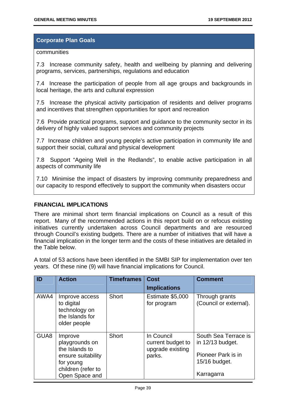## **Corporate Plan Goals**

#### communities

7.3 Increase community safety, health and wellbeing by planning and delivering programs, services, partnerships, regulations and education

7.4 Increase the participation of people from all age groups and backgrounds in local heritage, the arts and cultural expression

7.5 Increase the physical activity participation of residents and deliver programs and incentives that strengthen opportunities for sport and recreation

7.6 Provide practical programs, support and guidance to the community sector in its delivery of highly valued support services and community projects

7.7 Increase children and young people's active participation in community life and support their social, cultural and physical development

7.8 Support "Ageing Well in the Redlands", to enable active participation in all aspects of community life

7.10 Minimise the impact of disasters by improving community preparedness and our capacity to respond effectively to support the community when disasters occur

## **FINANCIAL IMPLICATIONS**

There are minimal short term financial implications on Council as a result of this report. Many of the recommended actions in this report build on or refocus existing initiatives currently undertaken across Council departments and are resourced through Council's existing budgets. There are a number of initiatives that will have a financial implication in the longer term and the costs of these initiatives are detailed in the Table below.

A total of 53 actions have been identified in the SMBI SIP for implementation over ten years. Of these nine (9) will have financial implications for Council.

| ID   | <b>Action</b>                                                                                                          | <b>Timeframes</b> | <b>Cost</b>                                                   | <b>Comment</b>                                                                                |
|------|------------------------------------------------------------------------------------------------------------------------|-------------------|---------------------------------------------------------------|-----------------------------------------------------------------------------------------------|
|      |                                                                                                                        |                   | <b>Implications</b>                                           |                                                                                               |
| AWA4 | Improve access<br>to digital<br>technology on<br>the Islands for<br>older people                                       | Short             | Estimate \$5,000<br>for program                               | Through grants<br>(Council or external).                                                      |
| GUA8 | Improve<br>playgrounds on<br>the Islands to<br>ensure suitability<br>for young<br>children (refer to<br>Open Space and | Short             | In Council<br>current budget to<br>upgrade existing<br>parks. | South Sea Terrace is<br>in 12/13 budget.<br>Pioneer Park is in<br>15/16 budget.<br>Karragarra |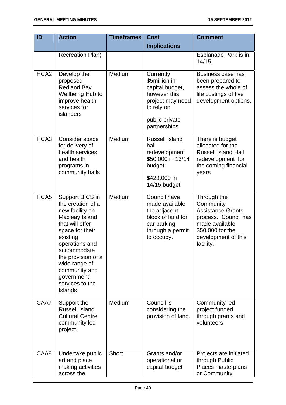| ID               | <b>Action</b>                                                                                                                                                                                                                                                           | <b>Timeframes</b> | <b>Cost</b>                                                                                                                       | <b>Comment</b>                                                                                                                                         |
|------------------|-------------------------------------------------------------------------------------------------------------------------------------------------------------------------------------------------------------------------------------------------------------------------|-------------------|-----------------------------------------------------------------------------------------------------------------------------------|--------------------------------------------------------------------------------------------------------------------------------------------------------|
|                  |                                                                                                                                                                                                                                                                         |                   | <b>Implications</b>                                                                                                               |                                                                                                                                                        |
|                  | <b>Recreation Plan)</b>                                                                                                                                                                                                                                                 |                   |                                                                                                                                   | Esplanade Park is in<br>14/15.                                                                                                                         |
| HCA <sub>2</sub> | Develop the<br>proposed<br><b>Redland Bay</b><br>Wellbeing Hub to<br>improve health<br>services for<br>islanders                                                                                                                                                        | Medium            | Currently<br>\$5million in<br>capital budget,<br>however this<br>project may need<br>to rely on<br>public private<br>partnerships | Business case has<br>been prepared to<br>assess the whole of<br>life costings of five<br>development options.                                          |
| HCA3             | Consider space<br>for delivery of<br>health services<br>and health<br>programs in<br>community halls                                                                                                                                                                    | Medium            | <b>Russell Island</b><br>hall<br>redevelopment<br>\$50,000 in 13/14<br>budget<br>\$429,000 in<br>14/15 budget                     | There is budget<br>allocated for the<br><b>Russell Island Hall</b><br>redevelopment for<br>the coming financial<br>years                               |
| HCA <sub>5</sub> | Support BICS in<br>the creation of a<br>new facility on<br>Macleay Island<br>that will offer<br>space for their<br>existing<br>operations and<br>accommodate<br>the provision of a<br>wide range of<br>community and<br>government<br>services to the<br><b>Islands</b> | Medium            | <b>Council have</b><br>made available<br>the adjacent<br>block of land for<br>car parking<br>through a permit<br>to occupy.       | Through the<br>Community<br><b>Assistance Grants</b><br>process. Council has<br>made available<br>\$50,000 for the<br>development of this<br>facility. |
| CAA7             | Support the<br><b>Russell Island</b><br><b>Cultural Centre</b><br>community led<br>project.                                                                                                                                                                             | Medium            | Council is<br>considering the<br>provision of land.                                                                               | <b>Community led</b><br>project funded<br>through grants and<br>volunteers                                                                             |
| CAA8             | Undertake public<br>art and place<br>making activities<br>across the                                                                                                                                                                                                    | Short             | Grants and/or<br>operational or<br>capital budget                                                                                 | Projects are initiated<br>through Public<br>Places masterplans<br>or Community                                                                         |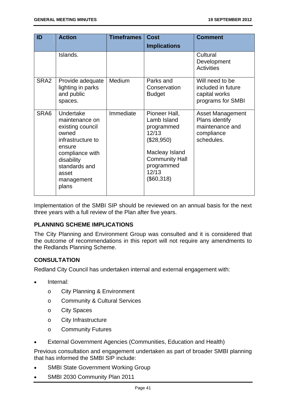| ID               | <b>Action</b>                                                                                                                                                             | <b>Timeframes</b> | <b>Cost</b>                                                                                                                                       | <b>Comment</b>                                                                           |
|------------------|---------------------------------------------------------------------------------------------------------------------------------------------------------------------------|-------------------|---------------------------------------------------------------------------------------------------------------------------------------------------|------------------------------------------------------------------------------------------|
|                  |                                                                                                                                                                           |                   | <b>Implications</b>                                                                                                                               |                                                                                          |
|                  | Islands.                                                                                                                                                                  |                   |                                                                                                                                                   | Cultural<br>Development<br><b>Activities</b>                                             |
| SRA <sub>2</sub> | Provide adequate<br>lighting in parks<br>and public<br>spaces.                                                                                                            | Medium            | Parks and<br>Conservation<br><b>Budget</b>                                                                                                        | Will need to be<br>included in future<br>capital works<br>programs for SMBI              |
| SRA6             | Undertake<br>maintenance on<br>existing council<br>owned<br>infrastructure to<br>ensure<br>compliance with<br>disability<br>standards and<br>asset<br>management<br>plans | Immediate         | Pioneer Hall,<br>Lamb Island<br>programmed<br>12/13<br>(\$28,950)<br>Macleay Island<br><b>Community Hall</b><br>programmed<br>12/13<br>(\$60,318) | <b>Asset Management</b><br>Plans identify<br>maintenance and<br>compliance<br>schedules. |

Implementation of the SMBI SIP should be reviewed on an annual basis for the next three years with a full review of the Plan after five years.

# **PLANNING SCHEME IMPLICATIONS**

The City Planning and Environment Group was consulted and it is considered that the outcome of recommendations in this report will not require any amendments to the Redlands Planning Scheme.

# **CONSULTATION**

Redland City Council has undertaken internal and external engagement with:

- Internal:
	- o City Planning & Environment
	- o Community & Cultural Services
	- o City Spaces
	- o City Infrastructure
	- o Community Futures
- External Government Agencies (Communities, Education and Health)

Previous consultation and engagement undertaken as part of broader SMBI planning that has informed the SMBI SIP include:

- SMBI State Government Working Group
- SMBI 2030 Community Plan 2011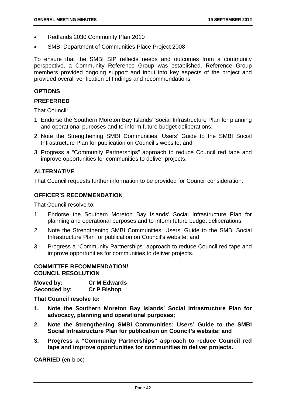- Redlands 2030 Community Plan 2010
- SMBI Department of Communities Place Project 2008

To ensure that the SMBI SIP reflects needs and outcomes from a community perspective, a Community Reference Group was established. Reference Group members provided ongoing support and input into key aspects of the project and provided overall verification of findings and recommendations.

## **OPTIONS**

## **PREFERRED**

That Council:

- 1. Endorse the Southern Moreton Bay Islands' Social Infrastructure Plan for planning and operational purposes and to inform future budget deliberations;
- 2. Note the Strengthening SMBI Communities: Users' Guide to the SMBI Social Infrastructure Plan for publication on Council's website; and
- 3. Progress a "Community Partnerships" approach to reduce Council red tape and improve opportunities for communities to deliver projects.

# **ALTERNATIVE**

That Council requests further information to be provided for Council consideration.

## **OFFICER'S RECOMMENDATION**

That Council resolve to:

- 1. Endorse the Southern Moreton Bay Islands' Social Infrastructure Plan for planning and operational purposes and to inform future budget deliberations;
- 2. Note the Strengthening SMBI Communities: Users' Guide to the SMBI Social Infrastructure Plan for publication on Council's website; and
- 3. Progress a "Community Partnerships" approach to reduce Council red tape and improve opportunities for communities to deliver projects.

# **COMMITTEE RECOMMENDATION/ COUNCIL RESOLUTION**

**Moved by: Cr M Edwards Seconded by: Cr P Bishop** 

**That Council resolve to:** 

- **1. Note the Southern Moreton Bay Islands' Social Infrastructure Plan for advocacy, planning and operational purposes;**
- **2. Note the Strengthening SMBI Communities: Users' Guide to the SMBI Social Infrastructure Plan for publication on Council's website; and**
- **3. Progress a "Community Partnerships" approach to reduce Council red tape and improve opportunities for communities to deliver projects.**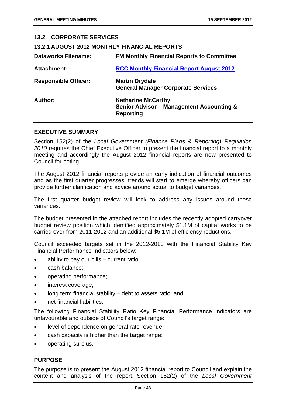| <b>13.2 CORPORATE SERVICES</b>                      |                                                                                                      |
|-----------------------------------------------------|------------------------------------------------------------------------------------------------------|
| <b>13.2.1 AUGUST 2012 MONTHLY FINANCIAL REPORTS</b> |                                                                                                      |
| <b>Dataworks Filename:</b>                          | <b>FM Monthly Financial Reports to Committee</b>                                                     |
| <b>Attachment:</b>                                  | <b>RCC Monthly Financial Report August 2012</b>                                                      |
| <b>Responsible Officer:</b>                         | <b>Martin Drydale</b><br><b>General Manager Corporate Services</b>                                   |
| Author:                                             | <b>Katharine McCarthy</b><br><b>Senior Advisor - Management Accounting &amp;</b><br><b>Reporting</b> |
|                                                     |                                                                                                      |

#### **EXECUTIVE SUMMARY**

Section 152(2) of the *Local Government (Finance Plans & Reporting) Regulation 2010* requires the Chief Executive Officer to present the financial report to a monthly meeting and accordingly the August 2012 financial reports are now presented to Council for noting.

The August 2012 financial reports provide an early indication of financial outcomes and as the first quarter progresses, trends will start to emerge whereby officers can provide further clarification and advice around actual to budget variances.

The first quarter budget review will look to address any issues around these variances.

The budget presented in the attached report includes the recently adopted carryover budget review position which identified approximately \$1.1M of capital works to be carried over from 2011-2012 and an additional \$5.1M of efficiency reductions.

Council exceeded targets set in the 2012-2013 with the Financial Stability Key Financial Performance Indicators below:

- ability to pay our bills current ratio;
- cash balance:
- operating performance;
- interest coverage;
- long term financial stability debt to assets ratio; and
- net financial liabilities.

The following Financial Stability Ratio Key Financial Performance Indicators are unfavourable and outside of Council's target range:

- level of dependence on general rate revenue;
- cash capacity is higher than the target range;
- operating surplus.

# **PURPOSE**

The purpose is to present the August 2012 financial report to Council and explain the content and analysis of the report. Section 152(2) of the *Local Government*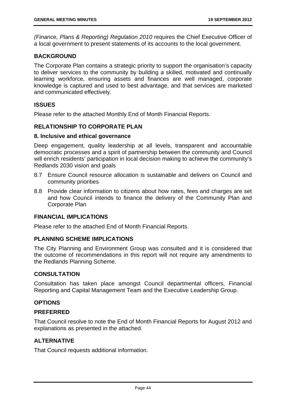*(Finance, Plans & Reporting) Regulation 2010* requires the Chief Executive Officer of a local government to present statements of its accounts to the local government.

#### **BACKGROUND**

The Corporate Plan contains a strategic priority to support the organisation's capacity to deliver services to the community by building a skilled, motivated and continually learning workforce, ensuring assets and finances are well managed, corporate knowledge is captured and used to best advantage, and that services are marketed and communicated effectively.

# **ISSUES**

Please refer to the attached Monthly End of Month Financial Reports.

#### **RELATIONSHIP TO CORPORATE PLAN**

#### **8. Inclusive and ethical governance**

Deep engagement, quality leadership at all levels, transparent and accountable democratic processes and a spirit of partnership between the community and Council will enrich residents' participation in local decision making to achieve the community's Redlands 2030 vision and goals

- 8.7 Ensure Council resource allocation is sustainable and delivers on Council and community priorities
- 8.8 Provide clear information to citizens about how rates, fees and charges are set and how Council intends to finance the delivery of the Community Plan and Corporate Plan

#### **FINANCIAL IMPLICATIONS**

Please refer to the attached End of Month Financial Reports.

## **PLANNING SCHEME IMPLICATIONS**

The City Planning and Environment Group was consulted and it is considered that the outcome of recommendations in this report will not require any amendments to the Redlands Planning Scheme.

#### **CONSULTATION**

Consultation has taken place amongst Council departmental officers, Financial Reporting and Capital Management Team and the Executive Leadership Group.

#### **OPTIONS**

#### **PREFERRED**

That Council resolve to note the End of Month Financial Reports for August 2012 and explanations as presented in the attached.

# **ALTERNATIVE**

That Council requests additional information.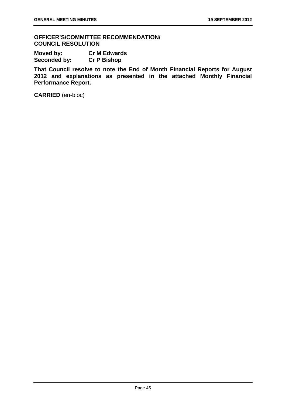**OFFICER'S/COMMITTEE RECOMMENDATION/ COUNCIL RESOLUTION** 

| Moved by:    | <b>Cr M Edwards</b> |
|--------------|---------------------|
| Seconded by: | <b>Cr P Bishop</b>  |

**That Council resolve to note the End of Month Financial Reports for August 2012 and explanations as presented in the attached Monthly Financial Performance Report.**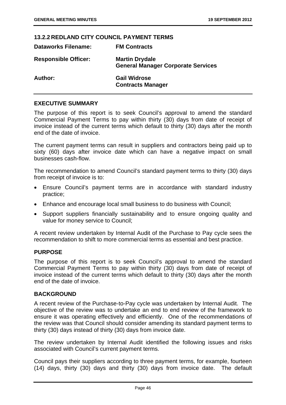#### **13.2.2 REDLAND CITY COUNCIL PAYMENT TERMS**

| <b>Dataworks Filename:</b>  | <b>FM Contracts</b>                                                |
|-----------------------------|--------------------------------------------------------------------|
| <b>Responsible Officer:</b> | <b>Martin Drydale</b><br><b>General Manager Corporate Services</b> |
| Author:                     | <b>Gail Widrose</b><br><b>Contracts Manager</b>                    |

## **EXECUTIVE SUMMARY**

The purpose of this report is to seek Council's approval to amend the standard Commercial Payment Terms to pay within thirty (30) days from date of receipt of invoice instead of the current terms which default to thirty (30) days after the month end of the date of invoice.

The current payment terms can result in suppliers and contractors being paid up to sixty (60) days after invoice date which can have a negative impact on small businesses cash-flow.

The recommendation to amend Council's standard payment terms to thirty (30) days from receipt of invoice is to:

- Ensure Council's payment terms are in accordance with standard industry practice;
- Enhance and encourage local small business to do business with Council;
- Support suppliers financially sustainability and to ensure ongoing quality and value for money service to Council;

A recent review undertaken by Internal Audit of the Purchase to Pay cycle sees the recommendation to shift to more commercial terms as essential and best practice.

#### **PURPOSE**

The purpose of this report is to seek Council's approval to amend the standard Commercial Payment Terms to pay within thirty (30) days from date of receipt of invoice instead of the current terms which default to thirty (30) days after the month end of the date of invoice.

#### **BACKGROUND**

A recent review of the Purchase-to-Pay cycle was undertaken by Internal Audit. The objective of the review was to undertake an end to end review of the framework to ensure it was operating effectively and efficiently. One of the recommendations of the review was that Council should consider amending its standard payment terms to thirty (30) days instead of thirty (30) days from invoice date.

The review undertaken by Internal Audit identified the following issues and risks associated with Council's current payment terms.

Council pays their suppliers according to three payment terms, for example, fourteen (14) days, thirty (30) days and thirty (30) days from invoice date. The default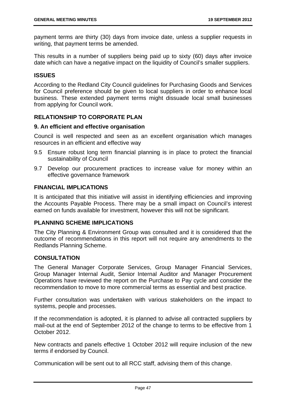payment terms are thirty (30) days from invoice date, unless a supplier requests in writing, that payment terms be amended.

This results in a number of suppliers being paid up to sixty (60) days after invoice date which can have a negative impact on the liquidity of Council's smaller suppliers.

# **ISSUES**

According to the Redland City Council guidelines for Purchasing Goods and Services for Council preference should be given to local suppliers in order to enhance local business. These extended payment terms might dissuade local small businesses from applying for Council work.

# **RELATIONSHIP TO CORPORATE PLAN**

## **9. An efficient and effective organisation**

Council is well respected and seen as an excellent organisation which manages resources in an efficient and effective way

- 9.5 Ensure robust long term financial planning is in place to protect the financial sustainability of Council
- 9.7 Develop our procurement practices to increase value for money within an effective governance framework

# **FINANCIAL IMPLICATIONS**

It is anticipated that this initiative will assist in identifying efficiencies and improving the Accounts Payable Process. There may be a small impact on Council's interest earned on funds available for investment, however this will not be significant.

# **PLANNING SCHEME IMPLICATIONS**

The City Planning & Environment Group was consulted and it is considered that the outcome of recommendations in this report will not require any amendments to the Redlands Planning Scheme.

#### **CONSULTATION**

The General Manager Corporate Services, Group Manager Financial Services, Group Manager Internal Audit, Senior Internal Auditor and Manager Procurement Operations have reviewed the report on the Purchase to Pay cycle and consider the recommendation to move to more commercial terms as essential and best practice.

Further consultation was undertaken with various stakeholders on the impact to systems, people and processes.

If the recommendation is adopted, it is planned to advise all contracted suppliers by mail-out at the end of September 2012 of the change to terms to be effective from 1 October 2012.

New contracts and panels effective 1 October 2012 will require inclusion of the new terms if endorsed by Council.

Communication will be sent out to all RCC staff, advising them of this change.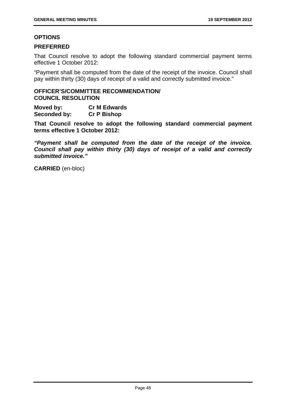## **OPTIONS**

## **PREFERRED**

That Council resolve to adopt the following standard commercial payment terms effective 1 October 2012:

"Payment shall be computed from the date of the receipt of the invoice. Council shall pay within thirty (30) days of receipt of a valid and correctly submitted invoice."

#### **OFFICER'S/COMMITTEE RECOMMENDATION/ COUNCIL RESOLUTION**

**Moved by: Cr M Edwards Seconded by: Cr P Bishop** 

**That Council resolve to adopt the following standard commercial payment terms effective 1 October 2012:** 

*"Payment shall be computed from the date of the receipt of the invoice. Council shall pay within thirty (30) days of receipt of a valid and correctly submitted invoice."*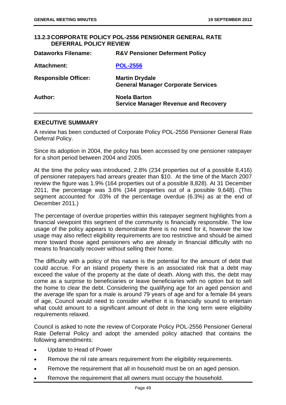#### **13.2.3 CORPORATE POLICY POL-2556 PENSIONER GENERAL RATE DEFERRAL POLICY REVIEW Dataworks Filename: R&V Pensioner Deferment Policy**

| Dataworks Filename.         | R&V Pensioner Deferment Policy                                     |
|-----------------------------|--------------------------------------------------------------------|
| Attachment:                 | <b>POL-2556</b>                                                    |
| <b>Responsible Officer:</b> | <b>Martin Drydale</b><br><b>General Manager Corporate Services</b> |
| Author:                     | <b>Noela Barton</b><br><b>Service Manager Revenue and Recovery</b> |

## **EXECUTIVE SUMMARY**

A review has been conducted of Corporate Policy POL-2556 Pensioner General Rate Deferral Policy.

Since its adoption in 2004, the policy has been accessed by one pensioner ratepayer for a short period between 2004 and 2005.

At the time the policy was introduced, 2.8% (234 properties out of a possible 8,416) of pensioner ratepayers had arrears greater than \$10. At the time of the March 2007 review the figure was 1.9% (164 properties out of a possible 8,828). At 31 December 2011, the percentage was 3.6% (344 properties out of a possible 9,648). (This segment accounted for .03% of the percentage overdue (6.3%) as at the end of December 2011.)

The percentage of overdue properties within this ratepayer segment highlights from a financial viewpoint this segment of the community is financially responsible. The low usage of the policy appears to demonstrate there is no need for it, however the low usage may also reflect eligibility requirements are too restrictive and should be aimed more toward those aged pensioners who are already in financial difficulty with no means to financially recover without selling their home.

The difficulty with a policy of this nature is the potential for the amount of debt that could accrue. For an island property there is an associated risk that a debt may exceed the value of the property at the date of death. Along with this, the debt may come as a surprise to beneficiaries or leave beneficiaries with no option but to sell the home to clear the debt. Considering the qualifying age for an aged pension and the average life span for a male is around 79 years of age and for a female 84 years of age, Council would need to consider whether it is financially sound to entertain what could amount to a significant amount of debt in the long term were eligibility requirements relaxed.

Council is asked to note the review of Corporate Policy POL-2556 Pensioner General Rate Deferral Policy and adopt the amended policy attached that contains the following amendments:

- Update to Head of Power
- Remove the nil rate arrears requirement from the eligibility requirements.
- Remove the requirement that all in household must be on an aged pension.
- Remove the requirement that all owners must occupy the household.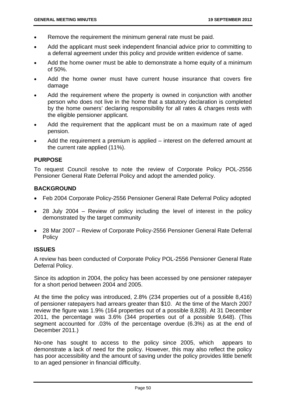- Remove the requirement the minimum general rate must be paid.
- Add the applicant must seek independent financial advice prior to committing to a deferral agreement under this policy and provide written evidence of same.
- Add the home owner must be able to demonstrate a home equity of a minimum of 50%.
- Add the home owner must have current house insurance that covers fire damage
- Add the requirement where the property is owned in conjunction with another person who does not live in the home that a statutory declaration is completed by the home owners' declaring responsibility for all rates & charges rests with the eligible pensioner applicant.
- Add the requirement that the applicant must be on a maximum rate of aged pension.
- Add the requirement a premium is applied interest on the deferred amount at the current rate applied (11%).

#### **PURPOSE**

To request Council resolve to note the review of Corporate Policy POL-2556 Pensioner General Rate Deferral Policy and adopt the amended policy.

#### **BACKGROUND**

- Feb 2004 Corporate Policy-2556 Pensioner General Rate Deferral Policy adopted
- 28 July 2004 Review of policy including the level of interest in the policy demonstrated by the target community
- 28 Mar 2007 Review of Corporate Policy-2556 Pensioner General Rate Deferral Policy

#### **ISSUES**

A review has been conducted of Corporate Policy POL-2556 Pensioner General Rate Deferral Policy.

Since its adoption in 2004, the policy has been accessed by one pensioner ratepayer for a short period between 2004 and 2005.

At the time the policy was introduced, 2.8% (234 properties out of a possible 8,416) of pensioner ratepayers had arrears greater than \$10. At the time of the March 2007 review the figure was 1.9% (164 properties out of a possible 8,828). At 31 December 2011, the percentage was 3.6% (344 properties out of a possible 9,648). (This segment accounted for .03% of the percentage overdue (6.3%) as at the end of December 2011.)

No-one has sought to access to the policy since 2005, which appears to demonstrate a lack of need for the policy. However, this may also reflect the policy has poor accessibility and the amount of saving under the policy provides little benefit to an aged pensioner in financial difficulty.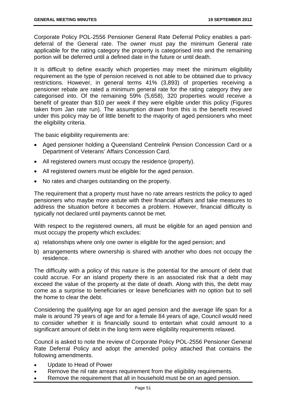Corporate Policy POL-2556 Pensioner General Rate Deferral Policy enables a partdeferral of the General rate. The owner must pay the minimum General rate applicable for the rating category the property is categorised into and the remaining portion will be deferred until a defined date in the future or until death.

It is difficult to define exactly which properties may meet the minimum eligibility requirement as the type of pension received is not able to be obtained due to privacy restrictions. However, in general terms 41% (3,893) of properties receiving a pensioner rebate are rated a minimum general rate for the rating category they are categorised into. Of the remaining 59% (5,658), 320 properties would receive a benefit of greater than \$10 per week if they were eligible under this policy (Figures taken from Jan rate run). The assumption drawn from this is the benefit received under this policy may be of little benefit to the majority of aged pensioners who meet the eligibility criteria.

The basic eligibility requirements are:

- Aged pensioner holding a Queensland Centrelink Pension Concession Card or a Department of Veterans' Affairs Concession Card.
- All registered owners must occupy the residence (property).
- All registered owners must be eligible for the aged pension.
- No rates and charges outstanding on the property.

The requirement that a property must have no rate arrears restricts the policy to aged pensioners who maybe more astute with their financial affairs and take measures to address the situation before it becomes a problem. However, financial difficulty is typically not declared until payments cannot be met.

With respect to the registered owners, all must be eligible for an aged pension and must occupy the property which excludes:

- a) relationships where only one owner is eligible for the aged pension; and
- b) arrangements where ownership is shared with another who does not occupy the residence.

The difficulty with a policy of this nature is the potential for the amount of debt that could accrue. For an island property there is an associated risk that a debt may exceed the value of the property at the date of death. Along with this, the debt may come as a surprise to beneficiaries or leave beneficiaries with no option but to sell the home to clear the debt.

Considering the qualifying age for an aged pension and the average life span for a male is around 79 years of age and for a female 84 years of age, Council would need to consider whether it is financially sound to entertain what could amount to a significant amount of debt in the long term were eligibility requirements relaxed.

Council is asked to note the review of Corporate Policy POL-2556 Pensioner General Rate Deferral Policy and adopt the amended policy attached that contains the following amendments.

- Update to Head of Power
- Remove the nil rate arrears requirement from the eligibility requirements.
- Remove the requirement that all in household must be on an aged pension.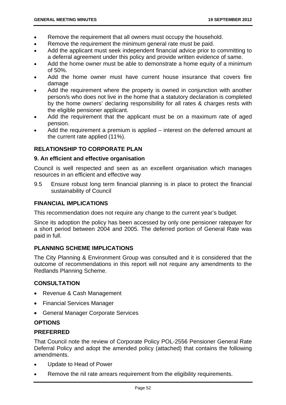- Remove the requirement that all owners must occupy the household.
- Remove the requirement the minimum general rate must be paid.
- Add the applicant must seek independent financial advice prior to committing to a deferral agreement under this policy and provide written evidence of same.
- Add the home owner must be able to demonstrate a home equity of a minimum of 50%.
- Add the home owner must have current house insurance that covers fire damage
- Add the requirement where the property is owned in conjunction with another person/s who does not live in the home that a statutory declaration is completed by the home owners' declaring responsibility for all rates & charges rests with the eligible pensioner applicant.
- Add the requirement that the applicant must be on a maximum rate of aged pension.
- Add the requirement a premium is applied interest on the deferred amount at the current rate applied (11%).

# **RELATIONSHIP TO CORPORATE PLAN**

## **9. An efficient and effective organisation**

Council is well respected and seen as an excellent organisation which manages resources in an efficient and effective way

9.5 Ensure robust long term financial planning is in place to protect the financial sustainability of Council

## **FINANCIAL IMPLICATIONS**

This recommendation does not require any change to the current year's budget.

Since its adoption the policy has been accessed by only one pensioner ratepayer for a short period between 2004 and 2005. The deferred portion of General Rate was paid in full.

# **PLANNING SCHEME IMPLICATIONS**

The City Planning & Environment Group was consulted and it is considered that the outcome of recommendations in this report will not require any amendments to the Redlands Planning Scheme.

# **CONSULTATION**

- Revenue & Cash Management
- Financial Services Manager
- General Manager Corporate Services

# **OPTIONS**

# **PREFERRED**

That Council note the review of Corporate Policy POL-2556 Pensioner General Rate Deferral Policy and adopt the amended policy (attached) that contains the following amendments.

- Update to Head of Power
- Remove the nil rate arrears requirement from the eligibility requirements.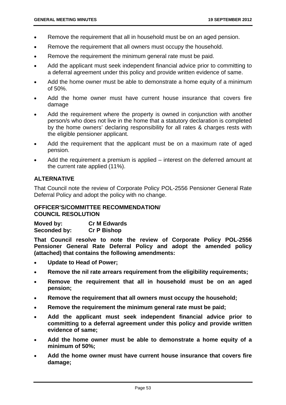- Remove the requirement that all in household must be on an aged pension.
- Remove the requirement that all owners must occupy the household.
- Remove the requirement the minimum general rate must be paid.
- Add the applicant must seek independent financial advice prior to committing to a deferral agreement under this policy and provide written evidence of same.
- Add the home owner must be able to demonstrate a home equity of a minimum of 50%.
- Add the home owner must have current house insurance that covers fire damage
- Add the requirement where the property is owned in conjunction with another person/s who does not live in the home that a statutory declaration is completed by the home owners' declaring responsibility for all rates & charges rests with the eligible pensioner applicant.
- Add the requirement that the applicant must be on a maximum rate of aged pension.
- Add the requirement a premium is applied interest on the deferred amount at the current rate applied (11%).

# **ALTERNATIVE**

That Council note the review of Corporate Policy POL-2556 Pensioner General Rate Deferral Policy and adopt the policy with no change.

## **OFFICER'S/COMMITTEE RECOMMENDATION/ COUNCIL RESOLUTION**

**Moved by: Cr M Edwards Seconded by: Cr P Bishop** 

**That Council resolve to note the review of Corporate Policy POL-2556 Pensioner General Rate Deferral Policy and adopt the amended policy (attached) that contains the following amendments:** 

- **Update to Head of Power;**
- **Remove the nil rate arrears requirement from the eligibility requirements;**
- **Remove the requirement that all in household must be on an aged pension;**
- **Remove the requirement that all owners must occupy the household;**
- **Remove the requirement the minimum general rate must be paid;**
- **Add the applicant must seek independent financial advice prior to committing to a deferral agreement under this policy and provide written evidence of same;**
- **Add the home owner must be able to demonstrate a home equity of a minimum of 50%;**
- **Add the home owner must have current house insurance that covers fire damage;**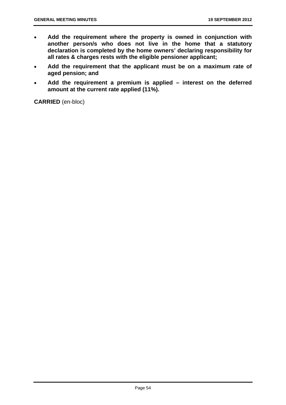- **Add the requirement where the property is owned in conjunction with another person/s who does not live in the home that a statutory declaration is completed by the home owners' declaring responsibility for all rates & charges rests with the eligible pensioner applicant;**
- **Add the requirement that the applicant must be on a maximum rate of aged pension; and**
- **Add the requirement a premium is applied interest on the deferred amount at the current rate applied (11%).**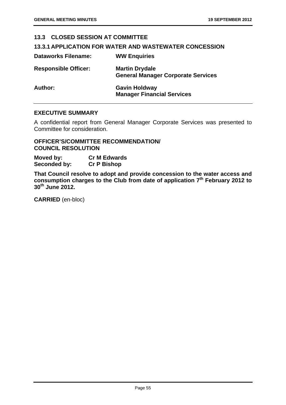# **13.3 CLOSED SESSION AT COMMITTEE**

## **13.3.1 APPLICATION FOR WATER AND WASTEWATER CONCESSION**

| <b>Dataworks Filename:</b>  | <b>WW Enquiries</b>                                                |
|-----------------------------|--------------------------------------------------------------------|
| <b>Responsible Officer:</b> | <b>Martin Drydale</b><br><b>General Manager Corporate Services</b> |
| Author:                     | <b>Gavin Holdway</b><br><b>Manager Financial Services</b>          |

#### **EXECUTIVE SUMMARY**

A confidential report from General Manager Corporate Services was presented to Committee for consideration.

#### **OFFICER'S/COMMITTEE RECOMMENDATION/ COUNCIL RESOLUTION**

**Moved by: Cr M Edwards Seconded by: Cr P Bishop** 

**That Council resolve to adopt and provide concession to the water access and consumption charges to the Club from date of application 7th February 2012 to 30th June 2012.**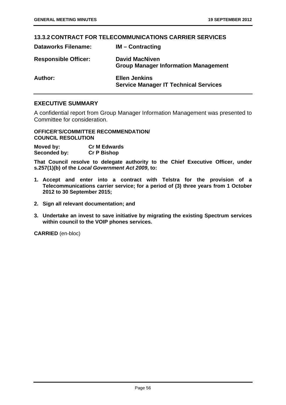#### **13.3.2 CONTRACT FOR TELECOMMUNICATIONS CARRIER SERVICES**

| <b>Dataworks Filename:</b>  | $IM$ – Contracting                                                   |
|-----------------------------|----------------------------------------------------------------------|
| <b>Responsible Officer:</b> | <b>David MacNiven</b><br><b>Group Manager Information Management</b> |
| Author:                     | <b>Ellen Jenkins</b><br><b>Service Manager IT Technical Services</b> |

# **EXECUTIVE SUMMARY**

A confidential report from Group Manager Information Management was presented to Committee for consideration.

**OFFICER'S/COMMITTEE RECOMMENDATION/ COUNCIL RESOLUTION** 

**Moved by: Cr M Edwards Seconded by: Cr P Bishop** 

**That Council resolve to delegate authority to the Chief Executive Officer, under s.257(1)(b) of the** *Local Government Act 2009***, to:** 

- **1. Accept and enter into a contract with Telstra for the provision of a Telecommunications carrier service; for a period of (3) three years from 1 October 2012 to 30 September 2015;**
- **2. Sign all relevant documentation; and**
- **3. Undertake an invest to save initiative by migrating the existing Spectrum services within council to the VOIP phones services.**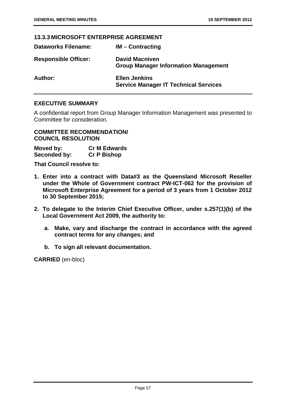# **13.3.3 MICROSOFT ENTERPRISE AGREEMENT**

| <b>Dataworks Filename:</b>  | $IM$ – Contracting                                                   |
|-----------------------------|----------------------------------------------------------------------|
| <b>Responsible Officer:</b> | <b>David Macniven</b><br><b>Group Manager Information Management</b> |
| Author:                     | <b>Ellen Jenkins</b><br><b>Service Manager IT Technical Services</b> |

# **EXECUTIVE SUMMARY**

A confidential report from Group Manager Information Management was presented to Committee for consideration.

**COMMITTEE RECOMMENDATION/ COUNCIL RESOLUTION** 

| Moved by:    | <b>Cr M Edwards</b> |
|--------------|---------------------|
| Seconded by: | <b>Cr P Bishop</b>  |

**That Council resolve to:** 

- **1. Enter into a contract with Data#3 as the Queensland Microsoft Reseller under the Whole of Government contract PW-ICT-062 for the provision of Microsoft Enterprise Agreement for a period of 3 years from 1 October 2012 to 30 September 2015;**
- **2. To delegate to the Interim Chief Executive Officer, under s.257(1)(b) of the Local Government Act 2009, the authority to:** 
	- **a. Make, vary and discharge the contract in accordance with the agreed contract terms for any changes; and**
	- **b. To sign all relevant documentation.**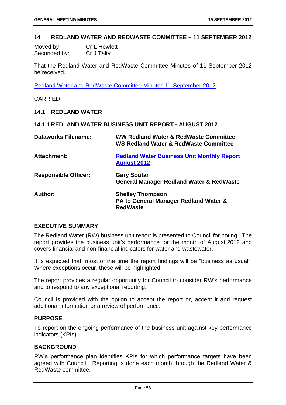#### **14 REDLAND WATER AND REDWASTE COMMITTEE – 11 SEPTEMBER 2012**

| Moved by:    | <b>Cr L Hewlett</b> |
|--------------|---------------------|
| Seconded by: | Cr J Talty          |

That the Redland Water and RedWaste Committee Minutes of 11 September 2012 be received.

Redland Water and RedWaste Committee Minutes 11 September 2012

#### CARRIED

#### **14.1 REDLAND WATER**

#### **14.1.1 REDLAND WATER BUSINESS UNIT REPORT - AUGUST 2012**

| <b>Dataworks Filename:</b>  | <b>WW Redland Water &amp; RedWaste Committee</b><br><b>WS Redland Water &amp; RedWaste Committee</b> |
|-----------------------------|------------------------------------------------------------------------------------------------------|
| <b>Attachment:</b>          | <b>Redland Water Business Unit Monthly Report</b><br><b>August 2012</b>                              |
| <b>Responsible Officer:</b> | <b>Gary Soutar</b><br><b>General Manager Redland Water &amp; RedWaste</b>                            |
| Author:                     | <b>Shelley Thompson</b><br>PA to General Manager Redland Water &<br><b>RedWaste</b>                  |

#### **EXECUTIVE SUMMARY**

The Redland Water (RW) business unit report is presented to Council for noting. The report provides the business unit's performance for the month of August 2012 and covers financial and non-financial indicators for water and wastewater.

It is expected that, most of the time the report findings will be "business as usual". Where exceptions occur, these will be highlighted.

The report provides a regular opportunity for Council to consider RW's performance and to respond to any exceptional reporting.

Council is provided with the option to accept the report or, accept it and request additional information or a review of performance.

#### **PURPOSE**

To report on the ongoing performance of the business unit against key performance indicators (KPIs).

#### **BACKGROUND**

RW's performance plan identifies KPIs for which performance targets have been agreed with Council. Reporting is done each month through the Redland Water & RedWaste committee.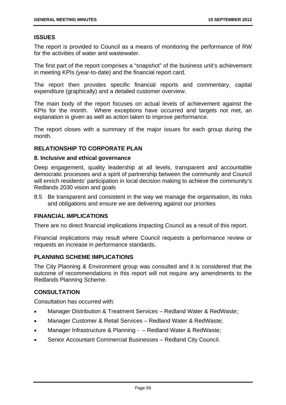# **ISSUES**

The report is provided to Council as a means of monitoring the performance of RW for the activities of water and wastewater.

The first part of the report comprises a "snapshot" of the business unit's achievement in meeting KPIs (year-to-date) and the financial report card.

The report then provides specific financial reports and commentary, capital expenditure (graphically) and a detailed customer overview.

The main body of the report focuses on actual levels of achievement against the KPIs for the month. Where exceptions have occurred and targets not met, an explanation is given as well as action taken to improve performance.

The report closes with a summary of the major issues for each group during the month.

# **RELATIONSHIP TO CORPORATE PLAN**

#### **8. Inclusive and ethical governance**

Deep engagement, quality leadership at all levels, transparent and accountable democratic processes and a spirit of partnership between the community and Council will enrich residents' participation in local decision making to achieve the community's Redlands 2030 vision and goals

8.5 Be transparent and consistent in the way we manage the organisation, its risks and obligations and ensure we are delivering against our priorities

# **FINANCIAL IMPLICATIONS**

There are no direct financial implications impacting Council as a result of this report.

Financial implications may result where Council requests a performance review or requests an increase in performance standards.

# **PLANNING SCHEME IMPLICATIONS**

The City Planning & Environment group was consulted and it is considered that the outcome of recommendations in this report will not require any amendments to the Redlands Planning Scheme.

# **CONSULTATION**

Consultation has occurred with:

- Manager Distribution & Treatment Services Redland Water & RedWaste;
- Manager Customer & Retail Services Redland Water & RedWaste;
- Manager Infrastructure & Planning – Redland Water & RedWaste;
- Senior Accountant Commercial Businesses Redland City Council.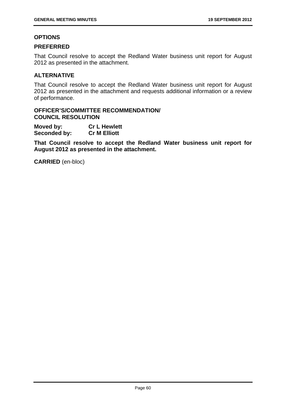## **OPTIONS**

#### **PREFERRED**

That Council resolve to accept the Redland Water business unit report for August 2012 as presented in the attachment.

## **ALTERNATIVE**

That Council resolve to accept the Redland Water business unit report for August 2012 as presented in the attachment and requests additional information or a review of performance.

## **OFFICER'S/COMMITTEE RECOMMENDATION/ COUNCIL RESOLUTION**

**Moved by: Cr L Hewlett Seconded by: Cr M Elliott** 

**That Council resolve to accept the Redland Water business unit report for August 2012 as presented in the attachment.**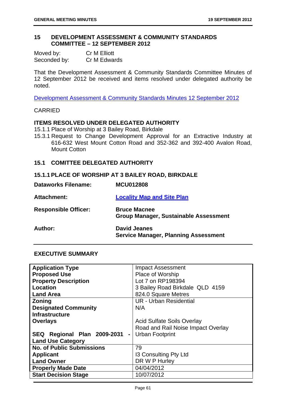#### **15 DEVELOPMENT ASSESSMENT & COMMUNITY STANDARDS COMMITTEE – 12 SEPTEMBER 2012**

| Moved by:    | <b>Cr M Elliott</b> |
|--------------|---------------------|
| Seconded by: | Cr M Edwards        |

That the Development Assessment & Community Standards Committee Minutes of 12 September 2012 be received and items resolved under delegated authority be noted.

Development Assessment & Community Standards Minutes 12 September 2012

#### CARRIED

## **ITEMS RESOLVED UNDER DELEGATED AUTHORITY**

15.1.1 Place of Worship at 3 Bailey Road, Birkdale

15.3.1 Request to Change Development Approval for an Extractive Industry at 616-632 West Mount Cotton Road and 352-362 and 392-400 Avalon Road, Mount Cotton

# **15.1 COMITTEE DELEGATED AUTHORITY**

#### **15.1.1 PLACE OF WORSHIP AT 3 BAILEY ROAD, BIRKDALE**

| <b>Dataworks Filename:</b>  | <b>MCU012808</b>                                                   |
|-----------------------------|--------------------------------------------------------------------|
| Attachment:                 | <b>Locality Map and Site Plan</b>                                  |
| <b>Responsible Officer:</b> | <b>Bruce Macnee</b><br>Group Manager, Sustainable Assessment       |
| Author:                     | <b>David Jeanes</b><br><b>Service Manager, Planning Assessment</b> |

## **EXECUTIVE SUMMARY**

| <b>Application Type</b>                       | <b>Impact Assessment</b>           |
|-----------------------------------------------|------------------------------------|
| <b>Proposed Use</b>                           | Place of Worship                   |
| <b>Property Description</b>                   | Lot 7 on RP198394                  |
| Location                                      | 3 Bailey Road Birkdale QLD 4159    |
| <b>Land Area</b>                              | 824.0 Square Metres                |
| Zoning                                        | <b>UR</b> - Urban Residential      |
| <b>Designated Community</b>                   | N/A                                |
| <b>Infrastructure</b>                         |                                    |
| <b>Overlays</b>                               | <b>Acid Sulfate Soils Overlay</b>  |
|                                               | Road and Rail Noise Impact Overlay |
| SEQ Regional Plan 2009-2031<br>$\blacksquare$ | <b>Urban Footprint</b>             |
| <b>Land Use Category</b>                      |                                    |
| <b>No. of Public Submissions</b>              | 79                                 |
| <b>Applicant</b>                              | 13 Consulting Pty Ltd              |
| <b>Land Owner</b>                             | DR W P Hurley                      |
| <b>Properly Made Date</b>                     | 04/04/2012                         |
| <b>Start Decision Stage</b>                   | 10/07/2012                         |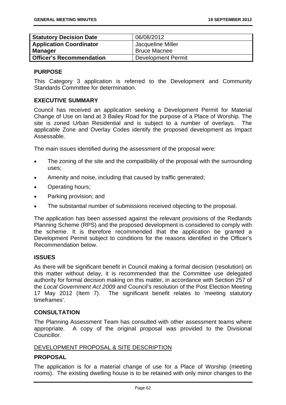| <b>Statutory Decision Date</b>  | 06/08/2012                |
|---------------------------------|---------------------------|
| <b>Application Coordinator</b>  | Jacqueline Miller         |
| Manager                         | <b>Bruce Macnee</b>       |
| <b>Officer's Recommendation</b> | <b>Development Permit</b> |

## **PURPOSE**

This Category 3 application is referred to the Development and Community Standards Committee for determination.

## **EXECUTIVE SUMMARY**

Council has received an application seeking a Development Permit for Material Change of Use on land at 3 Bailey Road for the purpose of a Place of Worship. The site is zoned Urban Residential and is subject to a number of overlays. The applicable Zone and Overlay Codes identify the proposed development as Impact Assessable.

The main issues identified during the assessment of the proposal were:

- The zoning of the site and the compatibility of the proposal with the surrounding uses;
- Amenity and noise, including that caused by traffic generated;
- Operating hours;
- Parking provision; and
- The substantial number of submissions received objecting to the proposal.

The application has been assessed against the relevant provisions of the Redlands Planning Scheme (RPS) and the proposed development is considered to comply with the scheme. It is therefore recommended that the application be granted a Development Permit subject to conditions for the reasons identified in the Officer's Recommendation below.

# **ISSUES**

As there will be significant benefit in Council making a formal decision (resolution) on this matter without delay, it is recommended that the Committee use delegated authority for formal decision making on this matter, in accordance with Section 257 of the *Local Government Act 2009* and Council's resolution of the Post Election Meeting 17 May 2012 (Item 7). The significant benefit relates to 'meeting statutory timeframes'.

# **CONSULTATION**

The Planning Assessment Team has consulted with other assessment teams where appropriate. A copy of the original proposal was provided to the Divisional Councillor.

# DEVELOPMENT PROPOSAL & SITE DESCRIPTION

# **PROPOSAL**

The application is for a material change of use for a Place of Worship (meeting rooms). The existing dwelling house is to be retained with only minor changes to the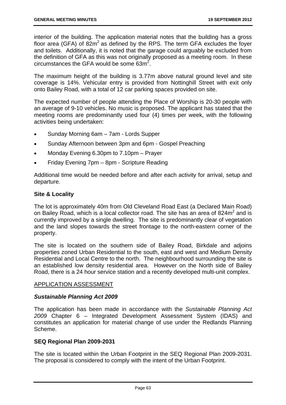interior of the building. The application material notes that the building has a gross floor area (GFA) of  $82m^2$  as defined by the RPS. The term GFA excludes the foyer and toilets. Additionally, it is noted that the garage could arguably be excluded from the definition of GFA as this was not originally proposed as a meeting room. In these circumstances the GFA would be some  $63m^2$ .

The maximum height of the building is 3.77m above natural ground level and site coverage is 14%. Vehicular entry is provided from Nottinghill Street with exit only onto Bailey Road, with a total of 12 car parking spaces provided on site.

The expected number of people attending the Place of Worship is 20-30 people with an average of 9-10 vehicles. No music is proposed. The applicant has stated that the meeting rooms are predominantly used four (4) times per week, with the following activities being undertaken:

- Sunday Morning 6am 7am Lords Supper
- Sunday Afternoon between 3pm and 6pm Gospel Preaching
- Monday Evening 6.30pm to 7.10pm Prayer
- Friday Evening 7pm 8pm Scripture Reading

Additional time would be needed before and after each activity for arrival, setup and departure.

#### **Site & Locality**

The lot is approximately 40m from Old Cleveland Road East (a Declared Main Road) on Bailey Road, which is a local collector road. The site has an area of 824 $m<sup>2</sup>$  and is currently improved by a single dwelling. The site is predominantly clear of vegetation and the land slopes towards the street frontage to the north-eastern corner of the property.

The site is located on the southern side of Bailey Road, Birkdale and adjoins properties zoned Urban Residential to the south, east and west and Medium Density Residential and Local Centre to the north. The neighbourhood surrounding the site is an established low density residential area. However on the North side of Bailey Road, there is a 24 hour service station and a recently developed multi-unit complex.

#### APPLICATION ASSESSMENT

#### *Sustainable Planning Act 2009*

The application has been made in accordance with the *Sustainable Planning Act 2009* Chapter 6 – Integrated Development Assessment System (IDAS) and constitutes an application for material change of use under the Redlands Planning Scheme.

#### **SEQ Regional Plan 2009-2031**

The site is located within the Urban Footprint in the SEQ Regional Plan 2009-2031. The proposal is considered to comply with the intent of the Urban Footprint.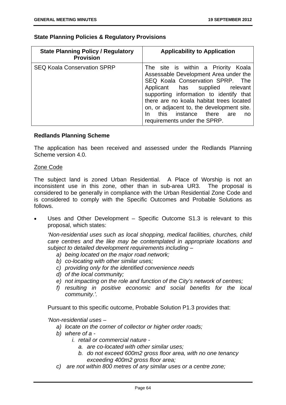## **State Planning Policies & Regulatory Provisions**

| <b>State Planning Policy / Regulatory</b><br><b>Provision</b> | <b>Applicability to Application</b>                                                                                                                                                                                                                                                                                                                               |
|---------------------------------------------------------------|-------------------------------------------------------------------------------------------------------------------------------------------------------------------------------------------------------------------------------------------------------------------------------------------------------------------------------------------------------------------|
| <b>SEQ Koala Conservation SPRP</b>                            | The site is within a Priority Koala<br>Assessable Development Area under the<br>SEQ Koala Conservation SPRP. The<br>Applicant has supplied relevant<br>supporting information to identify that<br>there are no koala habitat trees located<br>on, or adjacent to, the development site.<br>this instance there<br>In<br>are<br>no<br>requirements under the SPRP. |

## **Redlands Planning Scheme**

The application has been received and assessed under the Redlands Planning Scheme version 4.0.

#### Zone Code

The subject land is zoned Urban Residential. A Place of Worship is not an inconsistent use in this zone, other than in sub-area UR3. The proposal is considered to be generally in compliance with the Urban Residential Zone Code and is considered to comply with the Specific Outcomes and Probable Solutions as follows.

 Uses and Other Development – Specific Outcome S1.3 is relevant to this proposal, which states:

*'Non-residential uses such as local shopping, medical facilities, churches, child care centres and the like may be contemplated in appropriate locations and subject to detailed development requirements including –* 

- *a) being located on the major road network;*
- *b) co-locating with other similar uses;*
- *c) providing only for the identified convenience needs*
- *d) of the local community;*
- *e) not impacting on the role and function of the City's network of centres;*
- *f) resulting in positive economic and social benefits for the local community.'.*

Pursuant to this specific outcome, Probable Solution P1.3 provides that:

*'Non-residential uses –* 

- *a) locate on the corner of collector or higher order roads;*
- *b) where of a* 
	- *i. retail or commercial nature* 
		- *a. are co-located with other similar uses;*
		- *b. do not exceed 600m2 gross floor area, with no one tenancy exceeding 400m2 gross floor area;*
- *c) are not within 800 metres of any similar uses or a centre zone;*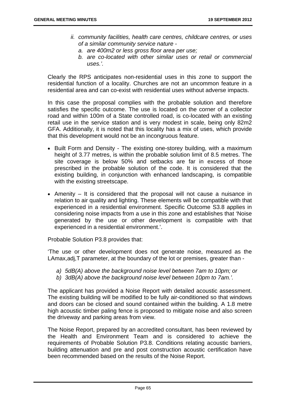- *ii. community facilities, health care centres, childcare centres, or uses of a similar community service nature* 
	- *a. are 400m2 or less gross floor area per use;*
	- *b. are co-located with other similar uses or retail or commercial uses.'.*

Clearly the RPS anticipates non-residential uses in this zone to support the residential function of a locality. Churches are not an uncommon feature in a residential area and can co-exist with residential uses without adverse impacts.

In this case the proposal complies with the probable solution and therefore satisfies the specific outcome. The use is located on the corner of a collector road and within 100m of a State controlled road, is co-located with an existing retail use in the service station and is very modest in scale, being only 82m2 GFA. Additionally, it is noted that this locality has a mix of uses, which provide that this development would not be an incongruous feature.

- Built Form and Density The existing one-storey building, with a maximum height of 3.77 metres, is within the probable solution limit of 8.5 metres. The site coverage is below 50% and setbacks are far in excess of those prescribed in the probable solution of the code. It is considered that the existing building, in conjunction with enhanced landscaping, is compatible with the existing streetscape.
- Amenity  $-$  It is considered that the proposal will not cause a nuisance in relation to air quality and lighting. These elements will be compatible with that experienced in a residential environment. Specific Outcome S3.8 applies in considering noise impacts from a use in this zone and establishes that 'Noise generated by the use or other development is compatible with that experienced in a residential environment.'.

Probable Solution P3.8 provides that:

'The use or other development does not generate noise, measured as the LAmax,adj,T parameter, at the boundary of the lot or premises, greater than -

- *a) 5dB(A) above the background noise level between 7am to 10pm; or*
- *b) 3dB(A) above the background noise level between 10pm to 7am.'.*

The applicant has provided a Noise Report with detailed acoustic assessment. The existing building will be modified to be fully air-conditioned so that windows and doors can be closed and sound contained within the building. A 1.8 metre high acoustic timber paling fence is proposed to mitigate noise and also screen the driveway and parking areas from view.

The Noise Report, prepared by an accredited consultant, has been reviewed by the Health and Environment Team and is considered to achieve the requirements of Probable Solution P3.8. Conditions relating acoustic barriers, building attenuation and pre and post construction acoustic certification have been recommended based on the results of the Noise Report.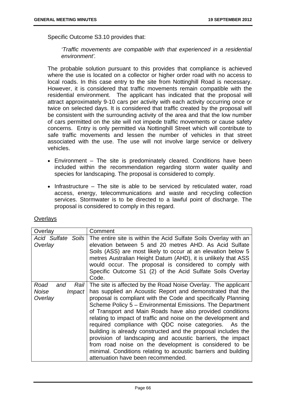Specific Outcome S3.10 provides that:

*'Traffic movements are compatible with that experienced in a residential environment'.* 

The probable solution pursuant to this provides that compliance is achieved where the use is located on a collector or higher order road with no access to local roads. In this case entry to the site from Nottinghill Road is necessary. However, it is considered that traffic movements remain compatible with the residential environment. The applicant has indicated that the proposal will attract approximately 9-10 cars per activity with each activity occurring once or twice on selected days. It is considered that traffic created by the proposal will be consistent with the surrounding activity of the area and that the low number of cars permitted on the site will not impede traffic movements or cause safety concerns. Entry is only permitted via Nottinghill Street which will contribute to safe traffic movements and lessen the number of vehicles in that street associated with the use. The use will not involve large service or delivery vehicles.

- Environment The site is predominately cleared. Conditions have been included within the recommendation regarding storm water quality and species for landscaping. The proposal is considered to comply.
- $\bullet$  Infrastructure The site is able to be serviced by reticulated water, road access, energy, telecommunications and waste and recycling collection services. Stormwater is to be directed to a lawful point of discharge. The proposal is considered to comply in this regard.

| Overlay                                                | Comment                                                                                                                                                                                                                                                                                                                                                                                                                                                                                                                                                                                                                                                                                                                                           |
|--------------------------------------------------------|---------------------------------------------------------------------------------------------------------------------------------------------------------------------------------------------------------------------------------------------------------------------------------------------------------------------------------------------------------------------------------------------------------------------------------------------------------------------------------------------------------------------------------------------------------------------------------------------------------------------------------------------------------------------------------------------------------------------------------------------------|
| Acid Sulfate Soils<br>Overlay                          | The entire site is within the Acid Sulfate Soils Overlay with an<br>elevation between 5 and 20 metres AHD. As Acid Sulfate<br>Soils (ASS) are most likely to occur at an elevation below 5<br>metres Australian Height Datum (AHD), it is unlikely that ASS<br>would occur. The proposal is considered to comply with<br>Specific Outcome S1 (2) of the Acid Sulfate Soils Overlay<br>Code.                                                                                                                                                                                                                                                                                                                                                       |
| Road<br>Rail I<br>and<br>Noise<br>$Im$ pact<br>Overlay | The site is affected by the Road Noise Overlay. The applicant<br>has supplied an Acoustic Report and demonstrated that the<br>proposal is compliant with the Code and specifically Planning<br>Scheme Policy 5 - Environmental Emissions. The Department<br>of Transport and Main Roads have also provided conditions<br>relating to impact of traffic and noise on the development and<br>required compliance with QDC noise categories. As the<br>building is already constructed and the proposal includes the<br>provision of landscaping and acoustic barriers, the impact<br>from road noise on the development is considered to be<br>minimal. Conditions relating to acoustic barriers and building<br>attenuation have been recommended. |

#### **Overlays**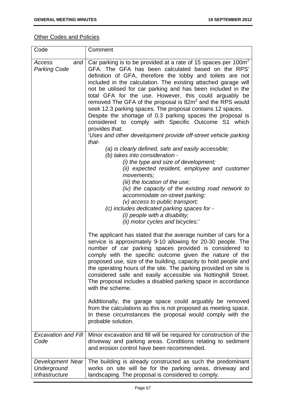# **Other Codes and Policies**

| Code                                              | Comment                                                                                                                                                                                                                                                                                                                                                                                                                                                                                                                                                                                                                                                                                                                                                                                                                                                                                                                                                                                                                                                                                                                                                                                                                                |
|---------------------------------------------------|----------------------------------------------------------------------------------------------------------------------------------------------------------------------------------------------------------------------------------------------------------------------------------------------------------------------------------------------------------------------------------------------------------------------------------------------------------------------------------------------------------------------------------------------------------------------------------------------------------------------------------------------------------------------------------------------------------------------------------------------------------------------------------------------------------------------------------------------------------------------------------------------------------------------------------------------------------------------------------------------------------------------------------------------------------------------------------------------------------------------------------------------------------------------------------------------------------------------------------------|
| Access<br>and<br><b>Parking Code</b>              | Car parking is to be provided at a rate of 15 spaces per 100m <sup>2</sup><br>GFA. The GFA has been calculated based on the RPS'<br>definition of GFA, therefore the lobby and toilets are not<br>included in the calculation. The existing attached garage will<br>not be utilised for car parking and has been included in the<br>total GFA for the use. However, this could arguably be<br>removed The GFA of the proposal is 82m <sup>2</sup> and the RPS would<br>seek 12.3 parking spaces. The proposal contains 12 spaces.<br>Despite the shortage of 0.3 parking spaces the proposal is<br>considered to comply with Specific Outcome S1 which<br>provides that:<br>'Uses and other development provide off-street vehicle parking<br>that-<br>(a) is clearly defined, safe and easily accessible;<br>(b) takes into consideration -<br>(i) the type and size of development;<br>(ii) expected resident, employee and customer<br>movements;<br>(iii) the location of the use;<br>(iv) the capacity of the existing road network to<br>accommodate on-street parking;<br>$(v)$ access to public transport;<br>(c) includes dedicated parking spaces for -<br>(i) people with a disability;<br>(ii) motor cycles and bicycles;' |
|                                                   | The applicant has stated that the average number of cars for a<br>service is approximately 9-10 allowing for 20-30 people. The<br>number of car parking spaces provided is considered to<br>comply with the specific outcome given the nature of the<br>proposed use, size of the building, capacity to hold people and<br>the operating hours of the site. The parking provided on site is<br>considered safe and easily accessible via Nottinghill Street.<br>The proposal includes a disabled parking space in accordance<br>with the scheme.<br>Additionally, the garage space could arguably be removed<br>from the calculations as this is not proposed as meeting space.<br>In these circumstances the proposal would comply with the                                                                                                                                                                                                                                                                                                                                                                                                                                                                                           |
|                                                   | probable solution.                                                                                                                                                                                                                                                                                                                                                                                                                                                                                                                                                                                                                                                                                                                                                                                                                                                                                                                                                                                                                                                                                                                                                                                                                     |
| <b>Excavation and Fill</b><br>Code                | Minor excavation and fill will be required for construction of the<br>driveway and parking areas. Conditions relating to sediment<br>and erosion control have been recommended.                                                                                                                                                                                                                                                                                                                                                                                                                                                                                                                                                                                                                                                                                                                                                                                                                                                                                                                                                                                                                                                        |
| Development Near<br>Underground<br>Infrastructure | The building is already constructed as such the predominant<br>works on site will be for the parking areas, driveway and<br>landscaping. The proposal is considered to comply.                                                                                                                                                                                                                                                                                                                                                                                                                                                                                                                                                                                                                                                                                                                                                                                                                                                                                                                                                                                                                                                         |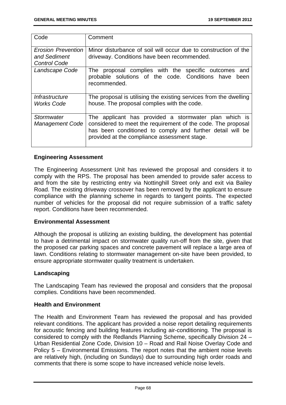| Code                                                             | Comment                                                                                                                                                                                                                            |
|------------------------------------------------------------------|------------------------------------------------------------------------------------------------------------------------------------------------------------------------------------------------------------------------------------|
| <b>Erosion Prevention</b><br>and Sediment<br><b>Control Code</b> | Minor disturbance of soil will occur due to construction of the<br>driveway. Conditions have been recommended.                                                                                                                     |
| Landscape Code                                                   | The proposal complies with the specific outcomes<br>and<br>probable solutions of the code. Conditions have<br>been<br>recommended.                                                                                                 |
| Infrastructure<br><b>Works Code</b>                              | The proposal is utilising the existing services from the dwelling<br>house. The proposal complies with the code.                                                                                                                   |
| Stormwater<br><b>Management Code</b>                             | The applicant has provided a stormwater plan which is<br>considered to meet the requirement of the code. The proposal<br>has been conditioned to comply and further detail will be<br>provided at the compliance assessment stage. |

## **Engineering Assessment**

The Engineering Assessment Unit has reviewed the proposal and considers it to comply with the RPS. The proposal has been amended to provide safer access to and from the site by restricting entry via Nottinghill Street only and exit via Bailey Road. The existing driveway crossover has been removed by the applicant to ensure compliance with the planning scheme in regards to tangent points. The expected number of vehicles for the proposal did not require submission of a traffic safety report. Conditions have been recommended.

## **Environmental Assessment**

Although the proposal is utilizing an existing building, the development has potential to have a detrimental impact on stormwater quality run-off from the site, given that the proposed car parking spaces and concrete pavement will replace a large area of lawn. Conditions relating to stormwater management on-site have been provided, to ensure appropriate stormwater quality treatment is undertaken.

## **Landscaping**

The Landscaping Team has reviewed the proposal and considers that the proposal complies. Conditions have been recommended.

## **Health and Environment**

The Health and Environment Team has reviewed the proposal and has provided relevant conditions. The applicant has provided a noise report detailing requirements for acoustic fencing and building features including air-conditioning. The proposal is considered to comply with the Redlands Planning Scheme, specifically Division 24 – Urban Residential Zone Code, Division 10 – Road and Rail Noise Overlay Code and Policy 5 – Environmental Emissions. The report notes that the ambient noise levels are relatively high, (including on Sundays) due to surrounding high order roads and comments that there is some scope to have increased vehicle noise levels.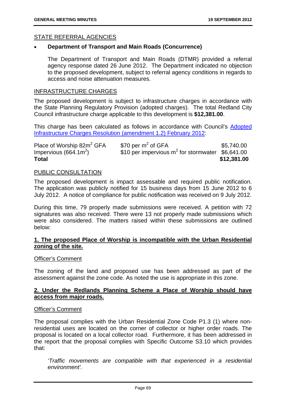## STATE REFERRAL AGENCIES

## **Department of Transport and Main Roads (Concurrence)**

The Department of Transport and Main Roads (DTMR) provided a referral agency response dated 26 June 2012. The Department indicated no objection to the proposed development, subject to referral agency conditions in regards to access and noise attenuation measures.

## INFRASTRUCTURE CHARGES

The proposed development is subject to infrastructure charges in accordance with the State Planning Regulatory Provision (adopted charges). The total Redland City Council infrastructure charge applicable to this development is **\$12,381.00**.

This charge has been calculated as follows in accordance with Council's Adopted Infrastructure Charges Resolution (amendment 1.2) February 2012:

| Place of Worship 82m <sup>2</sup> GFA | \$70 per $m2$ of GFA                                | \$5,740.00  |
|---------------------------------------|-----------------------------------------------------|-------------|
| Impervious $(664.1m^2)$               | \$10 per impervious $m^2$ for stormwater \$6,641.00 |             |
| <b>Total</b>                          |                                                     | \$12,381.00 |

### PUBLIC CONSULTATION

The proposed development is impact assessable and required public notification. The application was publicly notified for 15 business days from 15 June 2012 to 6 July 2012. A notice of compliance for public notification was received on 9 July 2012.

During this time, 79 properly made submissions were received. A petition with 72 signatures was also received. There were 13 not properly made submissions which were also considered. The matters raised within these submissions are outlined below:

## **1. The proposed Place of Worship is incompatible with the Urban Residential zoning of the site.**

#### Officer's Comment

The zoning of the land and proposed use has been addressed as part of the assessment against the zone code. As noted the use is appropriate in this zone.

## **2. Under the Redlands Planning Scheme a Place of Worship should have access from major roads.**

#### Officer's Comment

The proposal complies with the Urban Residential Zone Code P1.3 (1) where nonresidential uses are located on the corner of collector or higher order roads. The proposal is located on a local collector road. Furthermore, it has been addressed in the report that the proposal complies with Specific Outcome S3.10 which provides that:

*'Traffic movements are compatible with that experienced in a residential environment'.*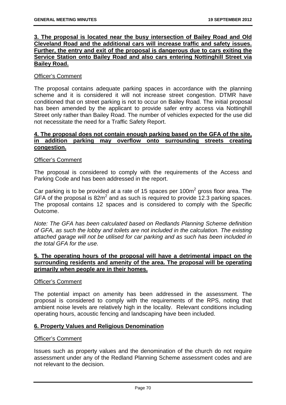## **3. The proposal is located near the busy intersection of Bailey Road and Old Cleveland Road and the additional cars will increase traffic and safety issues. Further, the entry and exit of the proposal is dangerous due to cars exiting the Service Station onto Bailey Road and also cars entering Nottinghill Street via Bailey Road.**

## Officer's Comment

The proposal contains adequate parking spaces in accordance with the planning scheme and it is considered it will not increase street congestion. DTMR have conditioned that on street parking is not to occur on Bailey Road. The initial proposal has been amended by the applicant to provide safer entry access via Nottinghill Street only rather than Bailey Road. The number of vehicles expected for the use did not necessitate the need for a Traffic Safety Report.

## **4. The proposal does not contain enough parking based on the GFA of the site, in addition parking may overflow onto surrounding streets creating congestion.**

## Officer's Comment

The proposal is considered to comply with the requirements of the Access and Parking Code and has been addressed in the report.

Car parking is to be provided at a rate of 15 spaces per 100 $m<sup>2</sup>$  gross floor area. The GFA of the proposal is  $82m^2$  and as such is required to provide 12.3 parking spaces. The proposal contains 12 spaces and is considered to comply with the Specific Outcome.

*Note: The GFA has been calculated based on Redlands Planning Scheme definition of GFA, as such the lobby and toilets are not included in the calculation. The existing attached garage will not be utilised for car parking and as such has been included in the total GFA for the use.* 

## **5. The operating hours of the proposal will have a detrimental impact on the surrounding residents and amenity of the area. The proposal will be operating primarily when people are in their homes.**

## Officer's Comment

The potential impact on amenity has been addressed in the assessment. The proposal is considered to comply with the requirements of the RPS, noting that ambient noise levels are relatively high in the locality. Relevant conditions including operating hours, acoustic fencing and landscaping have been included.

## **6. Property Values and Religious Denomination**

## Officer's Comment

Issues such as property values and the denomination of the church do not require assessment under any of the Redland Planning Scheme assessment codes and are not relevant to the decision.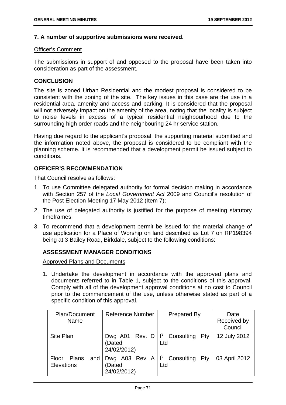## **7. A number of supportive submissions were received.**

### Officer's Comment

The submissions in support of and opposed to the proposal have been taken into consideration as part of the assessment.

## **CONCLUSION**

The site is zoned Urban Residential and the modest proposal is considered to be consistent with the zoning of the site. The key issues in this case are the use in a residential area, amenity and access and parking. It is considered that the proposal will not adversely impact on the amenity of the area, noting that the locality is subject to noise levels in excess of a typical residential neighbourhood due to the surrounding high order roads and the neighbouring 24 hr service station.

Having due regard to the applicant's proposal, the supporting material submitted and the information noted above, the proposal is considered to be compliant with the planning scheme. It is recommended that a development permit be issued subject to conditions.

## **OFFICER'S RECOMMENDATION**

That Council resolve as follows:

- 1. To use Committee delegated authority for formal decision making in accordance with Section 257 of the *Local Government Act* 2009 and Council's resolution of the Post Election Meeting 17 May 2012 (Item 7);
- 2. The use of delegated authority is justified for the purpose of meeting statutory timeframes;
- 3. To recommend that a development permit be issued for the material change of use application for a Place of Worship on land described as Lot 7 on RP198394 being at 3 Bailey Road, Birkdale, subject to the following conditions:

## **ASSESSMENT MANAGER CONDITIONS**

Approved Plans and Documents

1. Undertake the development in accordance with the approved plans and documents referred to in Table 1, subject to the conditions of this approval. Comply with all of the development approval conditions at no cost to Council prior to the commencement of the use, unless otherwise stated as part of a specific condition of this approval.

| Plan/Document<br>Name                   | <b>Reference Number</b>                                      | <b>Prepared By</b> | Date<br>Received by<br>Council |
|-----------------------------------------|--------------------------------------------------------------|--------------------|--------------------------------|
| Site Plan                               | Dwg A01, Rev. D $ 1^3$ Consulting<br>(Dated<br>24/02/2012)   | Pty<br>Ltd         | 12 July 2012                   |
| Floor Plans<br>and<br><b>Elevations</b> | Dwg A03 Rev A $ I^3$ Consulting Pty<br>(Dated<br>24/02/2012) | Ltd                | 03 April 2012                  |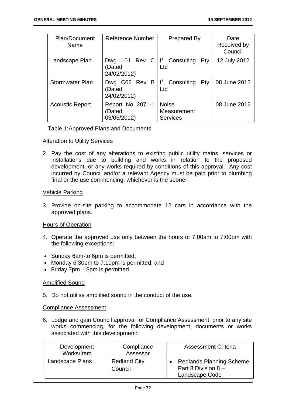| <b>Plan/Document</b><br>Name | Reference Number                         | Prepared By                                    | Date<br>Received by<br>Council |
|------------------------------|------------------------------------------|------------------------------------------------|--------------------------------|
| Landscape Plan               | Dwg L01 Rev C<br>Dated<br>24/02/2012)    | $ $ I <sup>3</sup> Consulting<br>$P$ ty<br>Ltd | 12 July 2012                   |
| <b>Stormwater Plan</b>       | Dwg C02 Rev B<br>(Dated<br>24/02/2012)   | $1^3$<br>Consulting<br>Pty<br>Ltd              | 08 June 2012                   |
| <b>Acoustic Report</b>       | Report No 2071-1<br>Dated<br>03/05/2012) | <b>Noise</b><br>Measurement<br><b>Services</b> | 08 June 2012                   |

Table 1: Approved Plans and Documents

## Alteration to Utility Services

2. Pay the cost of any alterations to existing public utility mains, services or installations due to building and works in relation to the proposed development, or any works required by conditions of this approval. Any cost incurred by Council and/or a relevant Agency must be paid prior to plumbing final or the use commencing, whichever is the sooner.

#### Vehicle Parking

3. Provide on-site parking to accommodate 12 cars in accordance with the approved plans.

#### Hours of Operation

- 4. Operate the approved use only between the hours of 7:00am to 7:00pm with the following exceptions:
- Sunday 6am-to 6pm is permitted;
- Monday 6:30pm to 7:10pm is permitted; and
- $\bullet$  Friday 7pm 8pm is permitted.

## Amplified Sound

5. Do not utilise amplified sound in the conduct of the use.

#### Compliance Assessment

6. Lodge and gain Council approval for Compliance Assessment, prior to any site works commencing, for the following development, documents or works associated with this development:

| Development<br>Works/Item | Compliance<br>Assessor         | <b>Assessment Criteria</b>                                                 |
|---------------------------|--------------------------------|----------------------------------------------------------------------------|
| Landscape Plans           | <b>Redland City</b><br>Council | <b>Redlands Planning Scheme</b><br>Part 8 Division $8 -$<br>Landscape Code |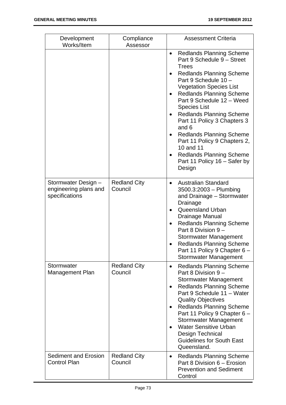| Development<br>Works/Item                                      | Compliance<br>Assessor         | <b>Assessment Criteria</b>                                                                                                                                                                                                                                                                                                                                                                                                                                                                                             |
|----------------------------------------------------------------|--------------------------------|------------------------------------------------------------------------------------------------------------------------------------------------------------------------------------------------------------------------------------------------------------------------------------------------------------------------------------------------------------------------------------------------------------------------------------------------------------------------------------------------------------------------|
|                                                                |                                | <b>Redlands Planning Scheme</b><br>$\bullet$<br>Part 9 Schedule 9 - Street<br><b>Trees</b><br><b>Redlands Planning Scheme</b><br>Part 9 Schedule 10 -<br><b>Vegetation Species List</b><br><b>Redlands Planning Scheme</b><br>Part 9 Schedule 12 - Weed<br><b>Species List</b><br><b>Redlands Planning Scheme</b><br>Part 11 Policy 3 Chapters 3<br>and 6<br><b>Redlands Planning Scheme</b><br>Part 11 Policy 9 Chapters 2,<br>10 and 11<br><b>Redlands Planning Scheme</b><br>Part 11 Policy 16 - Safer by<br>Design |
| Stormwater Design -<br>engineering plans and<br>specifications | <b>Redland City</b><br>Council | <b>Australian Standard</b><br>$\bullet$<br>3500.3:2003 - Plumbing<br>and Drainage - Stormwater<br>Drainage<br><b>Queensland Urban</b><br>$\bullet$<br>Drainage Manual<br><b>Redlands Planning Scheme</b><br>$\bullet$<br>Part 8 Division 9 -<br><b>Stormwater Management</b><br><b>Redlands Planning Scheme</b><br>Part 11 Policy 9 Chapter 6 –<br><b>Stormwater Management</b>                                                                                                                                        |
| Stormwater<br>Management Plan                                  | <b>Redland City</b><br>Council | <b>Redlands Planning Scheme</b><br>$\bullet$<br>Part 8 Division 9 -<br><b>Stormwater Management</b><br><b>Redlands Planning Scheme</b><br>Part 9 Schedule 11 - Water<br><b>Quality Objectives</b><br><b>Redlands Planning Scheme</b><br>Part 11 Policy 9 Chapter 6 -<br>Stormwater Management<br><b>Water Sensitive Urban</b><br>Design Technical<br><b>Guidelines for South East</b><br>Queensland.                                                                                                                   |
| <b>Sediment and Erosion</b><br><b>Control Plan</b>             | <b>Redland City</b><br>Council | <b>Redlands Planning Scheme</b><br>$\bullet$<br>Part 8 Division 6 - Erosion<br><b>Prevention and Sediment</b><br>Control                                                                                                                                                                                                                                                                                                                                                                                               |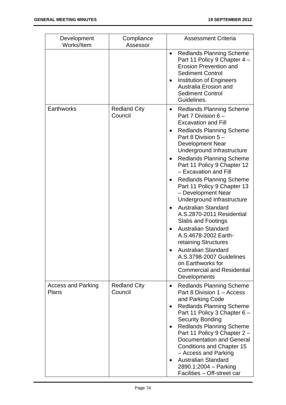| Development<br>Works/Item          | Compliance<br>Assessor         | <b>Assessment Criteria</b>                                                                                                                                                                                                                                                                                                                                                                                                                                                                                                                                                                                                                                                                                                  |
|------------------------------------|--------------------------------|-----------------------------------------------------------------------------------------------------------------------------------------------------------------------------------------------------------------------------------------------------------------------------------------------------------------------------------------------------------------------------------------------------------------------------------------------------------------------------------------------------------------------------------------------------------------------------------------------------------------------------------------------------------------------------------------------------------------------------|
|                                    |                                | <b>Redlands Planning Scheme</b><br>Part 11 Policy 9 Chapter 4 -<br><b>Erosion Prevention and</b><br><b>Sediment Control</b><br><b>Institution of Engineers</b><br>Australia Erosion and<br><b>Sediment Control</b><br>Guidelines.                                                                                                                                                                                                                                                                                                                                                                                                                                                                                           |
| Earthworks                         | <b>Redland City</b><br>Council | <b>Redlands Planning Scheme</b><br>Part 7 Division 6 -<br><b>Excavation and Fill</b><br><b>Redlands Planning Scheme</b><br>Part 8 Division 5 -<br>Development Near<br>Underground Infrastructure<br><b>Redlands Planning Scheme</b><br>Part 11 Policy 9 Chapter 12<br>- Excavation and Fill<br><b>Redlands Planning Scheme</b><br>Part 11 Policy 9 Chapter 13<br>- Development Near<br>Underground Infrastructure<br><b>Australian Standard</b><br>A.S.2870-2011 Residential<br><b>Slabs and Footings</b><br><b>Australian Standard</b><br>A.S.4678-2002 Earth-<br>retaining Structures<br><b>Australian Standard</b><br>A.S.3798-2007 Guidelines<br>on Earthworks for<br><b>Commercial and Residential</b><br>Developments |
| <b>Access and Parking</b><br>Plans | <b>Redland City</b><br>Council | <b>Redlands Planning Scheme</b><br>$\bullet$<br>Part 8 Division 1 - Access<br>and Parking Code<br><b>Redlands Planning Scheme</b><br>Part 11 Policy 3 Chapter 6 -<br><b>Security Bonding</b><br><b>Redlands Planning Scheme</b><br>Part 11 Policy 9 Chapter 2 -<br><b>Documentation and General</b><br><b>Conditions and Chapter 15</b><br>- Access and Parking<br><b>Australian Standard</b><br>2890.1:2004 - Parking<br>Facilities - Off-street car                                                                                                                                                                                                                                                                       |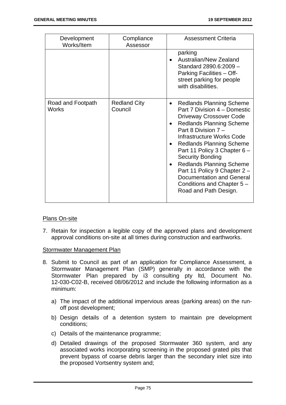| Development<br>Works/Item         | Compliance<br>Assessor         | <b>Assessment Criteria</b>                                                                                                                                                                                                                                                                                                                                                                                                                                                           |
|-----------------------------------|--------------------------------|--------------------------------------------------------------------------------------------------------------------------------------------------------------------------------------------------------------------------------------------------------------------------------------------------------------------------------------------------------------------------------------------------------------------------------------------------------------------------------------|
|                                   |                                | parking<br>Australian/New Zealand<br>Standard 2890.6:2009 -<br>Parking Facilities - Off-<br>street parking for people<br>with disabilities.                                                                                                                                                                                                                                                                                                                                          |
| Road and Footpath<br><b>Works</b> | <b>Redland City</b><br>Council | Redlands Planning Scheme<br>$\bullet$<br>Part 7 Division 4 – Domestic<br><b>Driveway Crossover Code</b><br><b>Redlands Planning Scheme</b><br>$\bullet$<br>Part 8 Division 7 -<br>Infrastructure Works Code<br><b>Redlands Planning Scheme</b><br>Part 11 Policy 3 Chapter 6 -<br><b>Security Bonding</b><br><b>Redlands Planning Scheme</b><br>$\bullet$<br>Part 11 Policy 9 Chapter 2 -<br><b>Documentation and General</b><br>Conditions and Chapter 5 -<br>Road and Path Design. |

## Plans On-site

7. Retain for inspection a legible copy of the approved plans and development approval conditions on-site at all times during construction and earthworks.

## Stormwater Management Plan

- 8. Submit to Council as part of an application for Compliance Assessment, a Stormwater Management Plan (SMP) generally in accordance with the Stormwater Plan prepared by i3 consulting pty ltd, Document No. 12-030-C02-B, received 08/06/2012 and include the following information as a minimum:
	- a) The impact of the additional impervious areas (parking areas) on the runoff post development;
	- b) Design details of a detention system to maintain pre development conditions;
	- c) Details of the maintenance programme;
	- d) Detailed drawings of the proposed Stormwater 360 system, and any associated works incorporating screening in the proposed grated pits that prevent bypass of coarse debris larger than the secondary inlet size into the proposed Vortsentry system and;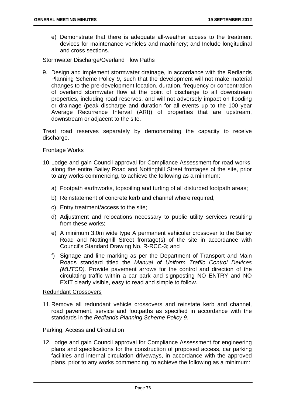e) Demonstrate that there is adequate all-weather access to the treatment devices for maintenance vehicles and machinery; and Include longitudinal and cross sections.

### Stormwater Discharge/Overland Flow Paths

9. Design and implement stormwater drainage, in accordance with the Redlands Planning Scheme Policy 9, such that the development will not make material changes to the pre-development location, duration, frequency or concentration of overland stormwater flow at the point of discharge to all downstream properties, including road reserves, and will not adversely impact on flooding or drainage (peak discharge and duration for all events up to the 100 year Average Recurrence Interval (ARI)) of properties that are upstream, downstream or adjacent to the site.

Treat road reserves separately by demonstrating the capacity to receive discharge.

## Frontage Works

- 10. Lodge and gain Council approval for Compliance Assessment for road works, along the entire Bailey Road and Nottinghill Street frontages of the site, prior to any works commencing, to achieve the following as a minimum:
	- a) Footpath earthworks, topsoiling and turfing of all disturbed footpath areas;
	- b) Reinstatement of concrete kerb and channel where required;
	- c) Entry treatment/access to the site;
	- d) Adjustment and relocations necessary to public utility services resulting from these works;
	- e) A minimum 3.0m wide type A permanent vehicular crossover to the Bailey Road and Nottinghill Street frontage(s) of the site in accordance with Council's Standard Drawing No. R-RCC-3; and
	- f) Signage and line marking as per the Department of Transport and Main Roads standard titled the *Manual of Uniform Traffic Control Devices (MUTCD).* Provide pavement arrows for the control and direction of the circulating traffic within a car park and signposting NO ENTRY and NO EXIT clearly visible, easy to read and simple to follow.

### Redundant Crossovers

11. Remove all redundant vehicle crossovers and reinstate kerb and channel, road pavement, service and footpaths as specified in accordance with the standards in the *Redlands Planning Scheme Policy 9.*

#### Parking, Access and Circulation

12. Lodge and gain Council approval for Compliance Assessment for engineering plans and specifications for the construction of proposed access, car parking facilities and internal circulation driveways, in accordance with the approved plans, prior to any works commencing, to achieve the following as a minimum: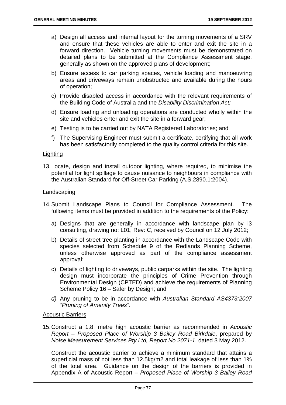- a) Design all access and internal layout for the turning movements of a SRV and ensure that these vehicles are able to enter and exit the site in a forward direction. Vehicle turning movements must be demonstrated on detailed plans to be submitted at the Compliance Assessment stage, generally as shown on the approved plans of development;
- b) Ensure access to car parking spaces, vehicle loading and manoeuvring areas and driveways remain unobstructed and available during the hours of operation;
- c) Provide disabled access in accordance with the relevant requirements of the Building Code of Australia and the *Disability Discrimination Act;*
- d) Ensure loading and unloading operations are conducted wholly within the site and vehicles enter and exit the site in a forward gear;
- e) Testing is to be carried out by NATA Registered Laboratories; and
- f) The Supervising Engineer must submit a certificate, certifying that all work has been satisfactorily completed to the quality control criteria for this site.

#### **Lighting**

13. Locate, design and install outdoor lighting, where required, to minimise the potential for light spillage to cause nuisance to neighbours in compliance with the Australian Standard for Off-Street Car Parking (A.S.2890.1:2004).

#### Landscaping

- 14. Submit Landscape Plans to Council for Compliance Assessment. The following items must be provided in addition to the requirements of the Policy:
	- a) Designs that are generally in accordance with landscape plan by i3 consulting, drawing no: L01, Rev: C, received by Council on 12 July 2012;
	- b) Details of street tree planting in accordance with the Landscape Code with species selected from Schedule 9 of the Redlands Planning Scheme, unless otherwise approved as part of the compliance assessment approval;
	- c) Details of lighting to driveways, public carparks within the site. The lighting design must incorporate the principles of Crime Prevention through Environmental Design (CPTED) and achieve the requirements of Planning Scheme Policy 16 – Safer by Design; and
	- *d)* Any pruning to be in accordance with *Australian Standard AS4373:2007 "Pruning of Amenity Trees".*

## Acoustic Barriers

15. Construct a 1.8, metre high acoustic barrier as recommended in *Acoustic Report – Proposed Place of Worship 3 Bailey Road Birkdale*, prepared by *Noise Measurement Services Pty Ltd, Report No 2071-1*, dated 3 May 2012.

Construct the acoustic barrier to achieve a minimum standard that attains a superficial mass of not less than 12.5kg/m2 and total leakage of less than 1% of the total area. Guidance on the design of the barriers is provided in Appendix A of Acoustic Report – *Proposed Place of Worship 3 Bailey Road*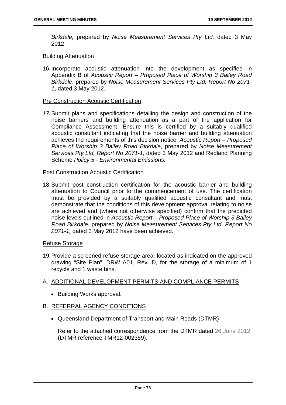*Birkdale,* prepared by *Noise Measurement Services Pty Ltd,* dated 3 May 2012.

#### Building Attenuation

16. Incorporate acoustic attenuation into the development as specified in Appendix B of *Acoustic Report – Proposed Place of Worship 3 Bailey Road Birkdale*, prepared by *Noise Measurement Services Pty Ltd, Report No 2071- 1*, dated 3 May 2012.

#### Pre Construction Acoustic Certification

*17.* Submit plans and specifications detailing the design and construction of the noise barriers and building attenuation as a part of the application for Compliance Assessment. Ensure this is certified by a suitably qualified acoustic consultant indicating that the noise barrier and building attenuation achieves the requirements of this decision notice, *Acoustic Report – Proposed Place of Worship 3 Bailey Road Birkdale*, prepared by *Noise Measurement Services Pty Ltd, Report No 2071-1*, dated 3 May 2012 and Redland Planning Scheme *Policy 5 - Environmental Emissions.* 

#### Post Construction Acoustic Certification

18. Submit post construction certification for the acoustic barrier and building attenuation to Council prior to the commencement of use. The certification must be provided by a suitably qualified acoustic consultant and must demonstrate that the conditions of this development approval relating to noise are achieved and (where not otherwise specified) confirm that the predicted noise levels outlined in *Acoustic Report – Proposed Place of Worship 3 Bailey Road Birkdale*, prepared by *Noise Measurement Services Pty Ltd, Report No 2071-1,* dated 3 May 2012 have been achieved.

## Refuse Storage

19. Provide a screened refuse storage area, located as indicated on the approved drawing "Site Plan", DRW A01, Rev. D, for the storage of a minimum of 1 recycle and 1 waste bins.

## A. ADDITIONAL DEVELOPMENT PERMITS AND COMPLIANCE PERMITS

• Building Works approval.

## B. REFERRAL AGENCY CONDITIONS

Queensland Department of Transport and Main Roads (DTMR)

Refer to the attached correspondence from the DTMR dated 26 June 2012. (DTMR reference TMR12-002359).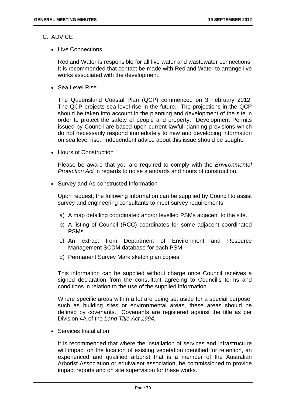## C. ADVICE

• Live Connections

Redland Water is responsible for all live water and wastewater connections. It is recommended that contact be made with Redland Water to arrange live works associated with the development.

Sea Level Rise

The Queensland Coastal Plan (QCP) commenced on 3 February 2012. The QCP projects sea level rise in the future. The projections in the QCP should be taken into account in the planning and development of the site in order to protect the safety of people and property. Development Permits issued by Council are based upon current lawful planning provisions which do not necessarily respond immediately to new and developing information on sea level rise. Independent advice about this issue should be sought.

• Hours of Construction

Please be aware that you are required to comply with the *Environmental Protection Act* in regards to noise standards and hours of construction.

• Survey and As-constructed Information

Upon request, the following information can be supplied by Council to assist survey and engineering consultants to meet survey requirements:

- a) A map detailing coordinated and/or levelled PSMs adjacent to the site.
- b) A listing of Council (RCC) coordinates for some adjacent coordinated PSMs.
- c) An extract from Department of Environment and Resource Management SCDM database for each PSM.
- d) Permanent Survey Mark sketch plan copies.

This information can be supplied without charge once Council receives a signed declaration from the consultant agreeing to Council's terms and conditions in relation to the use of the supplied information.

Where specific areas within a lot are being set aside for a special purpose, such as building sites or environmental areas, these areas should be defined by covenants. Covenants are registered against the title as per Division 4A of the *Land Title Act 1994.* 

Services Installation

It is recommended that where the installation of services and infrastructure will impact on the location of existing vegetation identified for retention, an experienced and qualified arborist that is a member of the Australian Arborist Association or equivalent association, be commissioned to provide impact reports and on site supervision for these works.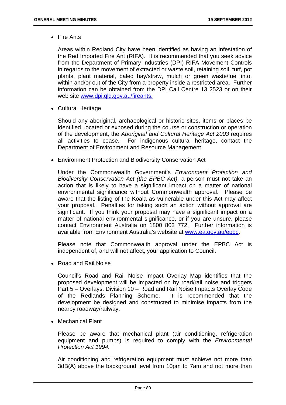Fire Ants

Areas within Redland City have been identified as having an infestation of the Red Imported Fire Ant (RIFA). It is recommended that you seek advice from the Department of Primary Industries (DPI) RIFA Movement Controls in regards to the movement of extracted or waste soil, retaining soil, turf, pot plants, plant material, baled hay/straw, mulch or green waste/fuel into, within and/or out of the City from a property inside a restricted area. Further information can be obtained from the DPI Call Centre 13 2523 or on their web site www.dpi.qld.gov.au/fireants.

Cultural Heritage

Should any aboriginal, archaeological or historic sites, items or places be identified, located or exposed during the course or construction or operation of the development, the *Aboriginal and Cultural Heritage Act 2003* requires all activities to cease. For indigenous cultural heritage, contact the Department of Environment and Resource Management.

Environment Protection and Biodiversity Conservation Act

Under the Commonwealth Government's *Environment Protection and Biodiversity Conservation Act (the EPBC Act),* a person must not take an action that is likely to have a significant impact on a matter of national environmental significance without Commonwealth approval. Please be aware that the listing of the Koala as vulnerable under this Act may affect your proposal. Penalties for taking such an action without approval are significant. If you think your proposal may have a significant impact on a matter of national environmental significance, or if you are unsure, please contact Environment Australia on 1800 803 772. Further information is available from Environment Australia's website at www.ea.gov.au/epbc.

Please note that Commonwealth approval under the EPBC Act is independent of, and will not affect, your application to Council.

• Road and Rail Noise

Council's Road and Rail Noise Impact Overlay Map identifies that the proposed development will be impacted on by road/rail noise and triggers Part 5 – Overlays, Division 10 – Road and Rail Noise Impacts Overlay Code of the Redlands Planning Scheme. It is recommended that the development be designed and constructed to minimise impacts from the nearby roadway/railway.

Mechanical Plant

Please be aware that mechanical plant (air conditioning, refrigeration equipment and pumps) is required to comply with the *Environmental Protection Act 1994.* 

Air conditioning and refrigeration equipment must achieve not more than 3dB(A) above the background level from 10pm to 7am and not more than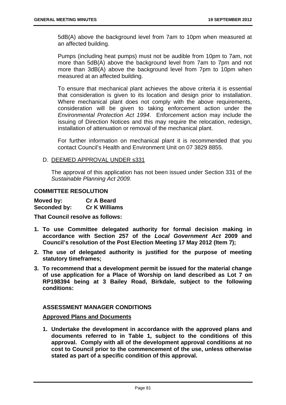5dB(A) above the background level from 7am to 10pm when measured at an affected building.

Pumps (including heat pumps) must not be audible from 10pm to 7am, not more than 5dB(A) above the background level from 7am to 7pm and not more than 3dB(A) above the background level from 7pm to 10pm when measured at an affected building.

To ensure that mechanical plant achieves the above criteria it is essential that consideration is given to its location and design prior to installation. Where mechanical plant does not comply with the above requirements, consideration will be given to taking enforcement action under the *Environmental Protection Act 1994*. Enforcement action may include the issuing of Direction Notices and this may require the relocation, redesign, installation of attenuation or removal of the mechanical plant.

For further information on mechanical plant it is recommended that you contact Council's Health and Environment Unit on 07 3829 8855.

D. DEEMED APPROVAL UNDER s331

The approval of this application has not been issued under Section 331 of the *Sustainable Planning Act 2009.*

#### **COMMITTEE RESOLUTION**

| Moved by:    | <b>Cr A Beard</b>    |
|--------------|----------------------|
| Seconded by: | <b>Cr K Williams</b> |

**That Council resolve as follows:** 

- **1. To use Committee delegated authority for formal decision making in accordance with Section 257 of the** *Local Government Act* **2009 and Council's resolution of the Post Election Meeting 17 May 2012 (Item 7);**
- **2. The use of delegated authority is justified for the purpose of meeting statutory timeframes;**
- **3. To recommend that a development permit be issued for the material change of use application for a Place of Worship on land described as Lot 7 on RP198394 being at 3 Bailey Road, Birkdale, subject to the following conditions:**

## **ASSESSMENT MANAGER CONDITIONS**

#### **Approved Plans and Documents**

**1. Undertake the development in accordance with the approved plans and documents referred to in Table 1, subject to the conditions of this approval. Comply with all of the development approval conditions at no cost to Council prior to the commencement of the use, unless otherwise stated as part of a specific condition of this approval.**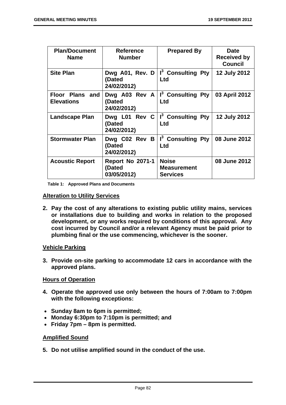| <b>Plan/Document</b><br><b>Name</b>  | <b>Reference</b><br><b>Number</b>                | <b>Prepared By</b>                                         | <b>Date</b><br><b>Received by</b><br><b>Council</b> |
|--------------------------------------|--------------------------------------------------|------------------------------------------------------------|-----------------------------------------------------|
| <b>Site Plan</b>                     | Dwg A01, Rev. D<br>(Dated<br>24/02/2012)         | I <sup>3</sup> Consulting Pty<br><b>Ltd</b>                | <b>12 July 2012</b>                                 |
| Floor Plans and<br><b>Elevations</b> | (Dated<br>24/02/2012)                            | Dwg A03 Rev A $\vert$ I <sup>3</sup> Consulting Pty<br>Ltd | 03 April 2012                                       |
| <b>Landscape Plan</b>                | Dwg L01 Rev $C$<br>(Dated<br>24/02/2012)         | I <sup>3</sup> Consulting Pty<br>Ltd                       | <b>12 July 2012</b>                                 |
| <b>Stormwater Plan</b>               | Dwg C02 Rev B<br>(Dated<br>24/02/2012)           | I <sup>3</sup> Consulting Pty<br>Ltd                       | 08 June 2012                                        |
| <b>Acoustic Report</b>               | <b>Report No 2071-1</b><br>(Dated<br>03/05/2012) | <b>Noise</b><br><b>Measurement</b><br><b>Services</b>      | 08 June 2012                                        |

**Table 1: Approved Plans and Documents** 

## **Alteration to Utility Services**

**2. Pay the cost of any alterations to existing public utility mains, services or installations due to building and works in relation to the proposed development, or any works required by conditions of this approval. Any cost incurred by Council and/or a relevant Agency must be paid prior to plumbing final or the use commencing, whichever is the sooner.** 

## **Vehicle Parking**

**3. Provide on-site parking to accommodate 12 cars in accordance with the approved plans.** 

## **Hours of Operation**

- **4. Operate the approved use only between the hours of 7:00am to 7:00pm with the following exceptions:**
- **Sunday 8am to 6pm is permitted;**
- **Monday 6:30pm to 7:10pm is permitted; and**
- **Friday 7pm 8pm is permitted.**

## **Amplified Sound**

**5. Do not utilise amplified sound in the conduct of the use.**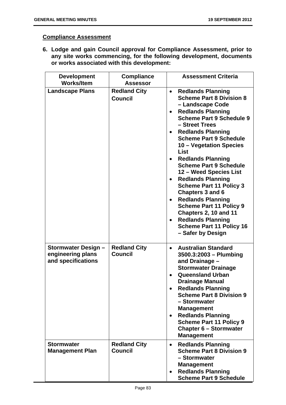## **Compliance Assessment**

**6. Lodge and gain Council approval for Compliance Assessment, prior to any site works commencing, for the following development, documents or works associated with this development:** 

| <b>Development</b><br><b>Works/Item</b>                        | <b>Compliance</b><br><b>Assessor</b>  | <b>Assessment Criteria</b>                                                                                                                                                                                                                                                                                                                                                                                                                                                                                                                                                                                                                                                      |
|----------------------------------------------------------------|---------------------------------------|---------------------------------------------------------------------------------------------------------------------------------------------------------------------------------------------------------------------------------------------------------------------------------------------------------------------------------------------------------------------------------------------------------------------------------------------------------------------------------------------------------------------------------------------------------------------------------------------------------------------------------------------------------------------------------|
| <b>Landscape Plans</b>                                         | <b>Redland City</b><br><b>Council</b> | <b>Redlands Planning</b><br>$\bullet$<br><b>Scheme Part 8 Division 8</b><br>- Landscape Code<br><b>Redlands Planning</b><br>$\bullet$<br><b>Scheme Part 9 Schedule 9</b><br>- Street Trees<br><b>Redlands Planning</b><br>$\bullet$<br><b>Scheme Part 9 Schedule</b><br>10 – Vegetation Species<br>List<br><b>Redlands Planning</b><br><b>Scheme Part 9 Schedule</b><br>12 - Weed Species List<br><b>Redlands Planning</b><br><b>Scheme Part 11 Policy 3</b><br><b>Chapters 3 and 6</b><br><b>Redlands Planning</b><br>$\bullet$<br><b>Scheme Part 11 Policy 9</b><br>Chapters 2, 10 and 11<br><b>Redlands Planning</b><br><b>Scheme Part 11 Policy 16</b><br>- Safer by Design |
| Stormwater Design -<br>engineering plans<br>and specifications | <b>Redland City</b><br><b>Council</b> | <b>Australian Standard</b><br>$\bullet$<br>3500.3:2003 - Plumbing<br>and Drainage -<br><b>Stormwater Drainage</b><br><b>Queensland Urban</b><br>$\bullet$<br><b>Drainage Manual</b><br><b>Redlands Planning</b><br><b>Scheme Part 8 Division 9</b><br>- Stormwater<br><b>Management</b><br><b>Redlands Planning</b><br><b>Scheme Part 11 Policy 9</b><br><b>Chapter 6 - Stormwater</b><br><b>Management</b>                                                                                                                                                                                                                                                                     |
| <b>Stormwater</b><br><b>Management Plan</b>                    | <b>Redland City</b><br><b>Council</b> | <b>Redlands Planning</b><br>$\bullet$<br><b>Scheme Part 8 Division 9</b><br>- Stormwater<br><b>Management</b><br><b>Redlands Planning</b><br>$\bullet$<br><b>Scheme Part 9 Schedule</b>                                                                                                                                                                                                                                                                                                                                                                                                                                                                                         |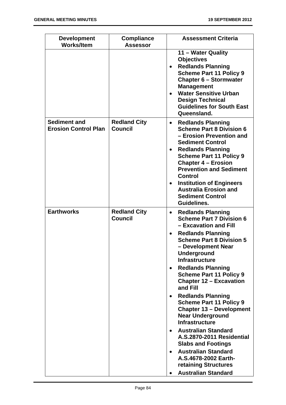| <b>Development</b><br><b>Works/Item</b>            | <b>Compliance</b><br><b>Assessor</b>  | <b>Assessment Criteria</b>                                                                                                                                                                                                                                                                                                                                                                                             |
|----------------------------------------------------|---------------------------------------|------------------------------------------------------------------------------------------------------------------------------------------------------------------------------------------------------------------------------------------------------------------------------------------------------------------------------------------------------------------------------------------------------------------------|
|                                                    |                                       | 11 – Water Quality<br><b>Objectives</b><br><b>Redlands Planning</b><br><b>Scheme Part 11 Policy 9</b><br><b>Chapter 6 - Stormwater</b><br><b>Management</b><br><b>Water Sensitive Urban</b><br><b>Design Technical</b><br><b>Guidelines for South East</b><br>Queensland.                                                                                                                                              |
| <b>Sediment and</b><br><b>Erosion Control Plan</b> | <b>Redland City</b><br><b>Council</b> | <b>Redlands Planning</b><br>$\bullet$<br><b>Scheme Part 8 Division 6</b><br>- Erosion Prevention and<br><b>Sediment Control</b><br><b>Redlands Planning</b><br>$\bullet$<br><b>Scheme Part 11 Policy 9</b><br><b>Chapter 4 – Erosion</b><br><b>Prevention and Sediment</b><br><b>Control</b><br><b>Institution of Engineers</b><br>$\bullet$<br><b>Australia Erosion and</b><br><b>Sediment Control</b><br>Guidelines. |
| <b>Earthworks</b>                                  | <b>Redland City</b><br><b>Council</b> | <b>Redlands Planning</b><br>$\bullet$<br><b>Scheme Part 7 Division 6</b><br>- Excavation and Fill<br><b>Redlands Planning</b><br>$\bullet$<br><b>Scheme Part 8 Division 5</b><br>– Development Near<br><b>Underground</b><br><b>Infrastructure</b><br><b>Redlands Planning</b><br>$\bullet$                                                                                                                            |
|                                                    |                                       | <b>Scheme Part 11 Policy 9</b><br><b>Chapter 12 - Excavation</b><br>and Fill<br><b>Redlands Planning</b><br>$\bullet$<br><b>Scheme Part 11 Policy 9</b><br><b>Chapter 13 - Development</b><br><b>Near Underground</b><br><b>Infrastructure</b><br><b>Australian Standard</b><br>$\bullet$<br><b>A.S.2870-2011 Residential</b><br><b>Slabs and Footings</b><br><b>Australian Standard</b><br>$\bullet$                  |
|                                                    |                                       | A.S.4678-2002 Earth-<br>retaining Structures<br><b>Australian Standard</b>                                                                                                                                                                                                                                                                                                                                             |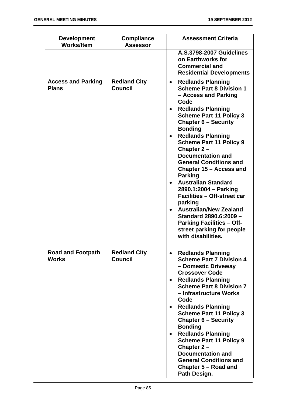| <b>Development</b><br><b>Works/Item</b>   | <b>Compliance</b><br><b>Assessor</b>  | <b>Assessment Criteria</b>                                                                                                                                                                                                                                                                                                                                                                                                                                                                                                                                                                                                                                                                                     |
|-------------------------------------------|---------------------------------------|----------------------------------------------------------------------------------------------------------------------------------------------------------------------------------------------------------------------------------------------------------------------------------------------------------------------------------------------------------------------------------------------------------------------------------------------------------------------------------------------------------------------------------------------------------------------------------------------------------------------------------------------------------------------------------------------------------------|
|                                           |                                       | <b>A.S.3798-2007 Guidelines</b><br>on Earthworks for<br><b>Commercial and</b><br><b>Residential Developments</b>                                                                                                                                                                                                                                                                                                                                                                                                                                                                                                                                                                                               |
| <b>Access and Parking</b><br><b>Plans</b> | <b>Redland City</b><br><b>Council</b> | <b>Redlands Planning</b><br>$\bullet$<br><b>Scheme Part 8 Division 1</b><br>- Access and Parking<br>Code<br><b>Redlands Planning</b><br>$\bullet$<br><b>Scheme Part 11 Policy 3</b><br><b>Chapter 6 - Security</b><br><b>Bonding</b><br><b>Redlands Planning</b><br>$\bullet$<br><b>Scheme Part 11 Policy 9</b><br>Chapter 2-<br><b>Documentation and</b><br><b>General Conditions and</b><br>Chapter 15 – Access and<br><b>Parking</b><br><b>Australian Standard</b><br>2890.1:2004 - Parking<br><b>Facilities - Off-street car</b><br>parking<br><b>Australian/New Zealand</b><br>$\bullet$<br>Standard 2890.6:2009 -<br><b>Parking Facilities - Off-</b><br>street parking for people<br>with disabilities. |
| <b>Road and Footpath</b><br><b>Works</b>  | <b>Redland City</b><br><b>Council</b> | <b>Redlands Planning</b><br>$\bullet$<br><b>Scheme Part 7 Division 4</b><br>- Domestic Driveway<br><b>Crossover Code</b><br><b>Redlands Planning</b><br><b>Scheme Part 8 Division 7</b><br>- Infrastructure Works<br>Code<br><b>Redlands Planning</b><br>$\bullet$<br><b>Scheme Part 11 Policy 3</b><br><b>Chapter 6 – Security</b><br><b>Bonding</b><br><b>Redlands Planning</b><br>$\bullet$<br><b>Scheme Part 11 Policy 9</b><br>Chapter $2 -$<br><b>Documentation and</b><br><b>General Conditions and</b><br>Chapter 5 – Road and<br>Path Design.                                                                                                                                                         |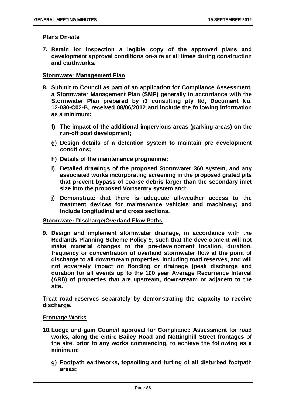#### **Plans On-site**

**7. Retain for inspection a legible copy of the approved plans and development approval conditions on-site at all times during construction and earthworks.** 

### **Stormwater Management Plan**

- **8. Submit to Council as part of an application for Compliance Assessment, a Stormwater Management Plan (SMP) generally in accordance with the Stormwater Plan prepared by i3 consulting pty ltd, Document No. 12-030-C02-B, received 08/06/2012 and include the following information as a minimum:** 
	- **f) The impact of the additional impervious areas (parking areas) on the run-off post development;**
	- **g) Design details of a detention system to maintain pre development conditions;**
	- **h) Details of the maintenance programme;**
	- **i) Detailed drawings of the proposed Stormwater 360 system, and any associated works incorporating screening in the proposed grated pits that prevent bypass of coarse debris larger than the secondary inlet size into the proposed Vortsentry system and;**
	- **j) Demonstrate that there is adequate all-weather access to the treatment devices for maintenance vehicles and machinery; and Include longitudinal and cross sections.**

#### **Stormwater Discharge/Overland Flow Paths**

**9. Design and implement stormwater drainage, in accordance with the Redlands Planning Scheme Policy 9, such that the development will not make material changes to the pre-development location, duration, frequency or concentration of overland stormwater flow at the point of discharge to all downstream properties, including road reserves, and will not adversely impact on flooding or drainage (peak discharge and duration for all events up to the 100 year Average Recurrence Interval (ARI)) of properties that are upstream, downstream or adjacent to the site.** 

**Treat road reserves separately by demonstrating the capacity to receive discharge.** 

#### **Frontage Works**

- **10. Lodge and gain Council approval for Compliance Assessment for road works, along the entire Bailey Road and Nottinghill Street frontages of the site, prior to any works commencing, to achieve the following as a minimum:** 
	- **g) Footpath earthworks, topsoiling and turfing of all disturbed footpath areas;**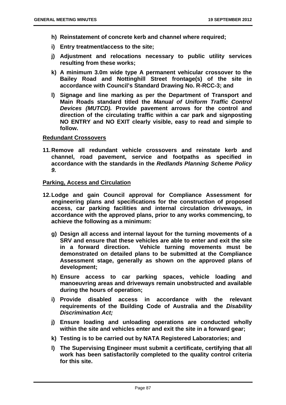- **h) Reinstatement of concrete kerb and channel where required;**
- **i) Entry treatment/access to the site;**
- **j) Adjustment and relocations necessary to public utility services resulting from these works;**
- **k) A minimum 3.0m wide type A permanent vehicular crossover to the Bailey Road and Nottinghill Street frontage(s) of the site in accordance with Council's Standard Drawing No. R-RCC-3; and**
- **l) Signage and line marking as per the Department of Transport and Main Roads standard titled the** *Manual of Uniform Traffic Control Devices (MUTCD).* **Provide pavement arrows for the control and direction of the circulating traffic within a car park and signposting NO ENTRY and NO EXIT clearly visible, easy to read and simple to follow.**

#### **Redundant Crossovers**

**11. Remove all redundant vehicle crossovers and reinstate kerb and channel, road pavement, service and footpaths as specified in accordance with the standards in the** *Redlands Planning Scheme Policy 9.*

### **Parking, Access and Circulation**

- **12. Lodge and gain Council approval for Compliance Assessment for engineering plans and specifications for the construction of proposed access, car parking facilities and internal circulation driveways, in accordance with the approved plans, prior to any works commencing, to achieve the following as a minimum:** 
	- **g) Design all access and internal layout for the turning movements of a SRV and ensure that these vehicles are able to enter and exit the site in a forward direction. Vehicle turning movements must be demonstrated on detailed plans to be submitted at the Compliance Assessment stage, generally as shown on the approved plans of development;**
	- **h) Ensure access to car parking spaces, vehicle loading and manoeuvring areas and driveways remain unobstructed and available during the hours of operation;**
	- **i) Provide disabled access in accordance with the relevant requirements of the Building Code of Australia and the** *Disability Discrimination Act;*
	- **j) Ensure loading and unloading operations are conducted wholly within the site and vehicles enter and exit the site in a forward gear;**
	- **k) Testing is to be carried out by NATA Registered Laboratories; and**
	- **l) The Supervising Engineer must submit a certificate, certifying that all work has been satisfactorily completed to the quality control criteria for this site.**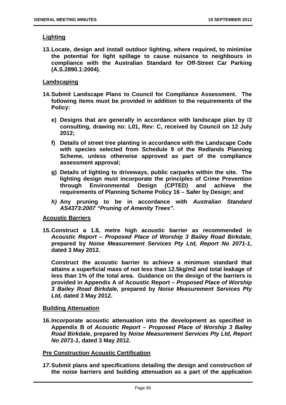## **Lighting**

**13. Locate, design and install outdoor lighting, where required, to minimise the potential for light spillage to cause nuisance to neighbours in compliance with the Australian Standard for Off-Street Car Parking (A.S.2890.1:2004).** 

## **Landscaping**

- **14. Submit Landscape Plans to Council for Compliance Assessment. The following items must be provided in addition to the requirements of the Policy:** 
	- **e) Designs that are generally in accordance with landscape plan by i3 consulting, drawing no: L01, Rev: C, received by Council on 12 July 2012;**
	- **f) Details of street tree planting in accordance with the Landscape Code with species selected from Schedule 9 of the Redlands Planning Scheme, unless otherwise approved as part of the compliance assessment approval;**
	- **g) Details of lighting to driveways, public carparks within the site. The lighting design must incorporate the principles of Crime Prevention through Environmental Design (CPTED) and achieve the requirements of Planning Scheme Policy 16 – Safer by Design; and**
	- *h)* **Any pruning to be in accordance with** *Australian Standard AS4373:2007 "Pruning of Amenity Trees".*

## **Acoustic Barriers**

**15. Construct a 1.8, metre high acoustic barrier as recommended in**  *Acoustic Report – Proposed Place of Worship 3 Bailey Road Birkdale***, prepared by** *Noise Measurement Services Pty Ltd, Report No 2071-1***, dated 3 May 2012.** 

**Construct the acoustic barrier to achieve a minimum standard that attains a superficial mass of not less than 12.5kg/m2 and total leakage of less than 1% of the total area. Guidance on the design of the barriers is provided in Appendix A of Acoustic Report –** *Proposed Place of Worship 3 Bailey Road Birkdale,* **prepared by** *Noise Measurement Services Pty Ltd,* **dated 3 May 2012.** 

### **Building Attenuation**

**16. Incorporate acoustic attenuation into the development as specified in Appendix B of** *Acoustic Report – Proposed Place of Worship 3 Bailey Road Birkdale***, prepared by** *Noise Measurement Services Pty Ltd, Report No 2071-1***, dated 3 May 2012.** 

#### **Pre Construction Acoustic Certification**

*17.* **Submit plans and specifications detailing the design and construction of the noise barriers and building attenuation as a part of the application**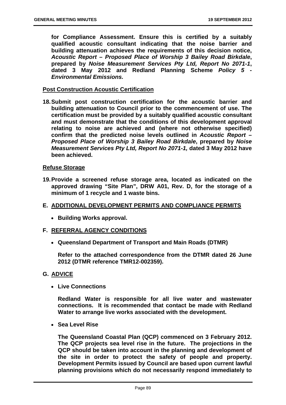**for Compliance Assessment. Ensure this is certified by a suitably qualified acoustic consultant indicating that the noise barrier and building attenuation achieves the requirements of this decision notice,**  *Acoustic Report – Proposed Place of Worship 3 Bailey Road Birkdale***, prepared by** *Noise Measurement Services Pty Ltd, Report No 2071-1***, dated 3 May 2012 and Redland Planning Scheme** *Policy 5 - Environmental Emissions.* 

## **Post Construction Acoustic Certification**

**18. Submit post construction certification for the acoustic barrier and building attenuation to Council prior to the commencement of use. The certification must be provided by a suitably qualified acoustic consultant and must demonstrate that the conditions of this development approval relating to noise are achieved and (where not otherwise specified) confirm that the predicted noise levels outlined in** *Acoustic Report – Proposed Place of Worship 3 Bailey Road Birkdale***, prepared by** *Noise Measurement Services Pty Ltd, Report No 2071-1,* **dated 3 May 2012 have been achieved.** 

#### **Refuse Storage**

- **19. Provide a screened refuse storage area, located as indicated on the approved drawing "Site Plan", DRW A01, Rev. D, for the storage of a minimum of 1 recycle and 1 waste bins.**
- **E. ADDITIONAL DEVELOPMENT PERMITS AND COMPLIANCE PERMITS** 
	- **Building Works approval.**

## **F. REFERRAL AGENCY CONDITIONS**

**Queensland Department of Transport and Main Roads (DTMR)** 

**Refer to the attached correspondence from the DTMR dated 26 June 2012 (DTMR reference TMR12-002359).** 

## **G. ADVICE**

**Live Connections** 

**Redland Water is responsible for all live water and wastewater connections. It is recommended that contact be made with Redland Water to arrange live works associated with the development.** 

**Sea Level Rise** 

**The Queensland Coastal Plan (QCP) commenced on 3 February 2012. The QCP projects sea level rise in the future. The projections in the QCP should be taken into account in the planning and development of the site in order to protect the safety of people and property. Development Permits issued by Council are based upon current lawful planning provisions which do not necessarily respond immediately to**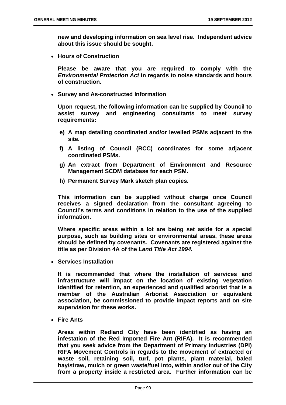**new and developing information on sea level rise. Independent advice about this issue should be sought.** 

**Hours of Construction** 

**Please be aware that you are required to comply with the**  *Environmental Protection Act* **in regards to noise standards and hours of construction.** 

**Survey and As-constructed Information** 

**Upon request, the following information can be supplied by Council to assist survey and engineering consultants to meet survey requirements:** 

- **e) A map detailing coordinated and/or levelled PSMs adjacent to the site.**
- **f) A listing of Council (RCC) coordinates for some adjacent coordinated PSMs.**
- **g) An extract from Department of Environment and Resource Management SCDM database for each PSM.**
- **h) Permanent Survey Mark sketch plan copies.**

**This information can be supplied without charge once Council receives a signed declaration from the consultant agreeing to Council's terms and conditions in relation to the use of the supplied information.** 

**Where specific areas within a lot are being set aside for a special purpose, such as building sites or environmental areas, these areas should be defined by covenants. Covenants are registered against the title as per Division 4A of the** *Land Title Act 1994.* 

**Services Installation** 

**It is recommended that where the installation of services and infrastructure will impact on the location of existing vegetation identified for retention, an experienced and qualified arborist that is a member of the Australian Arborist Association or equivalent association, be commissioned to provide impact reports and on site supervision for these works.** 

**Fire Ants** 

**Areas within Redland City have been identified as having an infestation of the Red Imported Fire Ant (RIFA). It is recommended that you seek advice from the Department of Primary Industries (DPI) RIFA Movement Controls in regards to the movement of extracted or waste soil, retaining soil, turf, pot plants, plant material, baled hay/straw, mulch or green waste/fuel into, within and/or out of the City from a property inside a restricted area. Further information can be**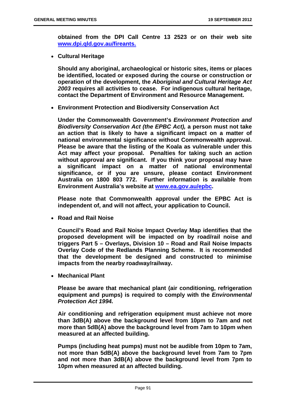**obtained from the DPI Call Centre 13 2523 or on their web site www.dpi.qld.gov.au/fireants.**

**Cultural Heritage** 

**Should any aboriginal, archaeological or historic sites, items or places be identified, located or exposed during the course or construction or operation of the development, the** *Aboriginal and Cultural Heritage Act 2003* **requires all activities to cease. For indigenous cultural heritage, contact the Department of Environment and Resource Management.** 

**Environment Protection and Biodiversity Conservation Act** 

**Under the Commonwealth Government's** *Environment Protection and Biodiversity Conservation Act (the EPBC Act),* **a person must not take an action that is likely to have a significant impact on a matter of national environmental significance without Commonwealth approval. Please be aware that the listing of the Koala as vulnerable under this Act may affect your proposal. Penalties for taking such an action without approval are significant. If you think your proposal may have a significant impact on a matter of national environmental significance, or if you are unsure, please contact Environment Australia on 1800 803 772. Further information is available from Environment Australia's website at www.ea.gov.au/epbc.** 

**Please note that Commonwealth approval under the EPBC Act is independent of, and will not affect, your application to Council.** 

**Road and Rail Noise** 

**Council's Road and Rail Noise Impact Overlay Map identifies that the proposed development will be impacted on by road/rail noise and triggers Part 5 – Overlays, Division 10 – Road and Rail Noise Impacts Overlay Code of the Redlands Planning Scheme. It is recommended that the development be designed and constructed to minimise impacts from the nearby roadway/railway.** 

**Mechanical Plant** 

**Please be aware that mechanical plant (air conditioning, refrigeration equipment and pumps) is required to comply with the** *Environmental Protection Act 1994.* 

**Air conditioning and refrigeration equipment must achieve not more than 3dB(A) above the background level from 10pm to 7am and not more than 5dB(A) above the background level from 7am to 10pm when measured at an affected building.** 

**Pumps (including heat pumps) must not be audible from 10pm to 7am, not more than 5dB(A) above the background level from 7am to 7pm and not more than 3dB(A) above the background level from 7pm to 10pm when measured at an affected building.**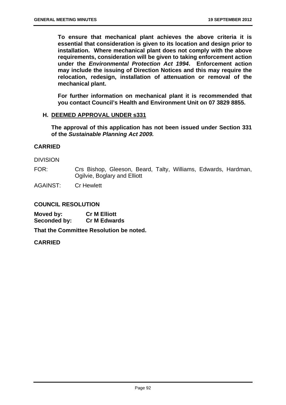**To ensure that mechanical plant achieves the above criteria it is essential that consideration is given to its location and design prior to installation. Where mechanical plant does not comply with the above requirements, consideration will be given to taking enforcement action under the** *Environmental Protection Act 1994***. Enforcement action may include the issuing of Direction Notices and this may require the relocation, redesign, installation of attenuation or removal of the mechanical plant.** 

**For further information on mechanical plant it is recommended that you contact Council's Health and Environment Unit on 07 3829 8855.** 

## **H. DEEMED APPROVAL UNDER s331**

**The approval of this application has not been issued under Section 331 of the** *Sustainable Planning Act 2009.*

## **CARRIED**

DIVISION

FOR: Crs Bishop, Gleeson, Beard, Talty, Williams, Edwards, Hardman, Ogilvie, Boglary and Elliott

AGAINST: Cr Hewlett

## **COUNCIL RESOLUTION**

**Moved by: Cr M Elliott Seconded by: Cr M Edwards** 

**That the Committee Resolution be noted.** 

## **CARRIED**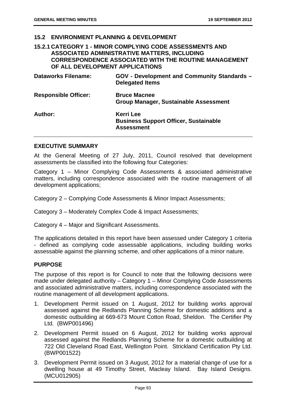### **15.2 ENVIRONMENT PLANNING & DEVELOPMENT**

## **15.2.1 CATEGORY 1 - MINOR COMPLYING CODE ASSESSMENTS AND ASSOCIATED ADMINISTRATIVE MATTERS, INCLUDING CORRESPONDENCE ASSOCIATED WITH THE ROUTINE MANAGEMENT OF ALL DEVELOPMENT APPLICATIONS**

| <b>Dataworks Filename:</b>  | <b>GOV - Development and Community Standards -</b><br><b>Delegated Items</b>   |
|-----------------------------|--------------------------------------------------------------------------------|
| <b>Responsible Officer:</b> | <b>Bruce Macnee</b><br><b>Group Manager, Sustainable Assessment</b>            |
| Author:                     | Kerri Lee<br><b>Business Support Officer, Sustainable</b><br><b>Assessment</b> |

#### **EXECUTIVE SUMMARY**

At the General Meeting of 27 July, 2011, Council resolved that development assessments be classified into the following four Categories:

Category 1 – Minor Complying Code Assessments & associated administrative matters, including correspondence associated with the routine management of all development applications;

Category 2 – Complying Code Assessments & Minor Impact Assessments;

Category 3 – Moderately Complex Code & Impact Assessments;

Category 4 – Major and Significant Assessments.

The applications detailed in this report have been assessed under Category 1 criteria - defined as complying code assessable applications, including building works assessable against the planning scheme, and other applications of a minor nature.

## **PURPOSE**

The purpose of this report is for Council to note that the following decisions were made under delegated authority – Category 1 – Minor Complying Code Assessments and associated administrative matters, including correspondence associated with the routine management of all development applications.

- 1. Development Permit issued on 1 August, 2012 for building works approval assessed against the Redlands Planning Scheme for domestic additions and a domestic outbuilding at 669-673 Mount Cotton Road, Sheldon. The Certifier Pty Ltd. (BWP001496)
- 2. Development Permit issued on 6 August, 2012 for building works approval assessed against the Redlands Planning Scheme for a domestic outbuilding at 722 Old Cleveland Road East, Wellington Point. Strickland Certification Pty Ltd. (BWP001522)
- 3. Development Permit issued on 3 August, 2012 for a material change of use for a dwelling house at 49 Timothy Street, Macleay Island. Bay Island Designs. (MCU012905)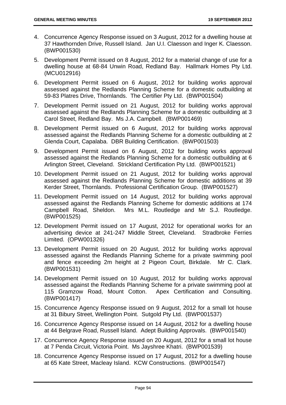- 4. Concurrence Agency Response issued on 3 August, 2012 for a dwelling house at 37 Hawthornden Drive, Russell Island. Jan U.I. Claesson and Inger K. Claesson. (BWP001530)
- 5. Development Permit issued on 8 August, 2012 for a material change of use for a dwelling house at 68-84 Unwin Road, Redland Bay. Hallmark Homes Pty Ltd. (MCU012916)
- 6. Development Permit issued on 6 August, 2012 for building works approval assessed against the Redlands Planning Scheme for a domestic outbuilding at 59-83 Platres Drive, Thornlands. The Certifier Pty Ltd. (BWP001504)
- 7. Development Permit issued on 21 August, 2012 for building works approval assessed against the Redlands Planning Scheme for a domestic outbuilding at 3 Carol Street, Redland Bay. Ms J.A. Campbell. (BWP001469)
- 8. Development Permit issued on 6 August, 2012 for building works approval assessed against the Redlands Planning Scheme for a domestic outbuilding at 2 Glenda Court, Capalaba. DBR Building Certification. (BWP001503)
- 9. Development Permit issued on 6 August, 2012 for building works approval assessed against the Redlands Planning Scheme for a domestic outbuilding at 6 Arlington Street, Cleveland. Strickland Certification Pty Ltd. (BWP001521)
- 10. Development Permit issued on 21 August, 2012 for building works approval assessed against the Redlands Planning Scheme for domestic additions at 39 Kerder Street, Thornlands. Professional Certification Group. (BWP001527)
- 11. Development Permit issued on 14 August, 2012 for building works approval assessed against the Redlands Planning Scheme for domestic additions at 174 Campbell Road, Sheldon. Mrs M.L. Routledge and Mr S.J. Routledge. (BWP001525)
- 12. Development Permit issued on 17 August, 2012 for operational works for an advertising device at 241-247 Middle Street, Cleveland. Stradbroke Ferries Limited. (OPW001326)
- 13. Development Permit issued on 20 August, 2012 for building works approval assessed against the Redlands Planning Scheme for a private swimming pool and fence exceeding 2m height at 2 Pigeon Court, Birkdale. Mr C. Clark. (BWP001531)
- 14. Development Permit issued on 10 August, 2012 for building works approval assessed against the Redlands Planning Scheme for a private swimming pool at 115 Gramzow Road, Mount Cotton. Apex Certification and Consulting. (BWP001417)
- 15. Concurrence Agency Response issued on 9 August, 2012 for a small lot house at 31 Bibury Street, Wellington Point. Sutgold Pty Ltd. (BWP001537)
- 16. Concurrence Agency Response issued on 14 August, 2012 for a dwelling house at 44 Belgrave Road, Russell Island. Adept Building Approvals. (BWP001540)
- 17. Concurrence Agency Response issued on 20 August, 2012 for a small lot house at 7 Penda Circuit, Victoria Point. Ms Jayshree Khatri. (BWP001539)
- 18. Concurrence Agency Response issued on 17 August, 2012 for a dwelling house at 65 Kate Street, Macleay Island. KCW Constructions. (BWP001547)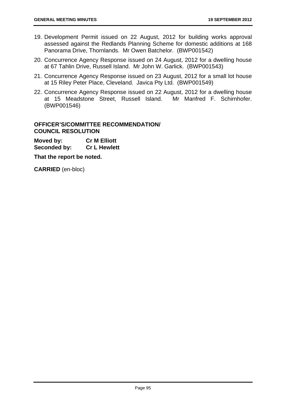- 19. Development Permit issued on 22 August, 2012 for building works approval assessed against the Redlands Planning Scheme for domestic additions at 168 Panorama Drive, Thornlands. Mr Owen Batchelor. (BWP001542)
- 20. Concurrence Agency Response issued on 24 August, 2012 for a dwelling house at 67 Tahlin Drive, Russell Island. Mr John W. Garlick. (BWP001543)
- 21. Concurrence Agency Response issued on 23 August, 2012 for a small lot house at 15 Riley Peter Place, Cleveland. Javica Pty Ltd. (BWP001549)
- 22. Concurrence Agency Response issued on 22 August, 2012 for a dwelling house at 15 Meadstone Street, Russell Island. Mr Manfred F. Schirnhofer. (BWP001546)

## **OFFICER'S/COMMITTEE RECOMMENDATION/ COUNCIL RESOLUTION**

**Moved by: Cr M Elliott Seconded by: Cr L Hewlett** 

**That the report be noted.** 

**CARRIED** (en-bloc)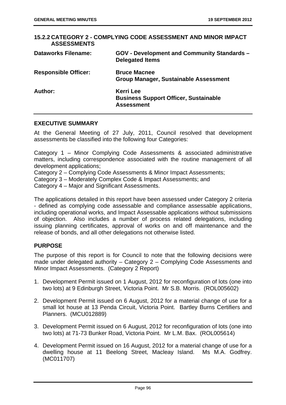| <b>ASSESSMENTS</b>          | 15.2.2 CATEGORY 2 - COMPLYING CODE ASSESSMENT AND MINOR IMPACT                        |
|-----------------------------|---------------------------------------------------------------------------------------|
| <b>Dataworks Filename:</b>  | <b>GOV - Development and Community Standards -</b><br><b>Delegated Items</b>          |
| <b>Responsible Officer:</b> | <b>Bruce Macnee</b><br><b>Group Manager, Sustainable Assessment</b>                   |
| Author:                     | <b>Kerri Lee</b><br><b>Business Support Officer, Sustainable</b><br><b>Assessment</b> |

### **EXECUTIVE SUMMARY**

At the General Meeting of 27 July, 2011, Council resolved that development assessments be classified into the following four Categories:

Category 1 – Minor Complying Code Assessments & associated administrative matters, including correspondence associated with the routine management of all development applications;

Category 2 – Complying Code Assessments & Minor Impact Assessments;

Category 3 – Moderately Complex Code & Impact Assessments; and

Category 4 – Major and Significant Assessments.

The applications detailed in this report have been assessed under Category 2 criteria - defined as complying code assessable and compliance assessable applications, including operational works, and Impact Assessable applications without submissions of objection. Also includes a number of process related delegations, including issuing planning certificates, approval of works on and off maintenance and the release of bonds, and all other delegations not otherwise listed.

## **PURPOSE**

The purpose of this report is for Council to note that the following decisions were made under delegated authority – Category 2 – Complying Code Assessments and Minor Impact Assessments. (Category 2 Report)

- 1. Development Permit issued on 1 August, 2012 for reconfiguration of lots (one into two lots) at 9 Edinburgh Street, Victoria Point. Mr S.B. Morris. (ROL005602)
- 2. Development Permit issued on 6 August, 2012 for a material change of use for a small lot house at 13 Penda Circuit, Victoria Point. Bartley Burns Certifiers and Planners. (MCU012889)
- 3. Development Permit issued on 6 August, 2012 for reconfiguration of lots (one into two lots) at 71-73 Bunker Road, Victoria Point. Mr L.M. Bax. (ROL005614)
- 4. Development Permit issued on 16 August, 2012 for a material change of use for a dwelling house at 11 Beelong Street, Macleay Island. Ms M.A. Godfrey. (MC011707)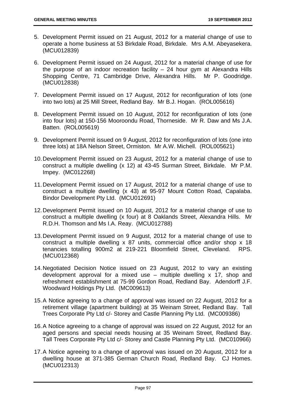- 5. Development Permit issued on 21 August, 2012 for a material change of use to operate a home business at 53 Birkdale Road, Birkdale. Mrs A.M. Abeyasekera. (MCU012839)
- 6. Development Permit issued on 24 August, 2012 for a material change of use for the purpose of an indoor recreation facility  $-24$  hour gym at Alexandra Hills Shopping Centre, 71 Cambridge Drive, Alexandra Hills. Mr P. Goodridge. (MCU012838)
- 7. Development Permit issued on 17 August, 2012 for reconfiguration of lots (one into two lots) at 25 Mill Street, Redland Bay. Mr B.J. Hogan. (ROL005616)
- 8. Development Permit issued on 10 August, 2012 for reconfiguration of lots (one into four lots) at 150-156 Mooroondu Road, Thorneside. Mr R. Daw and Ms J.A. Batten. (ROL005619)
- 9. Development Permit issued on 9 August, 2012 for reconfiguration of lots (one into three lots) at 18A Nelson Street, Ormiston. Mr A.W. Michell. (ROL005621)
- 10. Development Permit issued on 23 August, 2012 for a material change of use to construct a multiple dwelling (x 12) at 43-45 Surman Street, Birkdale. Mr P.M. Impey. (MC012268)
- 11. Development Permit issued on 17 August, 2012 for a material change of use to construct a multiple dwelling (x 43) at 95-97 Mount Cotton Road, Capalaba. Bindor Development Pty Ltd. (MCU012691)
- 12. Development Permit issued on 10 August, 2012 for a material change of use to construct a multiple dwelling (x four) at 8 Oaklands Street, Alexandra Hills. Mr R.D.H. Thomson and Ms I.A. Reay. (MCU012788)
- 13. Development Permit issued on 9 August, 2012 for a material change of use to construct a multiple dwelling x 87 units, commercial office and/or shop x 18 tenancies totalling 900m2 at 219-221 Bloomfield Street, Cleveland. RPS. (MCU012368)
- 14. Negotiated Decision Notice issued on 23 August, 2012 to vary an existing development approval for a mixed use – multiple dwelling x 17, shop and refreshment establishment at 75-99 Gordon Road, Redland Bay. Adendorff J.F. Woodward Holdings Pty Ltd. (MC009613)
- 15. A Notice agreeing to a change of approval was issued on 22 August, 2012 for a retirement village (apartment building) at 35 Weinam Street, Redland Bay. Tall Trees Corporate Pty Ltd c/- Storey and Castle Planning Pty Ltd. (MC009386)
- 16. A Notice agreeing to a change of approval was issued on 22 August, 2012 for an aged persons and special needs housing at 35 Weinam Street, Redland Bay. Tall Trees Corporate Pty Ltd c/- Storey and Castle Planning Pty Ltd. (MC010966)
- 17. A Notice agreeing to a change of approval was issued on 20 August, 2012 for a dwelling house at 371-385 German Church Road, Redland Bay. CJ Homes. (MCU012313)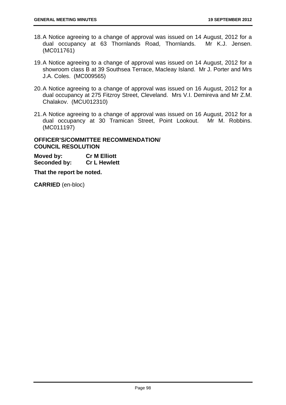- 18. A Notice agreeing to a change of approval was issued on 14 August, 2012 for a dual occupancy at 63 Thornlands Road, Thornlands. Mr K.J. Jensen. (MC011761)
- 19. A Notice agreeing to a change of approval was issued on 14 August, 2012 for a showroom class B at 39 Southsea Terrace, Macleay Island. Mr J. Porter and Mrs J.A. Coles. (MC009565)
- 20. A Notice agreeing to a change of approval was issued on 16 August, 2012 for a dual occupancy at 275 Fitzroy Street, Cleveland. Mrs V.I. Demireva and Mr Z.M. Chalakov. (MCU012310)
- 21. A Notice agreeing to a change of approval was issued on 16 August, 2012 for a dual occupancy at 30 Tramican Street, Point Lookout. Mr M. Robbins. (MC011197)

## **OFFICER'S/COMMITTEE RECOMMENDATION/ COUNCIL RESOLUTION**

**Moved by: Cr M Elliott Seconded by: Cr L Hewlett** 

**That the report be noted.** 

**CARRIED** (en-bloc)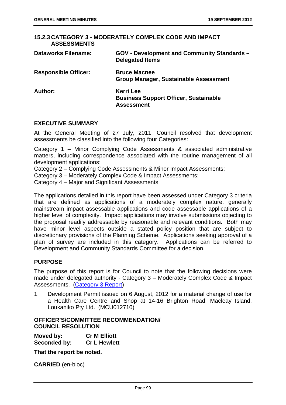| <b>ASSESSMENTS</b>          | 15.2.3 CATEGORY 3 - MODERATELY COMPLEX CODE AND IMPACT                                |
|-----------------------------|---------------------------------------------------------------------------------------|
| <b>Dataworks Filename:</b>  | <b>GOV - Development and Community Standards -</b><br><b>Delegated Items</b>          |
| <b>Responsible Officer:</b> | <b>Bruce Macnee</b><br><b>Group Manager, Sustainable Assessment</b>                   |
| Author:                     | <b>Kerri Lee</b><br><b>Business Support Officer, Sustainable</b><br><b>Assessment</b> |

## **EXECUTIVE SUMMARY**

At the General Meeting of 27 July, 2011, Council resolved that development assessments be classified into the following four Categories:

Category 1 – Minor Complying Code Assessments & associated administrative matters, including correspondence associated with the routine management of all development applications;

Category 2 – Complying Code Assessments & Minor Impact Assessments;

Category 3 – Moderately Complex Code & Impact Assessments;

Category 4 – Major and Significant Assessments

The applications detailed in this report have been assessed under Category 3 criteria that are defined as applications of a moderately complex nature, generally mainstream impact assessable applications and code assessable applications of a higher level of complexity. Impact applications may involve submissions objecting to the proposal readily addressable by reasonable and relevant conditions. Both may have minor level aspects outside a stated policy position that are subject to discretionary provisions of the Planning Scheme. Applications seeking approval of a plan of survey are included in this category. Applications can be referred to Development and Community Standards Committee for a decision.

## **PURPOSE**

The purpose of this report is for Council to note that the following decisions were made under delegated authority - Category 3 – Moderately Complex Code & Impact Assessments. (Category 3 Report)

1. Development Permit issued on 6 August, 2012 for a material change of use for a Health Care Centre and Shop at 14-16 Brighton Road, Macleay Island. Loukaniko Pty Ltd. (MCU012710)

## **OFFICER'S/COMMITTEE RECOMMENDATION/ COUNCIL RESOLUTION**

**Moved by: Cr M Elliott Seconded by: Cr L Hewlett** 

**That the report be noted.** 

**CARRIED** (en-bloc)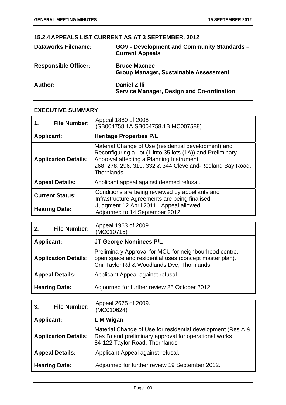# **15.2.4 APPEALS LIST CURRENT AS AT 3 SEPTEMBER, 2012**

| <b>Dataworks Filename:</b>  | GOV - Development and Community Standards -<br><b>Current Appeals</b>   |
|-----------------------------|-------------------------------------------------------------------------|
| <b>Responsible Officer:</b> | <b>Bruce Macnee</b><br><b>Group Manager, Sustainable Assessment</b>     |
| Author:                     | <b>Daniel Zilli</b><br><b>Service Manager, Design and Co-ordination</b> |

## **EXECUTIVE SUMMARY**

| 1.                | <b>File Number:</b>         | Appeal 1880 of 2008<br>SB004758.1A SB004758.1B MC007588)                                                                                                                                                                                        |
|-------------------|-----------------------------|-------------------------------------------------------------------------------------------------------------------------------------------------------------------------------------------------------------------------------------------------|
| <b>Applicant:</b> |                             | <b>Heritage Properties P/L</b>                                                                                                                                                                                                                  |
|                   | <b>Application Details:</b> | Material Change of Use (residential development) and<br>Reconfiguring a Lot (1 into 35 lots (1A)) and Preliminary<br>Approval affecting a Planning Instrument<br>268, 278, 296, 310, 332 & 344 Cleveland-Redland Bay Road,<br><b>Thornlands</b> |
|                   | <b>Appeal Details:</b>      | Applicant appeal against deemed refusal.                                                                                                                                                                                                        |
|                   | <b>Current Status:</b>      | Conditions are being reviewed by appellants and<br>Infrastructure Agreements are being finalised.                                                                                                                                               |
|                   | <b>Hearing Date:</b>        | Judgment 12 April 2011. Appeal allowed.<br>Adjourned to 14 September 2012.                                                                                                                                                                      |

| 2.                | <b>File Number:</b>         | Appeal 1963 of 2009<br>(MC010715)                                                                                                                              |
|-------------------|-----------------------------|----------------------------------------------------------------------------------------------------------------------------------------------------------------|
| <b>Applicant:</b> |                             | JT George Nominees P/L                                                                                                                                         |
|                   | <b>Application Details:</b> | Preliminary Approval for MCU for neighbourhood centre,<br>open space and residential uses (concept master plan).<br>Cnr Taylor Rd & Woodlands Dve, Thornlands. |
|                   | <b>Appeal Details:</b>      | Applicant Appeal against refusal.                                                                                                                              |
|                   | <b>Hearing Date:</b>        | Adjourned for further review 25 October 2012.                                                                                                                  |

| 3.                | <b>File Number:</b>         | Appeal 2675 of 2009.<br>(MC010624)                                                                                                                     |
|-------------------|-----------------------------|--------------------------------------------------------------------------------------------------------------------------------------------------------|
| <b>Applicant:</b> |                             | L M Wigan                                                                                                                                              |
|                   | <b>Application Details:</b> | Material Change of Use for residential development (Res A &<br>Res B) and preliminary approval for operational works<br>84-122 Taylor Road, Thornlands |
|                   | <b>Appeal Details:</b>      | Applicant Appeal against refusal.                                                                                                                      |
|                   | <b>Hearing Date:</b>        | Adjourned for further review 19 September 2012.                                                                                                        |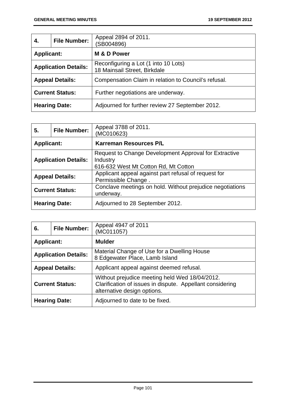| 4.                | <b>File Number:</b>         | Appeal 2894 of 2011.<br>(SB004896)                                   |
|-------------------|-----------------------------|----------------------------------------------------------------------|
| <b>Applicant:</b> |                             | M & D Power                                                          |
|                   | <b>Application Details:</b> | Reconfiguring a Lot (1 into 10 Lots)<br>18 Mainsail Street, Birkdale |
|                   | <b>Appeal Details:</b>      | Compensation Claim in relation to Council's refusal.                 |
|                   | <b>Current Status:</b>      | Further negotiations are underway.                                   |
|                   | <b>Hearing Date:</b>        | Adjourned for further review 27 September 2012.                      |

| 5.                | <b>File Number:</b>         | Appeal 3788 of 2011.<br>(MC010623)                                                                        |
|-------------------|-----------------------------|-----------------------------------------------------------------------------------------------------------|
| <b>Applicant:</b> |                             | <b>Karreman Resources P/L</b>                                                                             |
|                   | <b>Application Details:</b> | Request to Change Development Approval for Extractive<br>Industry<br>616-632 West Mt Cotton Rd, Mt Cotton |
|                   | <b>Appeal Details:</b>      | Applicant appeal against part refusal of request for<br>Permissible Change.                               |
|                   | <b>Current Status:</b>      | Conclave meetings on hold. Without prejudice negotiations<br>underway.                                    |
|                   | <b>Hearing Date:</b>        | Adjourned to 28 September 2012.                                                                           |

| 6.                | <b>File Number:</b>         | Appeal 4947 of 2011<br>(MC011057)                                                                                                          |
|-------------------|-----------------------------|--------------------------------------------------------------------------------------------------------------------------------------------|
| <b>Applicant:</b> |                             | <b>Mulder</b>                                                                                                                              |
|                   | <b>Application Details:</b> | Material Change of Use for a Dwelling House<br>8 Edgewater Place, Lamb Island                                                              |
|                   | <b>Appeal Details:</b>      | Applicant appeal against deemed refusal.                                                                                                   |
|                   | <b>Current Status:</b>      | Without prejudice meeting held Wed 18/04/2012.<br>Clarification of issues in dispute. Appellant considering<br>alternative design options. |
|                   | <b>Hearing Date:</b>        | Adjourned to date to be fixed.                                                                                                             |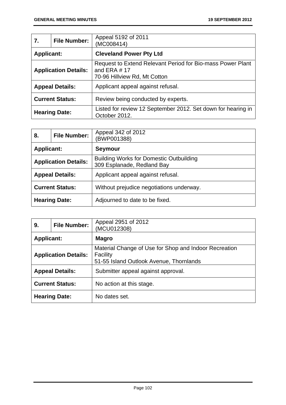| 7.                | <b>File Number:</b>         | Appeal 5192 of 2011<br>(MC008414)                                                                            |
|-------------------|-----------------------------|--------------------------------------------------------------------------------------------------------------|
| <b>Applicant:</b> |                             | <b>Cleveland Power Pty Ltd</b>                                                                               |
|                   | <b>Application Details:</b> | Request to Extend Relevant Period for Bio-mass Power Plant<br>and ERA $#$ 17<br>70-96 Hillview Rd, Mt Cotton |
|                   | <b>Appeal Details:</b>      | Applicant appeal against refusal.                                                                            |
|                   | <b>Current Status:</b>      | Review being conducted by experts.                                                                           |
|                   | <b>Hearing Date:</b>        | Listed for review 12 September 2012. Set down for hearing in<br>October 2012.                                |

| 8.                          | <b>File Number:</b> | Appeal 342 of 2012<br>BWP001388)                                             |
|-----------------------------|---------------------|------------------------------------------------------------------------------|
| <b>Applicant:</b>           |                     | <b>Seymour</b>                                                               |
| <b>Application Details:</b> |                     | <b>Building Works for Domestic Outbuilding</b><br>309 Esplanade, Redland Bay |
| <b>Appeal Details:</b>      |                     | Applicant appeal against refusal.                                            |
| <b>Current Status:</b>      |                     | Without prejudice negotiations underway.                                     |
| <b>Hearing Date:</b>        |                     | Adjourned to date to be fixed.                                               |

| 9.                          | <b>File Number:</b> | Appeal 2951 of 2012<br>(MCU012308)                                                                           |
|-----------------------------|---------------------|--------------------------------------------------------------------------------------------------------------|
| <b>Applicant:</b>           |                     | <b>Magro</b>                                                                                                 |
| <b>Application Details:</b> |                     | Material Change of Use for Shop and Indoor Recreation<br>Facility<br>51-55 Island Outlook Avenue, Thornlands |
| <b>Appeal Details:</b>      |                     | Submitter appeal against approval.                                                                           |
| <b>Current Status:</b>      |                     | No action at this stage.                                                                                     |
| <b>Hearing Date:</b>        |                     | No dates set.                                                                                                |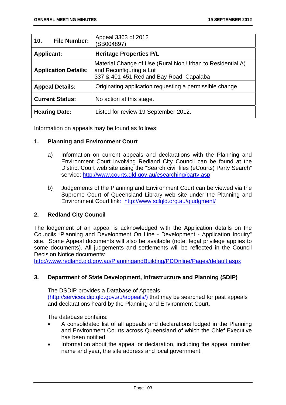| 10.                         | <b>File Number:</b> | Appeal 3363 of 2012<br>(SB004897)                                                                                                |
|-----------------------------|---------------------|----------------------------------------------------------------------------------------------------------------------------------|
| <b>Applicant:</b>           |                     | <b>Heritage Properties P/L</b>                                                                                                   |
| <b>Application Details:</b> |                     | Material Change of Use (Rural Non Urban to Residential A)<br>and Reconfiguring a Lot<br>337 & 401-451 Redland Bay Road, Capalaba |
| <b>Appeal Details:</b>      |                     | Originating application requesting a permissible change                                                                          |
| <b>Current Status:</b>      |                     | No action at this stage.                                                                                                         |
| <b>Hearing Date:</b>        |                     | Listed for review 19 September 2012.                                                                                             |

Information on appeals may be found as follows:

## **1. Planning and Environment Court**

- a) Information on current appeals and declarations with the Planning and Environment Court involving Redland City Council can be found at the District Court web site using the "Search civil files (eCourts) Party Search" service: http://www.courts.qld.gov.au/esearching/party.asp
- b) Judgements of the Planning and Environment Court can be viewed via the Supreme Court of Queensland Library web site under the Planning and Environment Court link: http://www.sclqld.org.au/qjudgment/

## **2. Redland City Council**

The lodgement of an appeal is acknowledged with the Application details on the Councils "Planning and Development On Line - Development - Application Inquiry" site. Some Appeal documents will also be available (note: legal privilege applies to some documents). All judgements and settlements will be reflected in the Council Decision Notice documents:

http://www.redland.qld.gov.au/PlanningandBuilding/PDOnline/Pages/default.aspx

## **3. Department of State Development, Infrastructure and Planning (SDIP)**

The DSDIP provides a Database of Appeals (http://services.dip.qld.gov.au/appeals/) that may be searched for past appeals and declarations heard by the Planning and Environment Court.

The database contains:

- A consolidated list of all appeals and declarations lodged in the Planning and Environment Courts across Queensland of which the Chief Executive has been notified.
- Information about the appeal or declaration, including the appeal number, name and year, the site address and local government.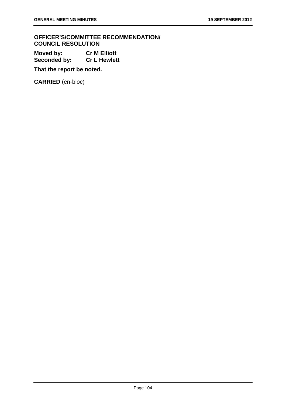**OFFICER'S/COMMITTEE RECOMMENDATION/ COUNCIL RESOLUTION** 

**Moved by: Cr M Elliott Seconded by: Cr L Hewlett** 

**That the report be noted.** 

**CARRIED** (en-bloc)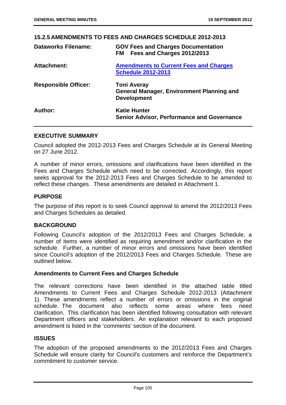### **15.2.5 AMENDMENTS TO FEES AND CHARGES SCHEDULE 2012-2013**

| <b>Dataworks Filename:</b>  | <b>GOV Fees and Charges Documentation</b><br>Fees and Charges 2012/2013<br><b>FM</b>         |
|-----------------------------|----------------------------------------------------------------------------------------------|
| <b>Attachment:</b>          | <b>Amendments to Current Fees and Charges</b><br><b>Schedule 2012-2013</b>                   |
| <b>Responsible Officer:</b> | <b>Toni Averay</b><br><b>General Manager, Environment Planning and</b><br><b>Development</b> |
| Author:                     | <b>Katie Hunter</b><br><b>Senior Advisor, Performance and Governance</b>                     |

### **EXECUTIVE SUMMARY**

Council adopted the 2012-2013 Fees and Charges Schedule at its General Meeting on 27 June 2012.

A number of minor errors, omissions and clarifications have been identified in the Fees and Charges Schedule which need to be corrected. Accordingly, this report seeks approval for the 2012-2013 Fees and Charges Schedule to be amended to reflect these changes. These amendments are detailed in Attachment 1.

### **PURPOSE**

The purpose of this report is to seek Council approval to amend the 2012/2013 Fees and Charges Schedules as detailed.

### **BACKGROUND**

Following Council's adoption of the 2012/2013 Fees and Charges Schedule, a number of items were identified as requiring amendment and/or clarification in the schedule. Further, a number of minor errors and omissions have been identified since Council's adoption of the 2012/2013 Fees and Charges Schedule. These are outlined below.

### **Amendments to Current Fees and Charges Schedule**

The relevant corrections have been identified in the attached table titled Amendments to Current Fees and Charges Schedule 2012-2013 (Attachment 1). These amendments reflect a number of errors or omissions in the original schedule. The document also reflects some areas where fees need clarification. This clarification has been identified following consultation with relevant Department officers and stakeholders. An explanation relevant to each proposed amendment is listed in the 'comments' section of the document.

### **ISSUES**

The adoption of the proposed amendments to the 2012/2013 Fees and Charges Schedule will ensure clarity for Council's customers and reinforce the Department's commitment to customer service.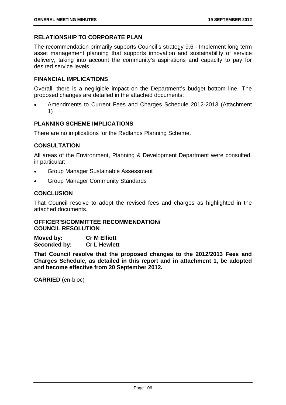# **RELATIONSHIP TO CORPORATE PLAN**

The recommendation primarily supports Council's strategy 9.6 - Implement long term asset management planning that supports innovation and sustainability of service delivery, taking into account the community's aspirations and capacity to pay for desired service levels.

### **FINANCIAL IMPLICATIONS**

Overall, there is a negligible impact on the Department's budget bottom line. The proposed changes are detailed in the attached documents:

 Amendments to Current Fees and Charges Schedule 2012-2013 (Attachment 1)

# **PLANNING SCHEME IMPLICATIONS**

There are no implications for the Redlands Planning Scheme.

# **CONSULTATION**

All areas of the Environment, Planning & Development Department were consulted, in particular:

- Group Manager Sustainable Assessment
- Group Manager Community Standards

# **CONCLUSION**

That Council resolve to adopt the revised fees and charges as highlighted in the attached documents.

### **OFFICER'S/COMMITTEE RECOMMENDATION/ COUNCIL RESOLUTION**

**Moved by: Cr M Elliott Seconded by: Cr L Hewlett** 

**That Council resolve that the proposed changes to the 2012/2013 Fees and Charges Schedule, as detailed in this report and in attachment 1, be adopted and become effective from 20 September 2012.** 

**CARRIED** (en-bloc)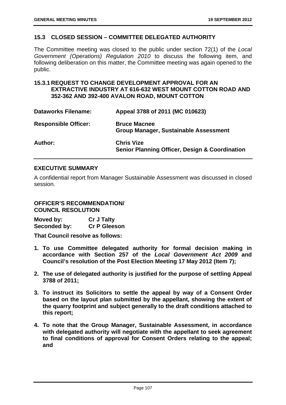### **15.3 CLOSED SESSION – COMMITTEE DELEGATED AUTHORITY**

The Committee meeting was closed to the public under section 72(1) of the *Local Government (Operations) Regulation 2010* to discuss the following item, and following deliberation on this matter, the Committee meeting was again opened to the public.

# **15.3.1 REQUEST TO CHANGE DEVELOPMENT APPROVAL FOR AN EXTRACTIVE INDUSTRY AT 616-632 WEST MOUNT COTTON ROAD AND 352-362 AND 392-400 AVALON ROAD, MOUNT COTTON**

| <b>Dataworks Filename:</b>  | Appeal 3788 of 2011 (MC 010623)                                                |
|-----------------------------|--------------------------------------------------------------------------------|
| <b>Responsible Officer:</b> | <b>Bruce Macnee</b><br>Group Manager, Sustainable Assessment                   |
| Author:                     | <b>Chris Vize</b><br><b>Senior Planning Officer, Design &amp; Coordination</b> |

### **EXECUTIVE SUMMARY**

A confidential report from Manager Sustainable Assessment was discussed in closed session.

# **OFFICER'S RECOMMENDATION/ COUNCIL RESOLUTION**

| Moved by:    | <b>Cr J Talty</b>   |
|--------------|---------------------|
| Seconded by: | <b>Cr P Gleeson</b> |

**That Council resolve as follows:** 

- **1. To use Committee delegated authority for formal decision making in accordance with Section 257 of the** *Local Government Act 2009* **and Council's resolution of the Post Election Meeting 17 May 2012 (Item 7);**
- **2. The use of delegated authority is justified for the purpose of settling Appeal 3788 of 2011;**
- **3. To instruct its Solicitors to settle the appeal by way of a Consent Order based on the layout plan submitted by the appellant, showing the extent of the quarry footprint and subject generally to the draft conditions attached to this report;**
- **4. To note that the Group Manager, Sustainable Assessment, in accordance with delegated authority will negotiate with the appellant to seek agreement to final conditions of approval for Consent Orders relating to the appeal; and**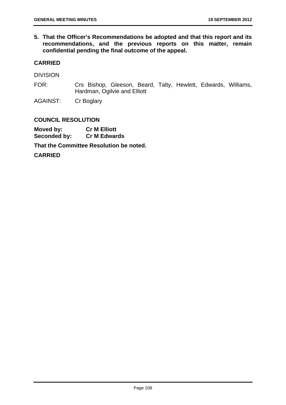**5. That the Officer's Recommendations be adopted and that this report and its recommendations, and the previous reports on this matter, remain confidential pending the final outcome of the appeal.** 

### **CARRIED**

DIVISION

FOR: Crs Bishop, Gleeson, Beard, Talty, Hewlett, Edwards, Williams, Hardman, Ogilvie and Elliott

AGAINST: Cr Boglary

### **COUNCIL RESOLUTION**

**Moved by: Cr M Elliott Seconded by: Cr M Edwards That the Committee Resolution be noted.** 

**CARRIED**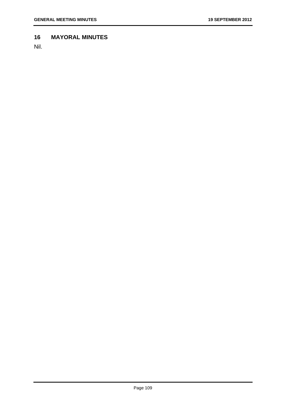# **16 MAYORAL MINUTES**

Nil.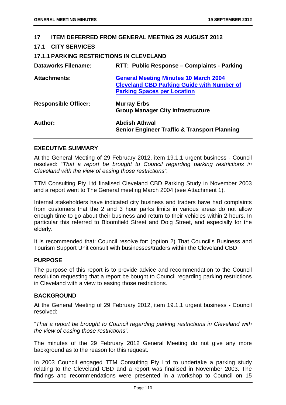### **17 ITEM DEFERRED FROM GENERAL MEETING 29 AUGUST 2012**

### **17.1 CITY SERVICES**

## **17.1.1 PARKING RESTRICTIONS IN CLEVELAND**

| <b>Dataworks Filename:</b>  | RTT: Public Response - Complaints - Parking                                                                                             |
|-----------------------------|-----------------------------------------------------------------------------------------------------------------------------------------|
| <b>Attachments:</b>         | <b>General Meeting Minutes 10 March 2004</b><br><b>Cleveland CBD Parking Guide with Number of</b><br><b>Parking Spaces per Location</b> |
| <b>Responsible Officer:</b> | <b>Murray Erbs</b><br><b>Group Manager City Infrastructure</b>                                                                          |
| Author:                     | Abdish Athwal<br><b>Senior Engineer Traffic &amp; Transport Planning</b>                                                                |

### **EXECUTIVE SUMMARY**

At the General Meeting of 29 February 2012, item 19.1.1 urgent business - Council resolved: "*That a report be brought to Council regarding parking restrictions in Cleveland with the view of easing those restrictions".*

TTM Consulting Pty Ltd finalised Cleveland CBD Parking Study in November 2003 and a report went to The General meeting March 2004 (see Attachment 1).

Internal stakeholders have indicated city business and traders have had complaints from customers that the 2 and 3 hour parks limits in various areas do not allow enough time to go about their business and return to their vehicles within 2 hours. In particular this referred to Bloomfield Street and Doig Street, and especially for the elderly.

It is recommended that: Council resolve for: (option 2) That Council's Business and Tourism Support Unit consult with businesses/traders within the Cleveland CBD

### **PURPOSE**

The purpose of this report is to provide advice and recommendation to the Council resolution requesting that a report be bought to Council regarding parking restrictions in Cleveland with a view to easing those restrictions.

### **BACKGROUND**

At the General Meeting of 29 February 2012, item 19.1.1 urgent business - Council resolved:

"*That a report be brought to Council regarding parking restrictions in Cleveland with the view of easing those restrictions".* 

The minutes of the 29 February 2012 General Meeting do not give any more background as to the reason for this request.

In 2003 Council engaged TTM Consulting Pty Ltd to undertake a parking study relating to the Cleveland CBD and a report was finalised in November 2003. The findings and recommendations were presented in a workshop to Council on 15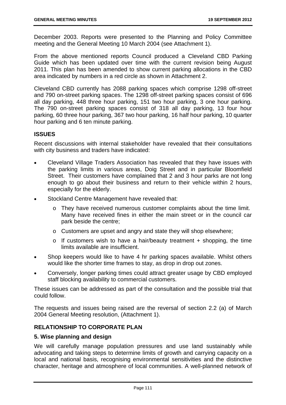December 2003. Reports were presented to the Planning and Policy Committee meeting and the General Meeting 10 March 2004 (see Attachment 1).

From the above mentioned reports Council produced a Cleveland CBD Parking Guide which has been updated over time with the current revision being August 2011. This plan has been amended to show current parking allocations in the CBD area indicated by numbers in a red circle as shown in Attachment 2.

Cleveland CBD currently has 2088 parking spaces which comprise 1298 off-street and 790 on-street parking spaces. The 1298 off-street parking spaces consist of 696 all day parking, 448 three hour parking, 151 two hour parking, 3 one hour parking. The 790 on-street parking spaces consist of 318 all day parking, 13 four hour parking, 60 three hour parking, 367 two hour parking, 16 half hour parking, 10 quarter hour parking and 6 ten minute parking.

# **ISSUES**

Recent discussions with internal stakeholder have revealed that their consultations with city business and traders have indicated:

- Cleveland Village Traders Association has revealed that they have issues with the parking limits in various areas, Doig Street and in particular Bloomfield Street. Their customers have complained that 2 and 3 hour parks are not long enough to go about their business and return to their vehicle within 2 hours, especially for the elderly.
- Stockland Centre Management have revealed that:
	- o They have received numerous customer complaints about the time limit. Many have received fines in either the main street or in the council car park beside the centre;
	- o Customers are upset and angry and state they will shop elsewhere;
	- $\circ$  If customers wish to have a hair/beauty treatment + shopping, the time limits available are insufficient.
- Shop keepers would like to have 4 hr parking spaces available. Whilst others would like the shorter time frames to stay, as drop in drop out zones.
- Conversely, longer parking times could attract greater usage by CBD employed staff blocking availability to commercial customers.

These issues can be addressed as part of the consultation and the possible trial that could follow.

The requests and issues being raised are the reversal of section 2.2 (a) of March 2004 General Meeting resolution, (Attachment 1).

# **RELATIONSHIP TO CORPORATE PLAN**

### **5. Wise planning and design**

We will carefully manage population pressures and use land sustainably while advocating and taking steps to determine limits of growth and carrying capacity on a local and national basis, recognising environmental sensitivities and the distinctive character, heritage and atmosphere of local communities. A well-planned network of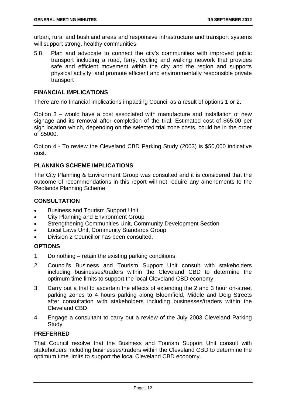urban, rural and bushland areas and responsive infrastructure and transport systems will support strong, healthy communities.

5.8 Plan and advocate to connect the city's communities with improved public transport including a road, ferry, cycling and walking network that provides safe and efficient movement within the city and the region and supports physical activity; and promote efficient and environmentally responsible private transport

### **FINANCIAL IMPLICATIONS**

There are no financial implications impacting Council as a result of options 1 or 2.

Option 3 – would have a cost associated with manufacture and installation of new signage and its removal after completion of the trial. Estimated cost of \$65.00 per sign location which, depending on the selected trial zone costs, could be in the order of \$5000.

Option 4 - To review the Cleveland CBD Parking Study (2003) is \$50,000 indicative cost.

### **PLANNING SCHEME IMPLICATIONS**

The City Planning & Environment Group was consulted and it is considered that the outcome of recommendations in this report will not require any amendments to the Redlands Planning Scheme.

### **CONSULTATION**

- Business and Tourism Support Unit
- City Planning and Environment Group
- Strengthening Communities Unit, Community Development Section
- **•** Local Laws Unit, Community Standards Group
- Division 2 Councillor has been consulted.

### **OPTIONS**

- 1. Do nothing retain the existing parking conditions
- 2. Council's Business and Tourism Support Unit consult with stakeholders including businesses/traders within the Cleveland CBD to determine the optimum time limits to support the local Cleveland CBD economy
- 3. Carry out a trial to ascertain the effects of extending the 2 and 3 hour on-street parking zones to 4 hours parking along Bloomfield, Middle and Doig Streets after consultation with stakeholders including businesses/traders within the Cleveland CBD
- 4. Engage a consultant to carry out a review of the July 2003 Cleveland Parking **Study**

# **PREFERRED**

That Council resolve that the Business and Tourism Support Unit consult with stakeholders including businesses/traders within the Cleveland CBD to determine the optimum time limits to support the local Cleveland CBD economy.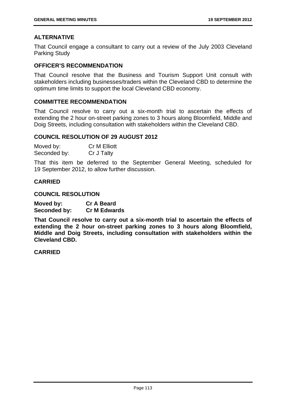### **ALTERNATIVE**

That Council engage a consultant to carry out a review of the July 2003 Cleveland Parking Study

### **OFFICER'S RECOMMENDATION**

That Council resolve that the Business and Tourism Support Unit consult with stakeholders including businesses/traders within the Cleveland CBD to determine the optimum time limits to support the local Cleveland CBD economy.

### **COMMITTEE RECOMMENDATION**

That Council resolve to carry out a six-month trial to ascertain the effects of extending the 2 hour on-street parking zones to 3 hours along Bloomfield, Middle and Doig Streets, including consultation with stakeholders within the Cleveland CBD.

#### **COUNCIL RESOLUTION OF 29 AUGUST 2012**

| Moved by:    | <b>Cr M Elliott</b> |
|--------------|---------------------|
| Seconded by: | Cr J Talty          |

That this item be deferred to the September General Meeting, scheduled for 19 September 2012, to allow further discussion.

### **CARRIED**

**COUNCIL RESOLUTION** 

| Moved by:    | <b>Cr A Beard</b>   |
|--------------|---------------------|
| Seconded by: | <b>Cr M Edwards</b> |

**That Council resolve to carry out a six-month trial to ascertain the effects of extending the 2 hour on-street parking zones to 3 hours along Bloomfield, Middle and Doig Streets, including consultation with stakeholders within the Cleveland CBD.** 

**CARRIED**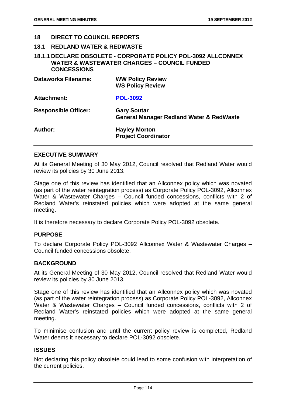#### **18 DIRECT TO COUNCIL REPORTS**

#### **18.1 REDLAND WATER & REDWASTE**

# **18.1.1 DECLARE OBSOLETE - CORPORATE POLICY POL-3092 ALLCONNEX WATER & WASTEWATER CHARGES – COUNCIL FUNDED CONCESSIONS**

| <b>Dataworks Filename:</b>  | <b>WW Policy Review</b><br><b>WS Policy Review</b>                        |
|-----------------------------|---------------------------------------------------------------------------|
| Attachment:                 | <b>POL-3092</b>                                                           |
| <b>Responsible Officer:</b> | <b>Gary Soutar</b><br><b>General Manager Redland Water &amp; RedWaste</b> |
| Author:                     | <b>Hayley Morton</b><br><b>Project Coordinator</b>                        |

### **EXECUTIVE SUMMARY**

At its General Meeting of 30 May 2012, Council resolved that Redland Water would review its policies by 30 June 2013.

Stage one of this review has identified that an Allconnex policy which was novated (as part of the water reintegration process) as Corporate Policy POL-3092, Allconnex Water & Wastewater Charges – Council funded concessions, conflicts with 2 of Redland Water's reinstated policies which were adopted at the same general meeting.

It is therefore necessary to declare Corporate Policy POL-3092 obsolete.

#### **PURPOSE**

To declare Corporate Policy POL-3092 Allconnex Water & Wastewater Charges – Council funded concessions obsolete.

### **BACKGROUND**

At its General Meeting of 30 May 2012, Council resolved that Redland Water would review its policies by 30 June 2013.

Stage one of this review has identified that an Allconnex policy which was novated (as part of the water reintegration process) as Corporate Policy POL-3092, Allconnex Water & Wastewater Charges – Council funded concessions, conflicts with 2 of Redland Water's reinstated policies which were adopted at the same general meeting.

To minimise confusion and until the current policy review is completed, Redland Water deems it necessary to declare POL-3092 obsolete.

#### **ISSUES**

Not declaring this policy obsolete could lead to some confusion with interpretation of the current policies.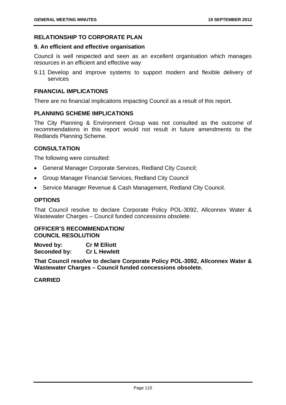#### **RELATIONSHIP TO CORPORATE PLAN**

#### **9. An efficient and effective organisation**

Council is well respected and seen as an excellent organisation which manages resources in an efficient and effective way

9.11 Develop and improve systems to support modern and flexible delivery of services

#### **FINANCIAL IMPLICATIONS**

There are no financial implications impacting Council as a result of this report.

# **PLANNING SCHEME IMPLICATIONS**

The City Planning & Environment Group was not consulted as the outcome of recommendations in this report would not result in future amendments to the Redlands Planning Scheme.

#### **CONSULTATION**

The following were consulted:

- General Manager Corporate Services, Redland City Council;
- Group Manager Financial Services, Redland City Council
- Service Manager Revenue & Cash Management, Redland City Council.

### **OPTIONS**

That Council resolve to declare Corporate Policy POL-3092, Allconnex Water & Wastewater Charges – Council funded concessions obsolete.

#### **OFFICER'S RECOMMENDATION/ COUNCIL RESOLUTION**

**Moved by: Cr M Elliott Seconded by: Cr L Hewlett** 

**That Council resolve to declare Corporate Policy POL-3092, Allconnex Water & Wastewater Charges – Council funded concessions obsolete.** 

**CARRIED**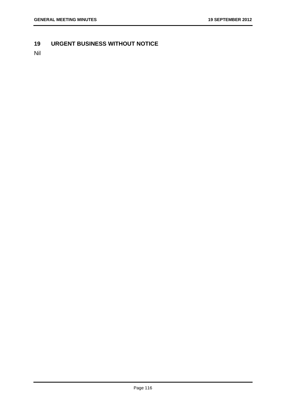# **19 URGENT BUSINESS WITHOUT NOTICE**

Nil